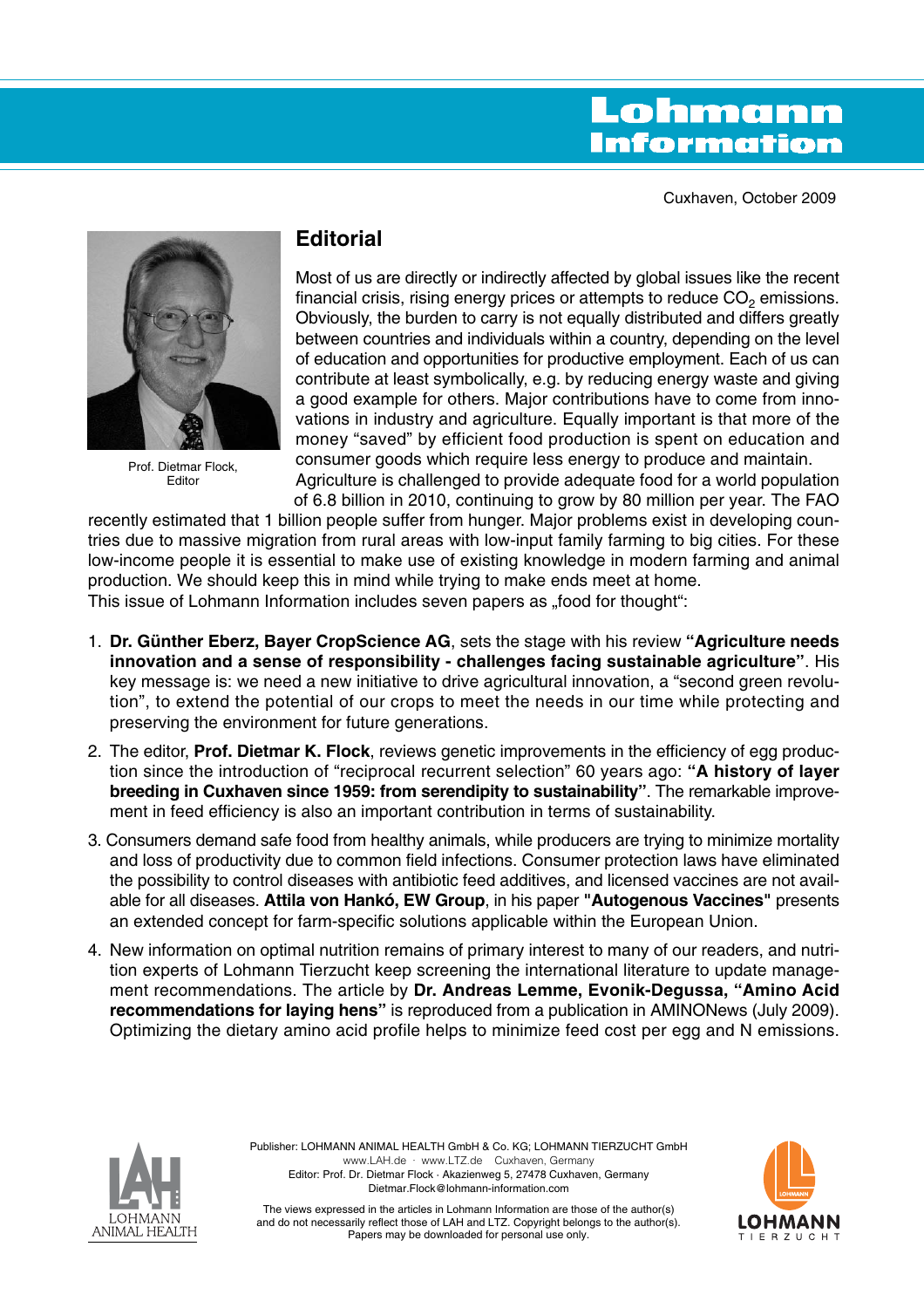# Lohmann **Information**

Cuxhaven, October 2009



Prof. Dietmar Flock, Editor

## **Editorial**

Most of us are directly or indirectly affected by global issues like the recent financial crisis, rising energy prices or attempts to reduce  $CO<sub>2</sub>$  emissions. Obviously, the burden to carry is not equally distributed and differs greatly between countries and individuals within a country, depending on the level of education and opportunities for productive employment. Each of us can contribute at least symbolically, e.g. by reducing energy waste and giving a good example for others. Major contributions have to come from innovations in industry and agriculture. Equally important is that more of the money "saved" by efficient food production is spent on education and consumer goods which require less energy to produce and maintain. Agriculture is challenged to provide adequate food for a world population

of 6.8 billion in 2010, continuing to grow by 80 million per year. The FAO recently estimated that 1 billion people suffer from hunger. Major problems exist in developing countries due to massive migration from rural areas with low-input family farming to big cities. For these low-income people it is essential to make use of existing knowledge in modern farming and animal production. We should keep this in mind while trying to make ends meet at home. This issue of Lohmann Information includes seven papers as "food for thought":

- 1. **Dr. Günther Eberz, Bayer CropScience AG**, sets the stage with his review **"Agriculture needs innovation and a sense of responsibility - challenges facing sustainable agriculture"**. His key message is: we need a new initiative to drive agricultural innovation, a "second green revolution", to extend the potential of our crops to meet the needs in our time while protecting and preserving the environment for future generations.
- 2. The editor, **Prof. Dietmar K. Flock**, reviews genetic improvements in the efficiency of egg production since the introduction of "reciprocal recurrent selection" 60 years ago: **"A history of layer breeding in Cuxhaven since 1959: from serendipity to sustainability"**. The remarkable improvement in feed efficiency is also an important contribution in terms of sustainability.
- 3. Consumers demand safe food from healthy animals, while producers are trying to minimize mortality and loss of productivity due to common field infections. Consumer protection laws have eliminated the possibility to control diseases with antibiotic feed additives, and licensed vaccines are not available for all diseases. **Attila von Hankó, EW Group**, in his paper **"Autogenous Vaccines"** presents an extended concept for farm-specific solutions applicable within the European Union.
- 4. New information on optimal nutrition remains of primary interest to many of our readers, and nutrition experts of Lohmann Tierzucht keep screening the international literature to update management recommendations. The article by **Dr. Andreas Lemme, Evonik-Degussa, "Amino Acid recommendations for laying hens"** is reproduced from a publication in AMINONews (July 2009). Optimizing the dietary amino acid profile helps to minimize feed cost per egg and N emissions.



Publisher: LOHMANN ANIMAL HEALTH GmbH & Co. KG; LOHMANN TIERZUCHT GmbH www.LAH.de · www.LTZ.de Cuxhaven, Germany Editor: Prof. Dr. Dietmar Flock · Akazienweg 5, 27478 Cuxhaven, Germany Dietmar.Flock@lohmann-information.com



The views expressed in the articles in Lohmann Information are those of the author(s) and do not necessarily reflect those of LAH and LTZ. Copyright belongs to the author(s). Papers may be downloaded for personal use only.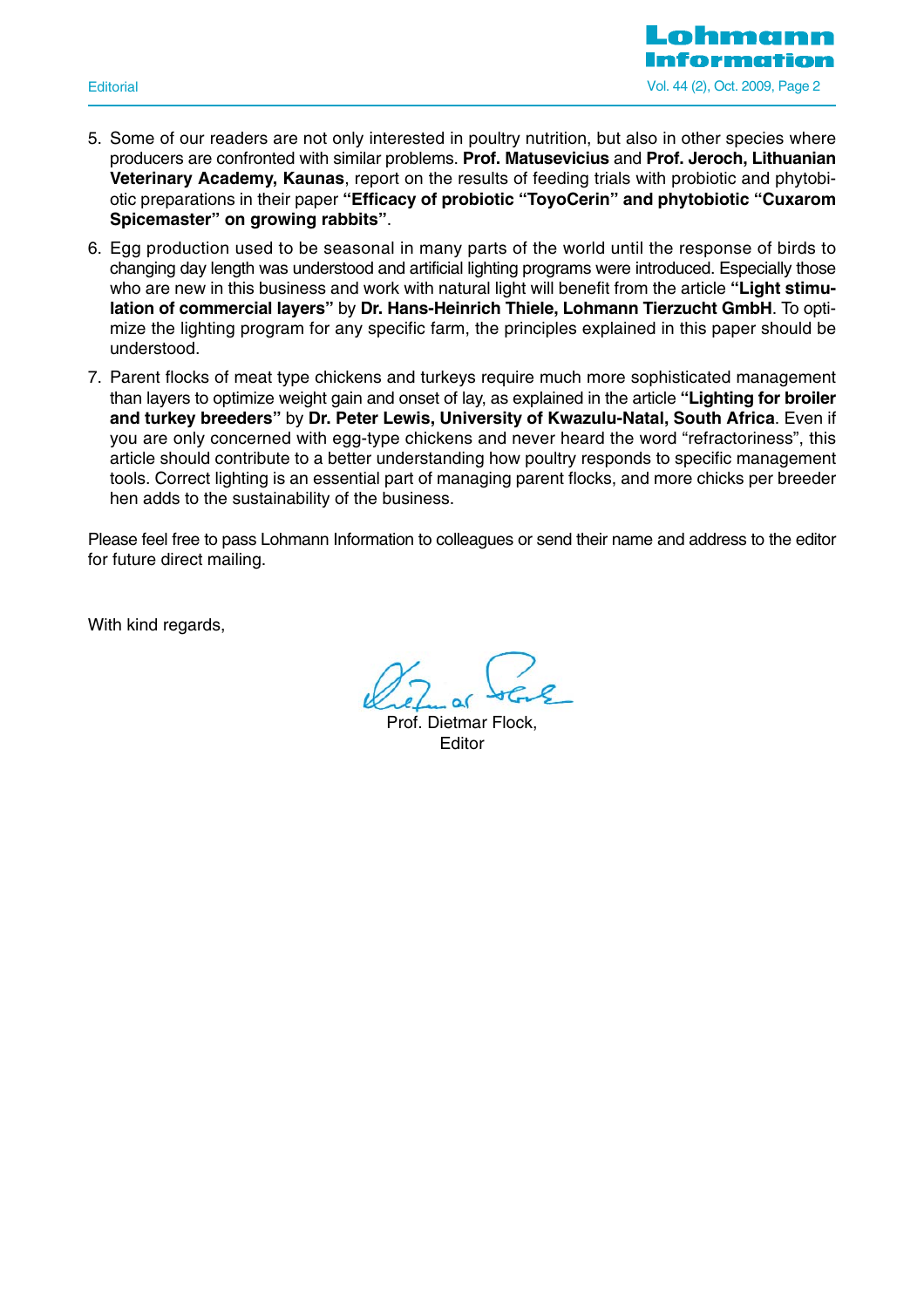

- 5. Some of our readers are not only interested in poultry nutrition, but also in other species where producers are confronted with similar problems. **Prof. Matusevicius** and **Prof. Jeroch, Lithuanian Veterinary Academy, Kaunas**, report on the results of feeding trials with probiotic and phytobiotic preparations in their paper **"Efficacy of probiotic "ToyoCerin" and phytobiotic "Cuxarom Spicemaster" on growing rabbits"**.
- 6. Egg production used to be seasonal in many parts of the world until the response of birds to changing day length was understood and artificial lighting programs were introduced. Especially those who are new in this business and work with natural light will benefit from the article **"Light stimulation of commercial layers"** by **Dr. Hans-Heinrich Thiele, Lohmann Tierzucht GmbH**. To optimize the lighting program for any specific farm, the principles explained in this paper should be understood.
- 7. Parent flocks of meat type chickens and turkeys require much more sophisticated management than layers to optimize weight gain and onset of lay, as explained in the article **"Lighting for broiler and turkey breeders"** by **Dr. Peter Lewis, University of Kwazulu-Natal, South Africa**. Even if you are only concerned with egg-type chickens and never heard the word "refractoriness", this article should contribute to a better understanding how poultry responds to specific management tools. Correct lighting is an essential part of managing parent flocks, and more chicks per breeder hen adds to the sustainability of the business.

Please feel free to pass Lohmann Information to colleagues or send their name and address to the editor for future direct mailing.

With kind regards.

Prof. Dietmar Flock, Editor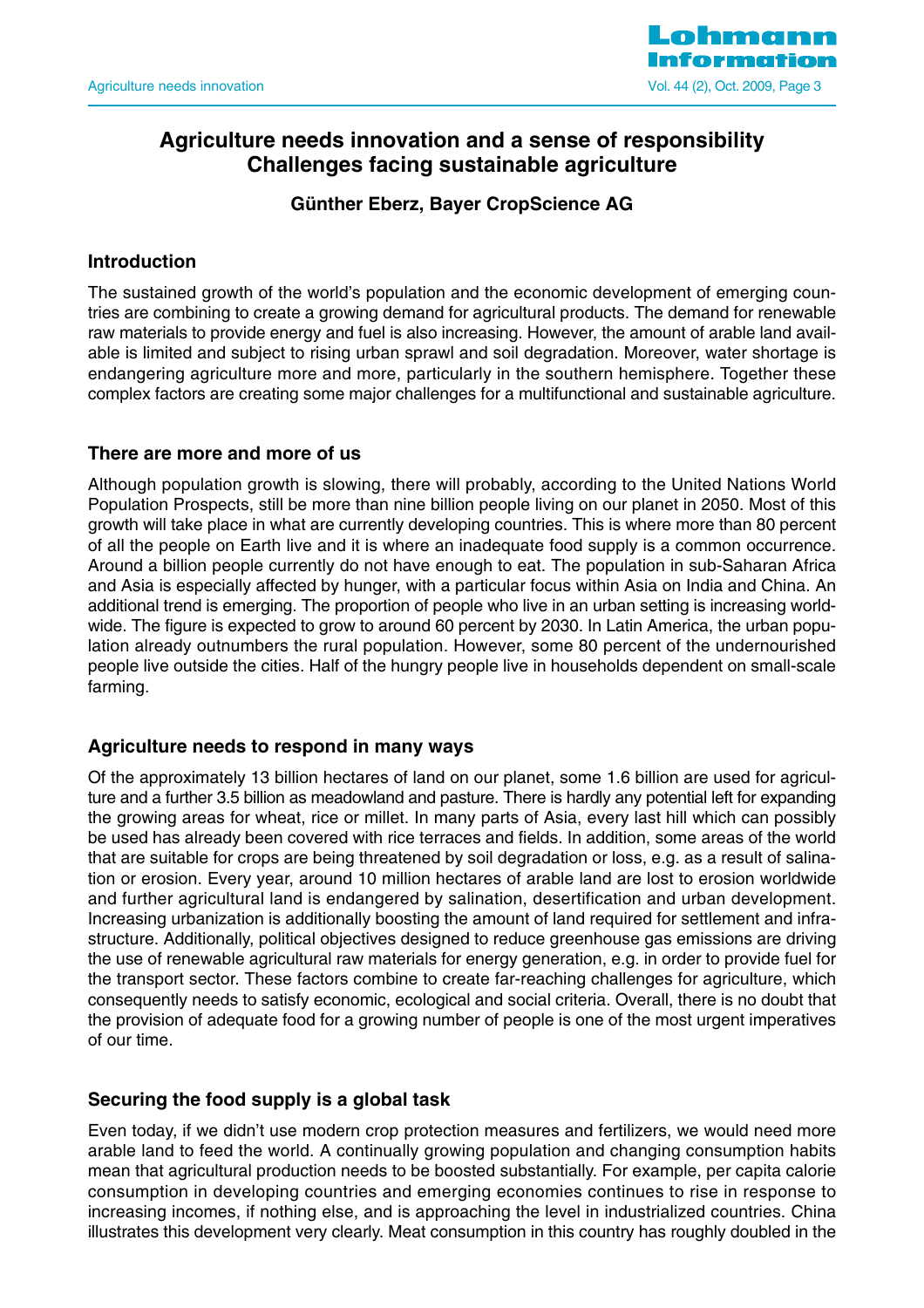

## **Agriculture needs innovation and a sense of responsibility Challenges facing sustainable agriculture**

## **Günther Eberz, Bayer CropScience AG**

## **Introduction**

The sustained growth of the world's population and the economic development of emerging countries are combining to create a growing demand for agricultural products. The demand for renewable raw materials to provide energy and fuel is also increasing. However, the amount of arable land available is limited and subject to rising urban sprawl and soil degradation. Moreover, water shortage is endangering agriculture more and more, particularly in the southern hemisphere. Together these complex factors are creating some major challenges for a multifunctional and sustainable agriculture.

## **There are more and more of us**

Although population growth is slowing, there will probably, according to the United Nations World Population Prospects, still be more than nine billion people living on our planet in 2050. Most of this growth will take place in what are currently developing countries. This is where more than 80 percent of all the people on Earth live and it is where an inadequate food supply is a common occurrence. Around a billion people currently do not have enough to eat. The population in sub-Saharan Africa and Asia is especially affected by hunger, with a particular focus within Asia on India and China. An additional trend is emerging. The proportion of people who live in an urban setting is increasing worldwide. The figure is expected to grow to around 60 percent by 2030. In Latin America, the urban population already outnumbers the rural population. However, some 80 percent of the undernourished people live outside the cities. Half of the hungry people live in households dependent on small-scale farming.

## **Agriculture needs to respond in many ways**

Of the approximately 13 billion hectares of land on our planet, some 1.6 billion are used for agriculture and a further 3.5 billion as meadowland and pasture. There is hardly any potential left for expanding the growing areas for wheat, rice or millet. In many parts of Asia, every last hill which can possibly be used has already been covered with rice terraces and fields. In addition, some areas of the world that are suitable for crops are being threatened by soil degradation or loss, e.g. as a result of salination or erosion. Every year, around 10 million hectares of arable land are lost to erosion worldwide and further agricultural land is endangered by salination, desertification and urban development. Increasing urbanization is additionally boosting the amount of land required for settlement and infrastructure. Additionally, political objectives designed to reduce greenhouse gas emissions are driving the use of renewable agricultural raw materials for energy generation, e.g. in order to provide fuel for the transport sector. These factors combine to create far-reaching challenges for agriculture, which consequently needs to satisfy economic, ecological and social criteria. Overall, there is no doubt that the provision of adequate food for a growing number of people is one of the most urgent imperatives of our time.

## **Securing the food supply is a global task**

Even today, if we didn't use modern crop protection measures and fertilizers, we would need more arable land to feed the world. A continually growing population and changing consumption habits mean that agricultural production needs to be boosted substantially. For example, per capita calorie consumption in developing countries and emerging economies continues to rise in response to increasing incomes, if nothing else, and is approaching the level in industrialized countries. China illustrates this development very clearly. Meat consumption in this country has roughly doubled in the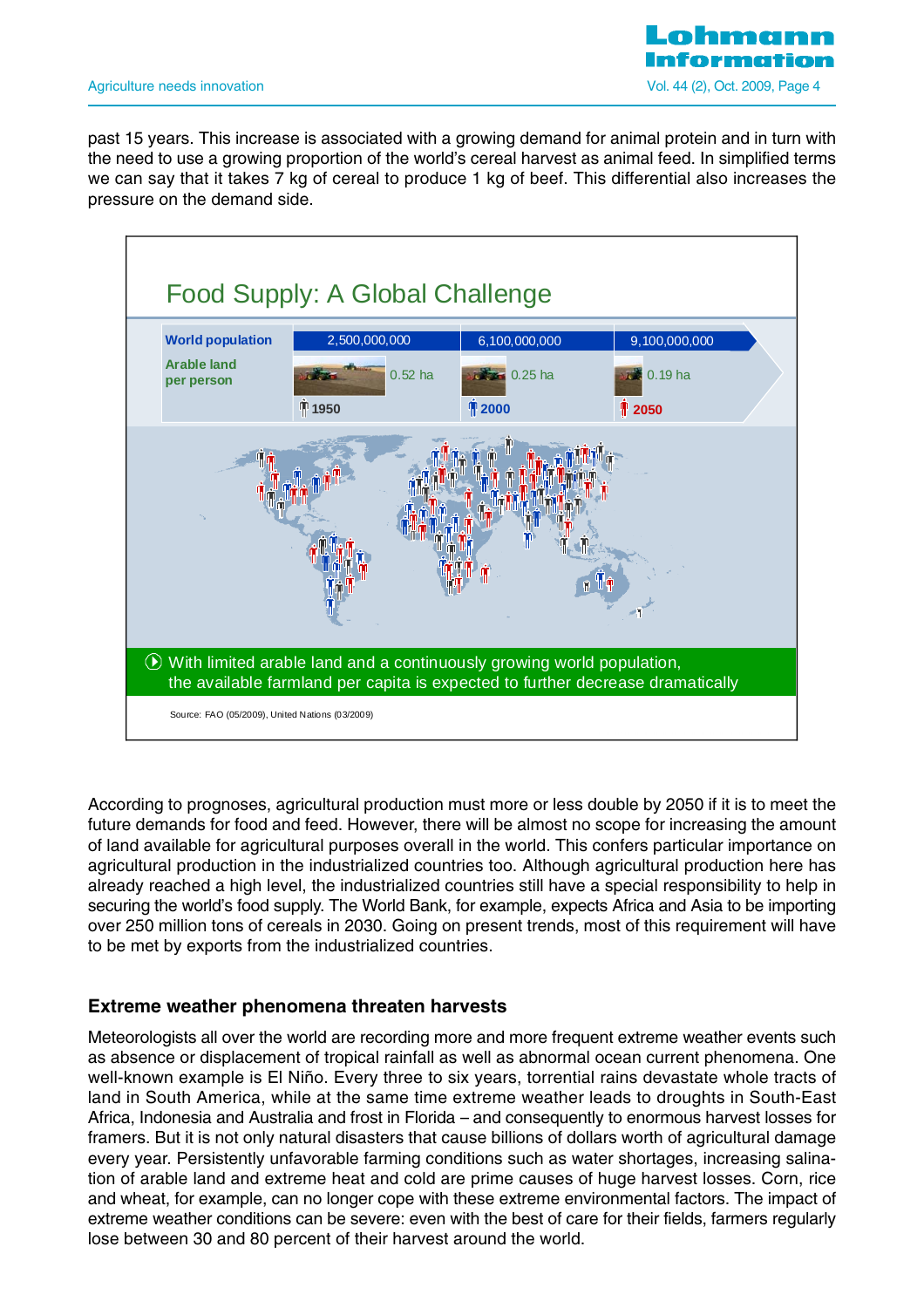

past 15 years. This increase is associated with a growing demand for animal protein and in turn with the need to use a growing proportion of the world's cereal harvest as animal feed. In simplified terms we can say that it takes 7 kg of cereal to produce 1 kg of beef. This differential also increases the pressure on the demand side.



According to prognoses, agricultural production must more or less double by 2050 if it is to meet the future demands for food and feed. However, there will be almost no scope for increasing the amount of land available for agricultural purposes overall in the world. This confers particular importance on agricultural production in the industrialized countries too. Although agricultural production here has already reached a high level, the industrialized countries still have a special responsibility to help in securing the world's food supply. The World Bank, for example, expects Africa and Asia to be importing over 250 million tons of cereals in 2030. Going on present trends, most of this requirement will have to be met by exports from the industrialized countries.

#### **Extreme weather phenomena threaten harvests**

Meteorologists all over the world are recording more and more frequent extreme weather events such as absence or displacement of tropical rainfall as well as abnormal ocean current phenomena. One well-known example is El Niño. Every three to six years, torrential rains devastate whole tracts of land in South America, while at the same time extreme weather leads to droughts in South-East Africa, Indonesia and Australia and frost in Florida – and consequently to enormous harvest losses for framers. But it is not only natural disasters that cause billions of dollars worth of agricultural damage every year. Persistently unfavorable farming conditions such as water shortages, increasing salination of arable land and extreme heat and cold are prime causes of huge harvest losses. Corn, rice and wheat, for example, can no longer cope with these extreme environmental factors. The impact of extreme weather conditions can be severe: even with the best of care for their fields, farmers regularly lose between 30 and 80 percent of their harvest around the world.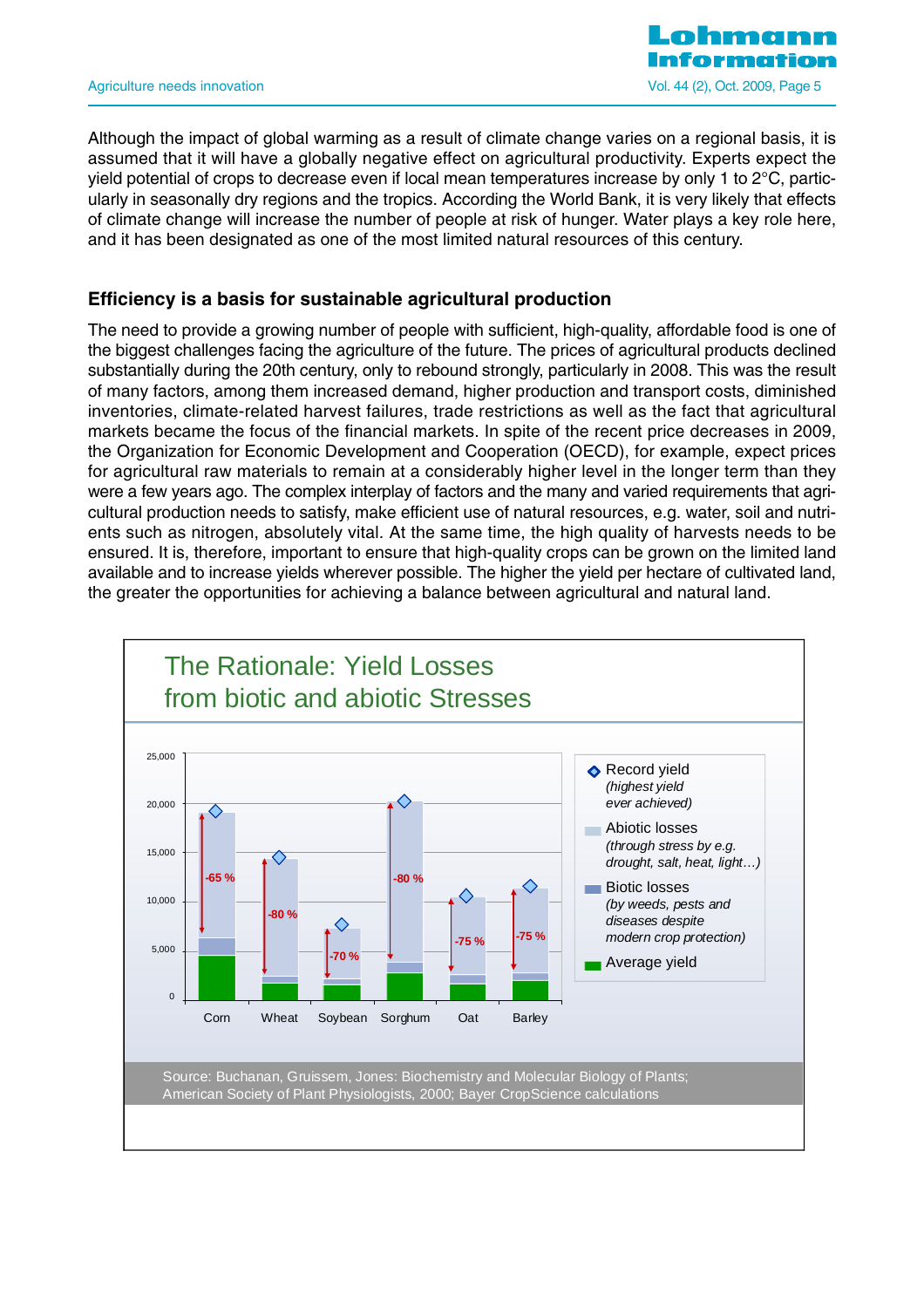

Although the impact of global warming as a result of climate change varies on a regional basis, it is assumed that it will have a globally negative effect on agricultural productivity. Experts expect the yield potential of crops to decrease even if local mean temperatures increase by only 1 to 2°C, particularly in seasonally dry regions and the tropics. According the World Bank, it is very likely that effects of climate change will increase the number of people at risk of hunger. Water plays a key role here, and it has been designated as one of the most limited natural resources of this century.

## **Efficiency is a basis for sustainable agricultural production**

The need to provide a growing number of people with sufficient, high-quality, affordable food is one of the biggest challenges facing the agriculture of the future. The prices of agricultural products declined substantially during the 20th century, only to rebound strongly, particularly in 2008. This was the result of many factors, among them increased demand, higher production and transport costs, diminished inventories, climate-related harvest failures, trade restrictions as well as the fact that agricultural markets became the focus of the financial markets. In spite of the recent price decreases in 2009, the Organization for Economic Development and Cooperation (OECD), for example, expect prices for agricultural raw materials to remain at a considerably higher level in the longer term than they were a few years ago. The complex interplay of factors and the many and varied requirements that agricultural production needs to satisfy, make efficient use of natural resources, e.g. water, soil and nutrients such as nitrogen, absolutely vital. At the same time, the high quality of harvests needs to be ensured. It is, therefore, important to ensure that high-quality crops can be grown on the limited land available and to increase yields wherever possible. The higher the yield per hectare of cultivated land, the greater the opportunities for achieving a balance between agricultural and natural land.

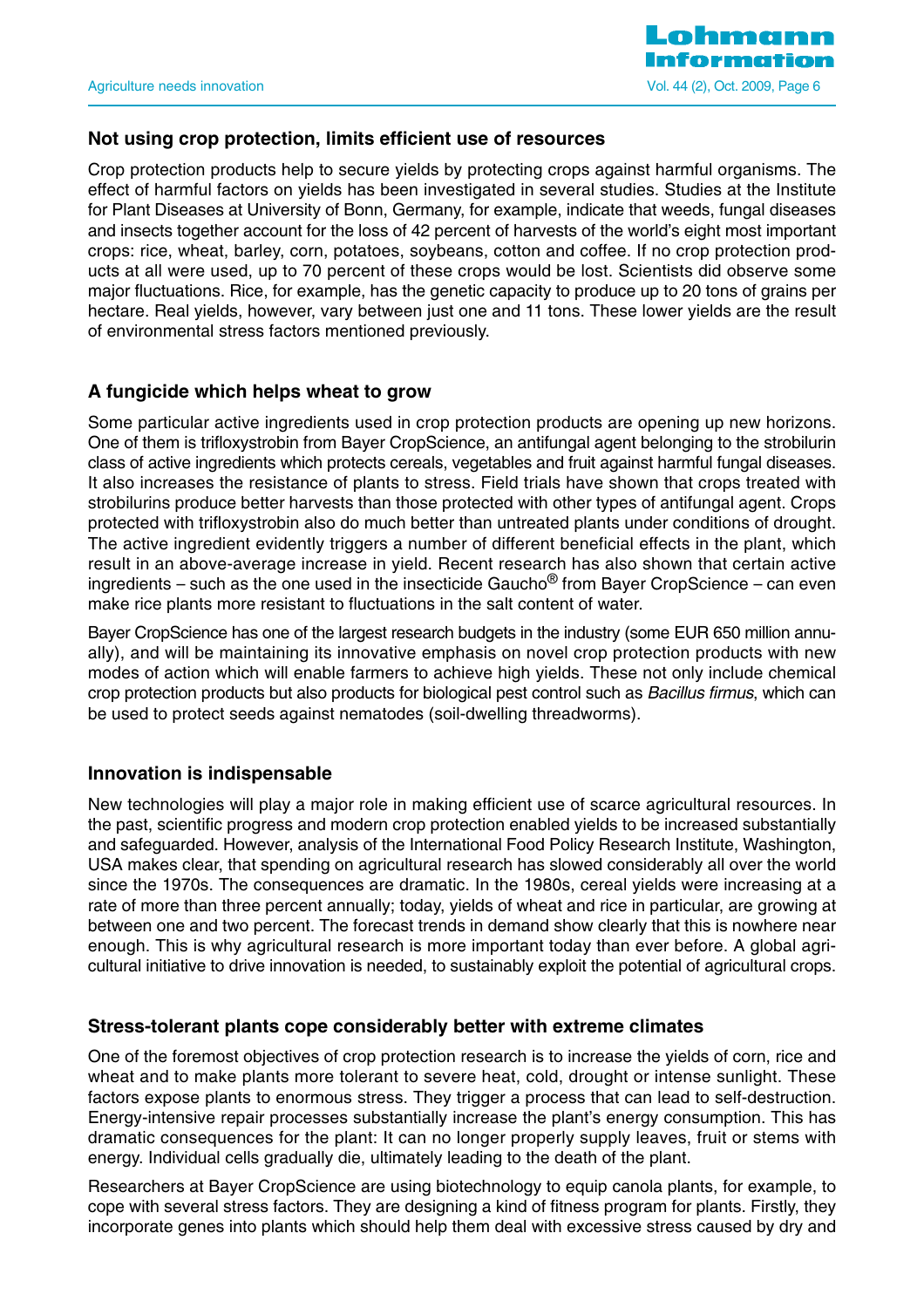

#### **Not using crop protection, limits efficient use of resources**

Crop protection products help to secure yields by protecting crops against harmful organisms. The effect of harmful factors on yields has been investigated in several studies. Studies at the Institute for Plant Diseases at University of Bonn, Germany, for example, indicate that weeds, fungal diseases and insects together account for the loss of 42 percent of harvests of the world's eight most important crops: rice, wheat, barley, corn, potatoes, soybeans, cotton and coffee. If no crop protection products at all were used, up to 70 percent of these crops would be lost. Scientists did observe some major fluctuations. Rice, for example, has the genetic capacity to produce up to 20 tons of grains per hectare. Real yields, however, vary between just one and 11 tons. These lower yields are the result of environmental stress factors mentioned previously.

#### **A fungicide which helps wheat to grow**

Some particular active ingredients used in crop protection products are opening up new horizons. One of them is trifloxystrobin from Bayer CropScience, an antifungal agent belonging to the strobilurin class of active ingredients which protects cereals, vegetables and fruit against harmful fungal diseases. It also increases the resistance of plants to stress. Field trials have shown that crops treated with strobilurins produce better harvests than those protected with other types of antifungal agent. Crops protected with trifloxystrobin also do much better than untreated plants under conditions of drought. The active ingredient evidently triggers a number of different beneficial effects in the plant, which result in an above-average increase in yield. Recent research has also shown that certain active ingredients – such as the one used in the insecticide Gaucho<sup>®</sup> from Bayer CropScience – can even make rice plants more resistant to fluctuations in the salt content of water.

Bayer CropScience has one of the largest research budgets in the industry (some EUR 650 million annually), and will be maintaining its innovative emphasis on novel crop protection products with new modes of action which will enable farmers to achieve high yields. These not only include chemical crop protection products but also products for biological pest control such as Bacillus firmus, which can be used to protect seeds against nematodes (soil-dwelling threadworms).

#### **Innovation is indispensable**

New technologies will play a major role in making efficient use of scarce agricultural resources. In the past, scientific progress and modern crop protection enabled yields to be increased substantially and safeguarded. However, analysis of the International Food Policy Research Institute, Washington, USA makes clear, that spending on agricultural research has slowed considerably all over the world since the 1970s. The consequences are dramatic. In the 1980s, cereal yields were increasing at a rate of more than three percent annually; today, yields of wheat and rice in particular, are growing at between one and two percent. The forecast trends in demand show clearly that this is nowhere near enough. This is why agricultural research is more important today than ever before. A global agricultural initiative to drive innovation is needed, to sustainably exploit the potential of agricultural crops.

#### **Stress-tolerant plants cope considerably better with extreme climates**

One of the foremost objectives of crop protection research is to increase the yields of corn, rice and wheat and to make plants more tolerant to severe heat, cold, drought or intense sunlight. These factors expose plants to enormous stress. They trigger a process that can lead to self-destruction. Energy-intensive repair processes substantially increase the plant's energy consumption. This has dramatic consequences for the plant: It can no longer properly supply leaves, fruit or stems with energy. Individual cells gradually die, ultimately leading to the death of the plant.

Researchers at Bayer CropScience are using biotechnology to equip canola plants, for example, to cope with several stress factors. They are designing a kind of fitness program for plants. Firstly, they incorporate genes into plants which should help them deal with excessive stress caused by dry and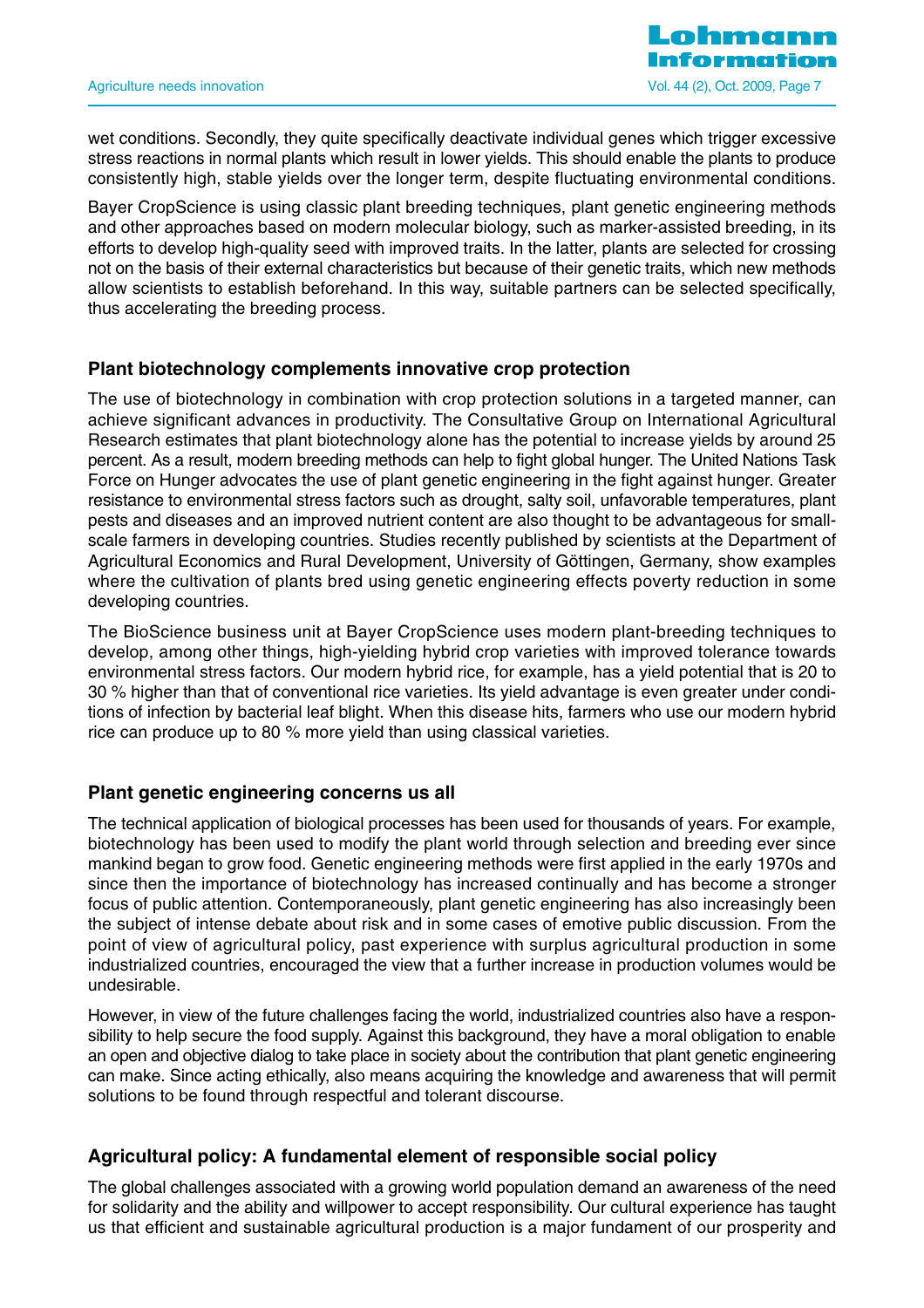wet conditions. Secondly, they quite specifically deactivate individual genes which trigger excessive stress reactions in normal plants which result in lower yields. This should enable the plants to produce consistently high, stable yields over the longer term, despite fluctuating environmental conditions.

Bayer CropScience is using classic plant breeding techniques, plant genetic engineering methods and other approaches based on modern molecular biology, such as marker-assisted breeding, in its efforts to develop high-quality seed with improved traits. In the latter, plants are selected for crossing not on the basis of their external characteristics but because of their genetic traits, which new methods allow scientists to establish beforehand. In this way, suitable partners can be selected specifically, thus accelerating the breeding process.

#### **Plant biotechnology complements innovative crop protection**

The use of biotechnology in combination with crop protection solutions in a targeted manner, can achieve significant advances in productivity. The Consultative Group on International Agricultural Research estimates that plant biotechnology alone has the potential to increase yields by around 25 percent. As a result, modern breeding methods can help to fight global hunger. The United Nations Task Force on Hunger advocates the use of plant genetic engineering in the fight against hunger. Greater resistance to environmental stress factors such as drought, salty soil, unfavorable temperatures, plant pests and diseases and an improved nutrient content are also thought to be advantageous for smallscale farmers in developing countries. Studies recently published by scientists at the Department of Agricultural Economics and Rural Development, University of Göttingen, Germany, show examples where the cultivation of plants bred using genetic engineering effects poverty reduction in some developing countries.

The BioScience business unit at Bayer CropScience uses modern plant-breeding techniques to develop, among other things, high-yielding hybrid crop varieties with improved tolerance towards environmental stress factors. Our modern hybrid rice, for example, has a yield potential that is 20 to 30 % higher than that of conventional rice varieties. Its yield advantage is even greater under conditions of infection by bacterial leaf blight. When this disease hits, farmers who use our modern hybrid rice can produce up to 80 % more yield than using classical varieties.

#### **Plant genetic engineering concerns us all**

The technical application of biological processes has been used for thousands of years. For example, biotechnology has been used to modify the plant world through selection and breeding ever since mankind began to grow food. Genetic engineering methods were first applied in the early 1970s and since then the importance of biotechnology has increased continually and has become a stronger focus of public attention. Contemporaneously, plant genetic engineering has also increasingly been the subject of intense debate about risk and in some cases of emotive public discussion. From the point of view of agricultural policy, past experience with surplus agricultural production in some industrialized countries, encouraged the view that a further increase in production volumes would be undesirable.

However, in view of the future challenges facing the world, industrialized countries also have a responsibility to help secure the food supply. Against this background, they have a moral obligation to enable an open and objective dialog to take place in society about the contribution that plant genetic engineering can make. Since acting ethically, also means acquiring the knowledge and awareness that will permit solutions to be found through respectful and tolerant discourse.

#### **Agricultural policy: A fundamental element of responsible social policy**

The global challenges associated with a growing world population demand an awareness of the need for solidarity and the ability and willpower to accept responsibility. Our cultural experience has taught us that efficient and sustainable agricultural production is a major fundament of our prosperity and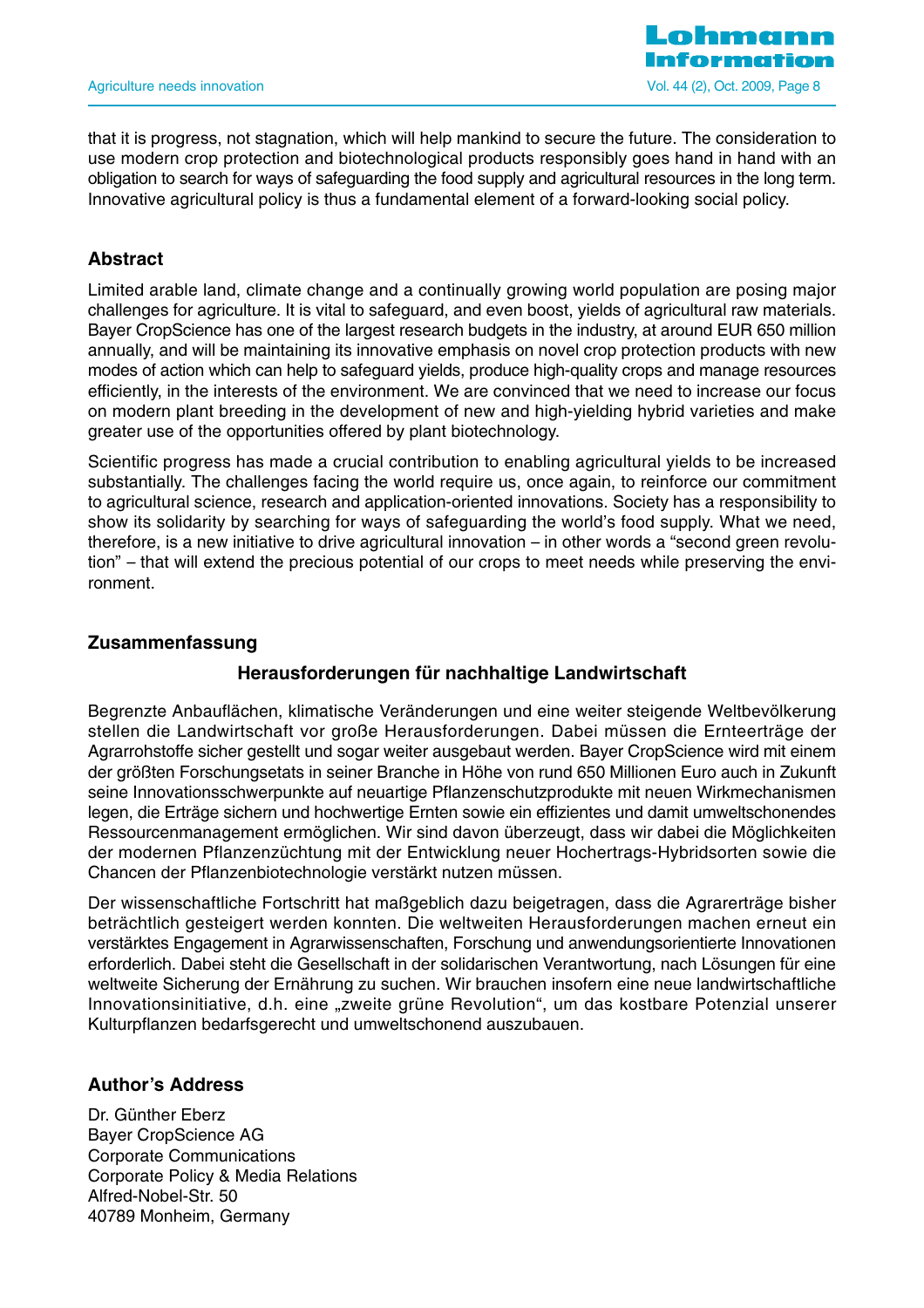

that it is progress, not stagnation, which will help mankind to secure the future. The consideration to use modern crop protection and biotechnological products responsibly goes hand in hand with an obligation to search for ways of safeguarding the food supply and agricultural resources in the long term. Innovative agricultural policy is thus a fundamental element of a forward-looking social policy.

#### **Abstract**

Limited arable land, climate change and a continually growing world population are posing major challenges for agriculture. It is vital to safeguard, and even boost, yields of agricultural raw materials. Bayer CropScience has one of the largest research budgets in the industry, at around EUR 650 million annually, and will be maintaining its innovative emphasis on novel crop protection products with new modes of action which can help to safeguard yields, produce high-quality crops and manage resources efficiently, in the interests of the environment. We are convinced that we need to increase our focus on modern plant breeding in the development of new and high-yielding hybrid varieties and make greater use of the opportunities offered by plant biotechnology.

Scientific progress has made a crucial contribution to enabling agricultural yields to be increased substantially. The challenges facing the world require us, once again, to reinforce our commitment to agricultural science, research and application-oriented innovations. Society has a responsibility to show its solidarity by searching for ways of safeguarding the world's food supply. What we need, therefore, is a new initiative to drive agricultural innovation – in other words a "second green revolution" – that will extend the precious potential of our crops to meet needs while preserving the environment.

#### **Zusammenfassung**

## **Herausforderungen für nachhaltige Landwirtschaft**

Begrenzte Anbauflächen, klimatische Veränderungen und eine weiter steigende Weltbevölkerung stellen die Landwirtschaft vor große Herausforderungen. Dabei müssen die Ernteerträge der Agrarrohstoffe sicher gestellt und sogar weiter ausgebaut werden. Bayer CropScience wird mit einem der größten Forschungsetats in seiner Branche in Höhe von rund 650 Millionen Euro auch in Zukunft seine Innovationsschwerpunkte auf neuartige Pflanzenschutzprodukte mit neuen Wirkmechanismen legen, die Erträge sichern und hochwertige Ernten sowie ein effizientes und damit umweltschonendes Ressourcenmanagement ermöglichen. Wir sind davon überzeugt, dass wir dabei die Möglichkeiten der modernen Pflanzenzüchtung mit der Entwicklung neuer Hochertrags-Hybridsorten sowie die Chancen der Pflanzenbiotechnologie verstärkt nutzen müssen.

Der wissenschaftliche Fortschritt hat maßgeblich dazu beigetragen, dass die Agrarerträge bisher beträchtlich gesteigert werden konnten. Die weltweiten Herausforderungen machen erneut ein verstärktes Engagement in Agrarwissenschaften, Forschung und anwendungsorientierte Innovationen erforderlich. Dabei steht die Gesellschaft in der solidarischen Verantwortung, nach Lösungen für eine weltweite Sicherung der Ernährung zu suchen. Wir brauchen insofern eine neue landwirtschaftliche Innovationsinitiative, d.h. eine "zweite grüne Revolution", um das kostbare Potenzial unserer Kulturpflanzen bedarfsgerecht und umweltschonend auszubauen.

#### **Author's Address**

Dr. Günther Eberz Bayer CropScience AG Corporate Communications Corporate Policy & Media Relations Alfred-Nobel-Str. 50 40789 Monheim, Germany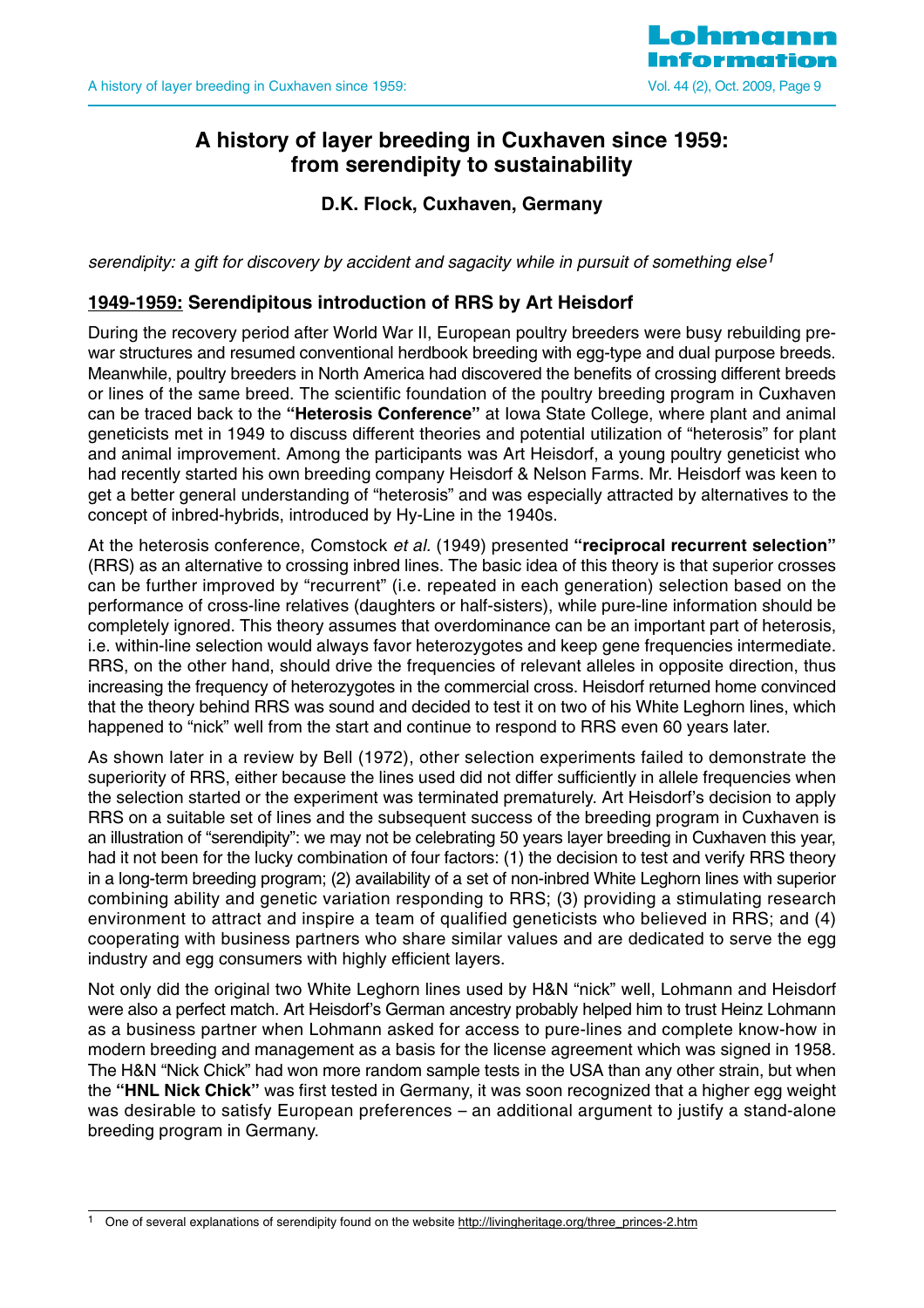

## **A history of layer breeding in Cuxhaven since 1959: from serendipity to sustainability**

**D.K. Flock, Cuxhaven, Germany** 

serendipity: a gift for discovery by accident and sagacity while in pursuit of something else<sup>1</sup>

#### **1949-1959: Serendipitous introduction of RRS by Art Heisdorf**

During the recovery period after World War II, European poultry breeders were busy rebuilding prewar structures and resumed conventional herdbook breeding with egg-type and dual purpose breeds. Meanwhile, poultry breeders in North America had discovered the benefits of crossing different breeds or lines of the same breed. The scientific foundation of the poultry breeding program in Cuxhaven can be traced back to the **"Heterosis Conference"** at Iowa State College, where plant and animal geneticists met in 1949 to discuss different theories and potential utilization of "heterosis" for plant and animal improvement. Among the participants was Art Heisdorf, a young poultry geneticist who had recently started his own breeding company Heisdorf & Nelson Farms. Mr. Heisdorf was keen to get a better general understanding of "heterosis" and was especially attracted by alternatives to the concept of inbred-hybrids, introduced by Hy-Line in the 1940s.

At the heterosis conference, Comstock et al. (1949) presented **"reciprocal recurrent selection"** (RRS) as an alternative to crossing inbred lines. The basic idea of this theory is that superior crosses can be further improved by "recurrent" (i.e. repeated in each generation) selection based on the performance of cross-line relatives (daughters or half-sisters), while pure-line information should be completely ignored. This theory assumes that overdominance can be an important part of heterosis, i.e. within-line selection would always favor heterozygotes and keep gene frequencies intermediate. RRS, on the other hand, should drive the frequencies of relevant alleles in opposite direction, thus increasing the frequency of heterozygotes in the commercial cross. Heisdorf returned home convinced that the theory behind RRS was sound and decided to test it on two of his White Leghorn lines, which happened to "nick" well from the start and continue to respond to RRS even 60 years later.

As shown later in a review by Bell (1972), other selection experiments failed to demonstrate the superiority of RRS, either because the lines used did not differ sufficiently in allele frequencies when the selection started or the experiment was terminated prematurely. Art Heisdorf's decision to apply RRS on a suitable set of lines and the subsequent success of the breeding program in Cuxhaven is an illustration of "serendipity": we may not be celebrating 50 years layer breeding in Cuxhaven this year, had it not been for the lucky combination of four factors: (1) the decision to test and verify RRS theory in a long-term breeding program; (2) availability of a set of non-inbred White Leghorn lines with superior combining ability and genetic variation responding to RRS; (3) providing a stimulating research environment to attract and inspire a team of qualified geneticists who believed in RRS; and (4) cooperating with business partners who share similar values and are dedicated to serve the egg industry and egg consumers with highly efficient layers.

Not only did the original two White Leghorn lines used by H&N "nick" well, Lohmann and Heisdorf were also a perfect match. Art Heisdorf's German ancestry probably helped him to trust Heinz Lohmann as a business partner when Lohmann asked for access to pure-lines and complete know-how in modern breeding and management as a basis for the license agreement which was signed in 1958. The H&N "Nick Chick" had won more random sample tests in the USA than any other strain, but when the **"HNL Nick Chick"** was first tested in Germany, it was soon recognized that a higher egg weight was desirable to satisfy European preferences – an additional argument to justify a stand-alone breeding program in Germany.

One of several explanations of serendipity found on the website http://livingheritage.org/three\_princes-2.htm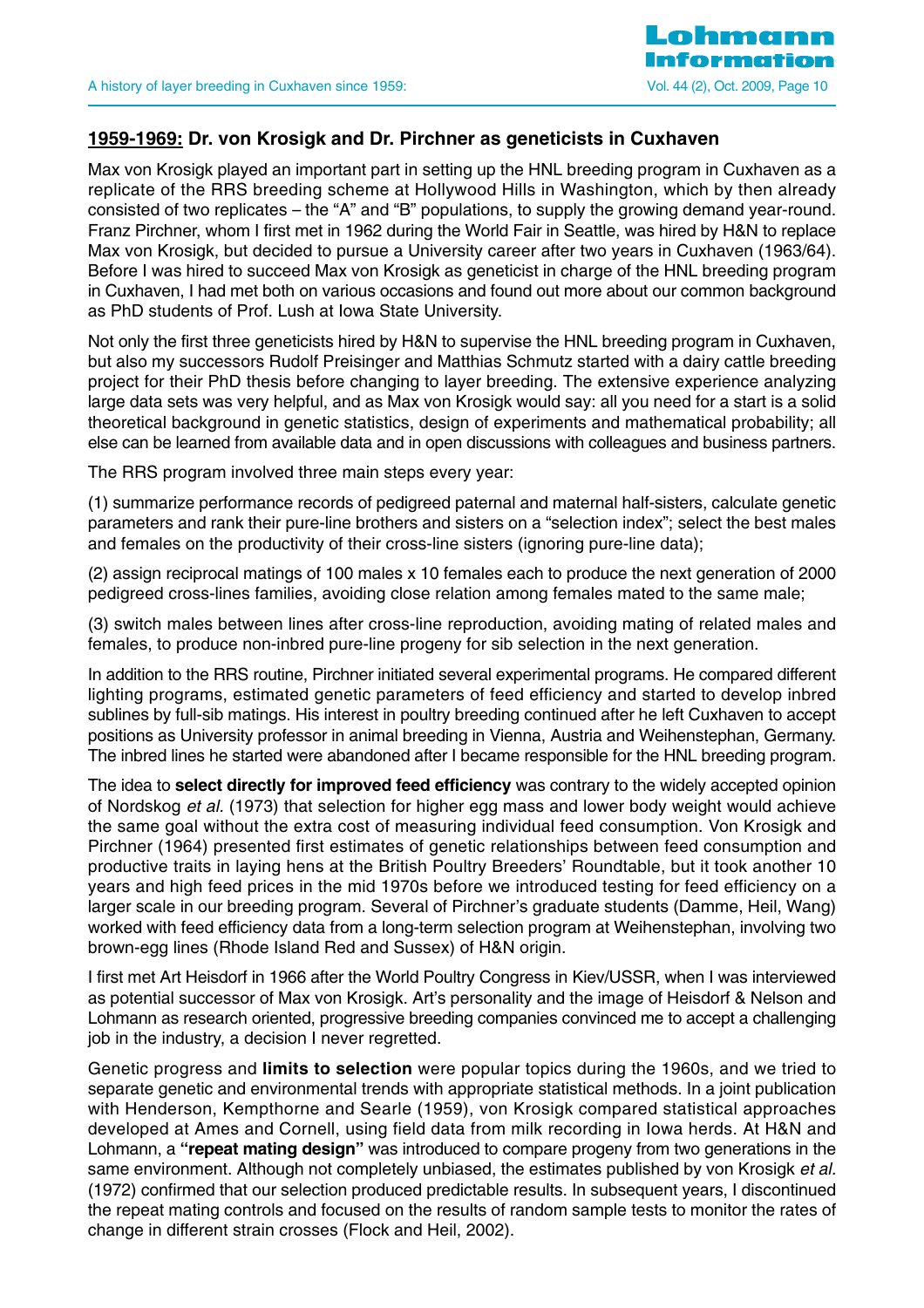

## **1959-1969: Dr. von Krosigk and Dr. Pirchner as geneticists in Cuxhaven**

Max von Krosigk played an important part in setting up the HNL breeding program in Cuxhaven as a replicate of the RRS breeding scheme at Hollywood Hills in Washington, which by then already consisted of two replicates – the "A" and "B" populations, to supply the growing demand year-round. Franz Pirchner, whom I first met in 1962 during the World Fair in Seattle, was hired by H&N to replace Max von Krosigk, but decided to pursue a University career after two years in Cuxhaven (1963/64). Before I was hired to succeed Max von Krosigk as geneticist in charge of the HNL breeding program in Cuxhaven, I had met both on various occasions and found out more about our common background as PhD students of Prof. Lush at Iowa State University.

Not only the first three geneticists hired by H&N to supervise the HNL breeding program in Cuxhaven, but also my successors Rudolf Preisinger and Matthias Schmutz started with a dairy cattle breeding project for their PhD thesis before changing to layer breeding. The extensive experience analyzing large data sets was very helpful, and as Max von Krosigk would say: all you need for a start is a solid theoretical background in genetic statistics, design of experiments and mathematical probability; all else can be learned from available data and in open discussions with colleagues and business partners.

The RRS program involved three main steps every year:

(1) summarize performance records of pedigreed paternal and maternal half-sisters, calculate genetic parameters and rank their pure-line brothers and sisters on a "selection index"; select the best males and females on the productivity of their cross-line sisters (ignoring pure-line data);

(2) assign reciprocal matings of 100 males x 10 females each to produce the next generation of 2000 pedigreed cross-lines families, avoiding close relation among females mated to the same male;

(3) switch males between lines after cross-line reproduction, avoiding mating of related males and females, to produce non-inbred pure-line progeny for sib selection in the next generation.

In addition to the RRS routine, Pirchner initiated several experimental programs. He compared different lighting programs, estimated genetic parameters of feed efficiency and started to develop inbred sublines by full-sib matings. His interest in poultry breeding continued after he left Cuxhaven to accept positions as University professor in animal breeding in Vienna, Austria and Weihenstephan, Germany. The inbred lines he started were abandoned after I became responsible for the HNL breeding program.

The idea to **select directly for improved feed efficiency** was contrary to the widely accepted opinion of Nordskog et al. (1973) that selection for higher egg mass and lower body weight would achieve the same goal without the extra cost of measuring individual feed consumption. Von Krosigk and Pirchner (1964) presented first estimates of genetic relationships between feed consumption and productive traits in laying hens at the British Poultry Breeders' Roundtable, but it took another 10 years and high feed prices in the mid 1970s before we introduced testing for feed efficiency on a larger scale in our breeding program. Several of Pirchner's graduate students (Damme, Heil, Wang) worked with feed efficiency data from a long-term selection program at Weihenstephan, involving two brown-egg lines (Rhode Island Red and Sussex) of H&N origin.

I first met Art Heisdorf in 1966 after the World Poultry Congress in Kiev/USSR, when I was interviewed as potential successor of Max von Krosigk. Art's personality and the image of Heisdorf & Nelson and Lohmann as research oriented, progressive breeding companies convinced me to accept a challenging job in the industry, a decision I never regretted.

Genetic progress and **limits to selection** were popular topics during the 1960s, and we tried to separate genetic and environmental trends with appropriate statistical methods. In a joint publication with Henderson, Kempthorne and Searle (1959), von Krosigk compared statistical approaches developed at Ames and Cornell, using field data from milk recording in Iowa herds. At H&N and Lohmann, a **"repeat mating design"** was introduced to compare progeny from two generations in the same environment. Although not completely unbiased, the estimates published by von Krosigk et al. (1972) confirmed that our selection produced predictable results. In subsequent years, I discontinued the repeat mating controls and focused on the results of random sample tests to monitor the rates of change in different strain crosses (Flock and Heil, 2002).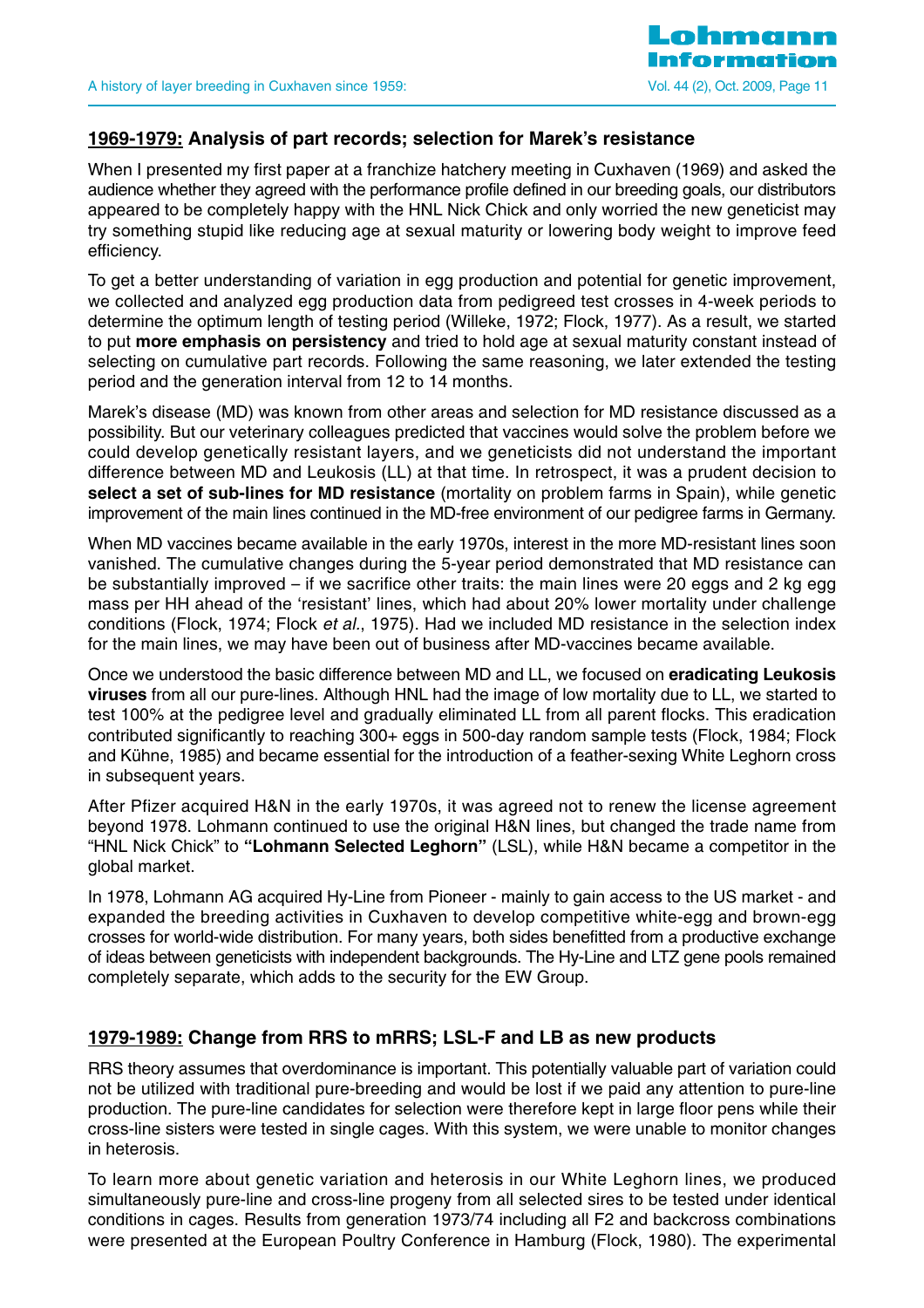## **1969-1979: Analysis of part records; selection for Marek's resistance**

When I presented my first paper at a franchize hatchery meeting in Cuxhaven (1969) and asked the audience whether they agreed with the performance profile defined in our breeding goals, our distributors appeared to be completely happy with the HNL Nick Chick and only worried the new geneticist may try something stupid like reducing age at sexual maturity or lowering body weight to improve feed efficiency.

To get a better understanding of variation in egg production and potential for genetic improvement, we collected and analyzed egg production data from pedigreed test crosses in 4-week periods to determine the optimum length of testing period (Willeke, 1972; Flock, 1977). As a result, we started to put **more emphasis on persistency** and tried to hold age at sexual maturity constant instead of selecting on cumulative part records. Following the same reasoning, we later extended the testing period and the generation interval from 12 to 14 months.

Marek's disease (MD) was known from other areas and selection for MD resistance discussed as a possibility. But our veterinary colleagues predicted that vaccines would solve the problem before we could develop genetically resistant layers, and we geneticists did not understand the important difference between MD and Leukosis (LL) at that time. In retrospect, it was a prudent decision to **select a set of sub-lines for MD resistance** (mortality on problem farms in Spain), while genetic improvement of the main lines continued in the MD-free environment of our pedigree farms in Germany.

When MD vaccines became available in the early 1970s, interest in the more MD-resistant lines soon vanished. The cumulative changes during the 5-year period demonstrated that MD resistance can be substantially improved – if we sacrifice other traits: the main lines were 20 eggs and 2 kg egg mass per HH ahead of the 'resistant' lines, which had about 20% lower mortality under challenge conditions (Flock, 1974; Flock et al., 1975). Had we included MD resistance in the selection index for the main lines, we may have been out of business after MD-vaccines became available.

Once we understood the basic difference between MD and LL, we focused on **eradicating Leukosis viruses** from all our pure-lines. Although HNL had the image of low mortality due to LL, we started to test 100% at the pedigree level and gradually eliminated LL from all parent flocks. This eradication contributed significantly to reaching 300+ eggs in 500-day random sample tests (Flock, 1984; Flock and Kühne, 1985) and became essential for the introduction of a feather-sexing White Leghorn cross in subsequent years.

After Pfizer acquired H&N in the early 1970s, it was agreed not to renew the license agreement beyond 1978. Lohmann continued to use the original H&N lines, but changed the trade name from "HNL Nick Chick" to **"Lohmann Selected Leghorn"** (LSL), while H&N became a competitor in the global market.

In 1978, Lohmann AG acquired Hy-Line from Pioneer - mainly to gain access to the US market - and expanded the breeding activities in Cuxhaven to develop competitive white-egg and brown-egg crosses for world-wide distribution. For many years, both sides benefitted from a productive exchange of ideas between geneticists with independent backgrounds. The Hy-Line and LTZ gene pools remained completely separate, which adds to the security for the EW Group.

## **1979-1989: Change from RRS to mRRS; LSL-F and LB as new products**

RRS theory assumes that overdominance is important. This potentially valuable part of variation could not be utilized with traditional pure-breeding and would be lost if we paid any attention to pure-line production. The pure-line candidates for selection were therefore kept in large floor pens while their cross-line sisters were tested in single cages. With this system, we were unable to monitor changes in heterosis.

To learn more about genetic variation and heterosis in our White Leghorn lines, we produced simultaneously pure-line and cross-line progeny from all selected sires to be tested under identical conditions in cages. Results from generation 1973/74 including all F2 and backcross combinations were presented at the European Poultry Conference in Hamburg (Flock, 1980). The experimental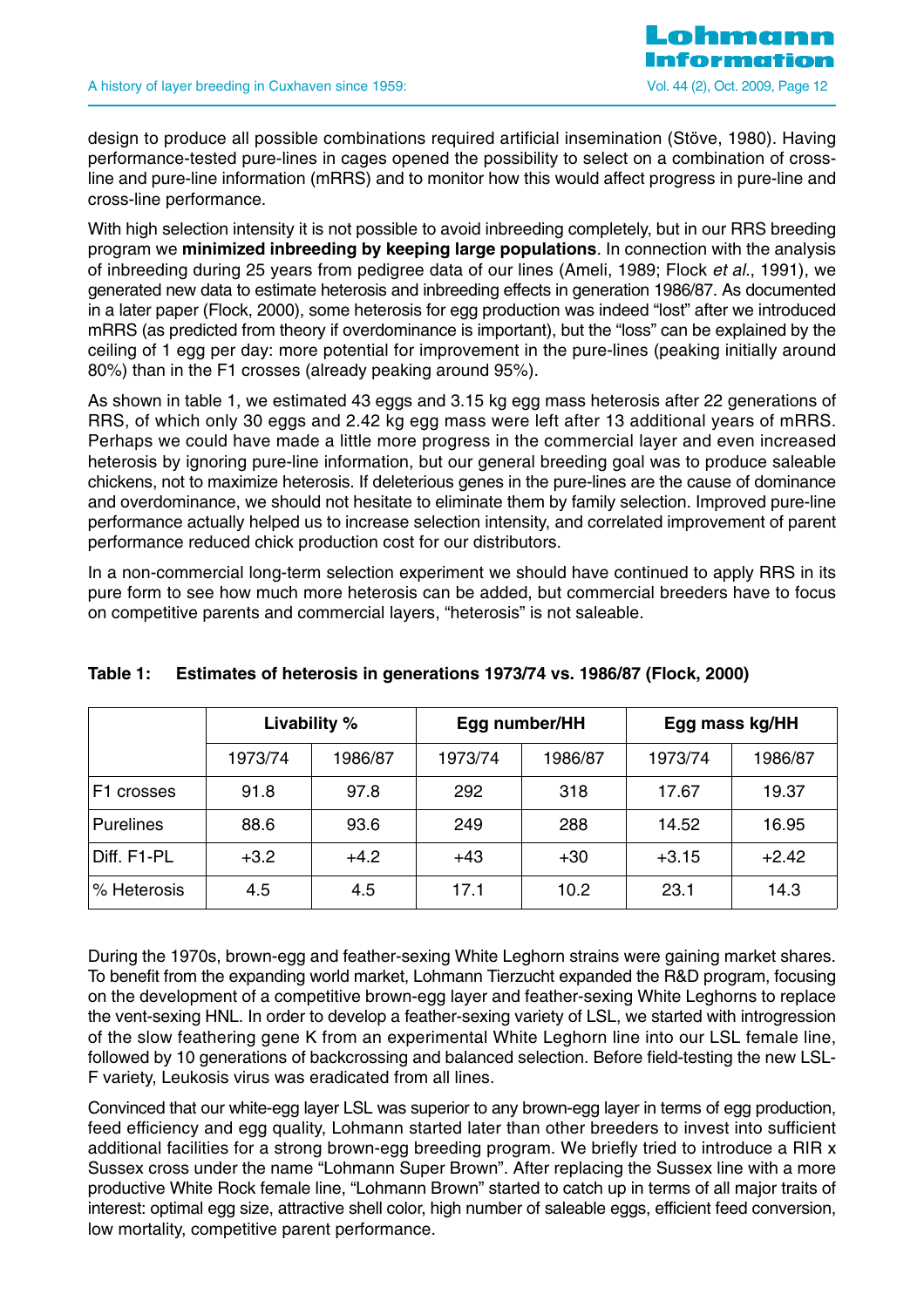

design to produce all possible combinations required artificial insemination (Stöve, 1980). Having performance-tested pure-lines in cages opened the possibility to select on a combination of crossline and pure-line information (mRRS) and to monitor how this would affect progress in pure-line and cross-line performance.

With high selection intensity it is not possible to avoid inbreeding completely, but in our RRS breeding program we **minimized inbreeding by keeping large populations**. In connection with the analysis of inbreeding during 25 years from pedigree data of our lines (Ameli, 1989; Flock et al., 1991), we generated new data to estimate heterosis and inbreeding effects in generation 1986/87. As documented in a later paper (Flock, 2000), some heterosis for egg production was indeed "lost" after we introduced mRRS (as predicted from theory if overdominance is important), but the "loss" can be explained by the ceiling of 1 egg per day: more potential for improvement in the pure-lines (peaking initially around 80%) than in the F1 crosses (already peaking around 95%).

As shown in table 1, we estimated 43 eggs and 3.15 kg egg mass heterosis after 22 generations of RRS, of which only 30 eggs and 2.42 kg egg mass were left after 13 additional years of mRRS. Perhaps we could have made a little more progress in the commercial layer and even increased heterosis by ignoring pure-line information, but our general breeding goal was to produce saleable chickens, not to maximize heterosis. If deleterious genes in the pure-lines are the cause of dominance and overdominance, we should not hesitate to eliminate them by family selection. Improved pure-line performance actually helped us to increase selection intensity, and correlated improvement of parent performance reduced chick production cost for our distributors.

In a non-commercial long-term selection experiment we should have continued to apply RRS in its pure form to see how much more heterosis can be added, but commercial breeders have to focus on competitive parents and commercial layers, "heterosis" is not saleable.

|                  | Livability % |         |         | Egg number/HH | Egg mass kg/HH |         |  |
|------------------|--------------|---------|---------|---------------|----------------|---------|--|
|                  | 1973/74      | 1986/87 | 1973/74 | 1986/87       | 1973/74        | 1986/87 |  |
| F1 crosses       | 91.8         | 97.8    | 292     | 318           | 17.67          | 19.37   |  |
| <b>Purelines</b> | 88.6         | 93.6    | 249     | 288           | 14.52          | 16.95   |  |
| Diff. F1-PL      | $+3.2$       | $+4.2$  | $+43$   | $+30$         | $+3.15$        | $+2.42$ |  |
| % Heterosis      | 4.5          | 4.5     | 17.1    | 10.2          | 23.1           | 14.3    |  |

## **Table 1: Estimates of heterosis in generations 1973/74 vs. 1986/87 (Flock, 2000)**

During the 1970s, brown-egg and feather-sexing White Leghorn strains were gaining market shares. To benefit from the expanding world market, Lohmann Tierzucht expanded the R&D program, focusing on the development of a competitive brown-egg layer and feather-sexing White Leghorns to replace the vent-sexing HNL. In order to develop a feather-sexing variety of LSL, we started with introgression of the slow feathering gene K from an experimental White Leghorn line into our LSL female line, followed by 10 generations of backcrossing and balanced selection. Before field-testing the new LSL-F variety, Leukosis virus was eradicated from all lines.

Convinced that our white-egg layer LSL was superior to any brown-egg layer in terms of egg production, feed efficiency and egg quality, Lohmann started later than other breeders to invest into sufficient additional facilities for a strong brown-egg breeding program. We briefly tried to introduce a RIR x Sussex cross under the name "Lohmann Super Brown". After replacing the Sussex line with a more productive White Rock female line, "Lohmann Brown" started to catch up in terms of all major traits of interest: optimal egg size, attractive shell color, high number of saleable eggs, efficient feed conversion, low mortality, competitive parent performance.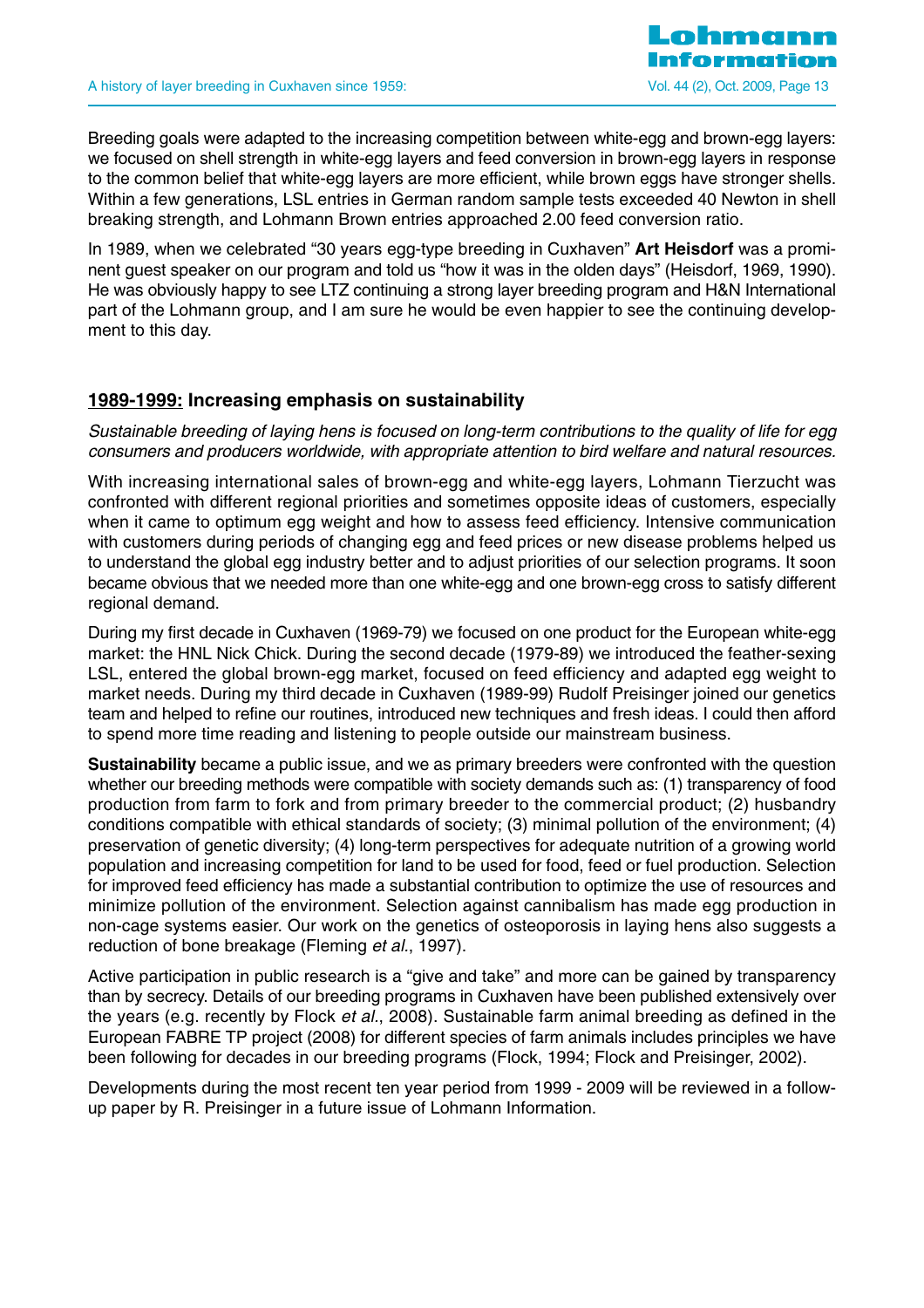Breeding goals were adapted to the increasing competition between white-egg and brown-egg layers: we focused on shell strength in white-egg layers and feed conversion in brown-egg layers in response to the common belief that white-egg layers are more efficient, while brown eggs have stronger shells. Within a few generations, LSL entries in German random sample tests exceeded 40 Newton in shell breaking strength, and Lohmann Brown entries approached 2.00 feed conversion ratio.

In 1989, when we celebrated "30 years egg-type breeding in Cuxhaven" **Art Heisdorf** was a prominent guest speaker on our program and told us "how it was in the olden days" (Heisdorf, 1969, 1990). He was obviously happy to see LTZ continuing a strong layer breeding program and H&N International part of the Lohmann group, and I am sure he would be even happier to see the continuing development to this day.

## **1989-1999: Increasing emphasis on sustainability**

Sustainable breeding of laying hens is focused on long-term contributions to the quality of life for egg consumers and producers worldwide, with appropriate attention to bird welfare and natural resources.

With increasing international sales of brown-egg and white-egg layers, Lohmann Tierzucht was confronted with different regional priorities and sometimes opposite ideas of customers, especially when it came to optimum egg weight and how to assess feed efficiency. Intensive communication with customers during periods of changing egg and feed prices or new disease problems helped us to understand the global egg industry better and to adjust priorities of our selection programs. It soon became obvious that we needed more than one white-egg and one brown-egg cross to satisfy different regional demand.

During my first decade in Cuxhaven (1969-79) we focused on one product for the European white-egg market: the HNL Nick Chick. During the second decade (1979-89) we introduced the feather-sexing LSL, entered the global brown-egg market, focused on feed efficiency and adapted egg weight to market needs. During my third decade in Cuxhaven (1989-99) Rudolf Preisinger joined our genetics team and helped to refine our routines, introduced new techniques and fresh ideas. I could then afford to spend more time reading and listening to people outside our mainstream business.

**Sustainability** became a public issue, and we as primary breeders were confronted with the question whether our breeding methods were compatible with society demands such as: (1) transparency of food production from farm to fork and from primary breeder to the commercial product; (2) husbandry conditions compatible with ethical standards of society; (3) minimal pollution of the environment; (4) preservation of genetic diversity; (4) long-term perspectives for adequate nutrition of a growing world population and increasing competition for land to be used for food, feed or fuel production. Selection for improved feed efficiency has made a substantial contribution to optimize the use of resources and minimize pollution of the environment. Selection against cannibalism has made egg production in non-cage systems easier. Our work on the genetics of osteoporosis in laying hens also suggests a reduction of bone breakage (Fleming et al., 1997).

Active participation in public research is a "give and take" and more can be gained by transparency than by secrecy. Details of our breeding programs in Cuxhaven have been published extensively over the years (e.g. recently by Flock et al., 2008). Sustainable farm animal breeding as defined in the European FABRE TP project (2008) for different species of farm animals includes principles we have been following for decades in our breeding programs (Flock, 1994; Flock and Preisinger, 2002).

Developments during the most recent ten year period from 1999 - 2009 will be reviewed in a followup paper by R. Preisinger in a future issue of Lohmann Information.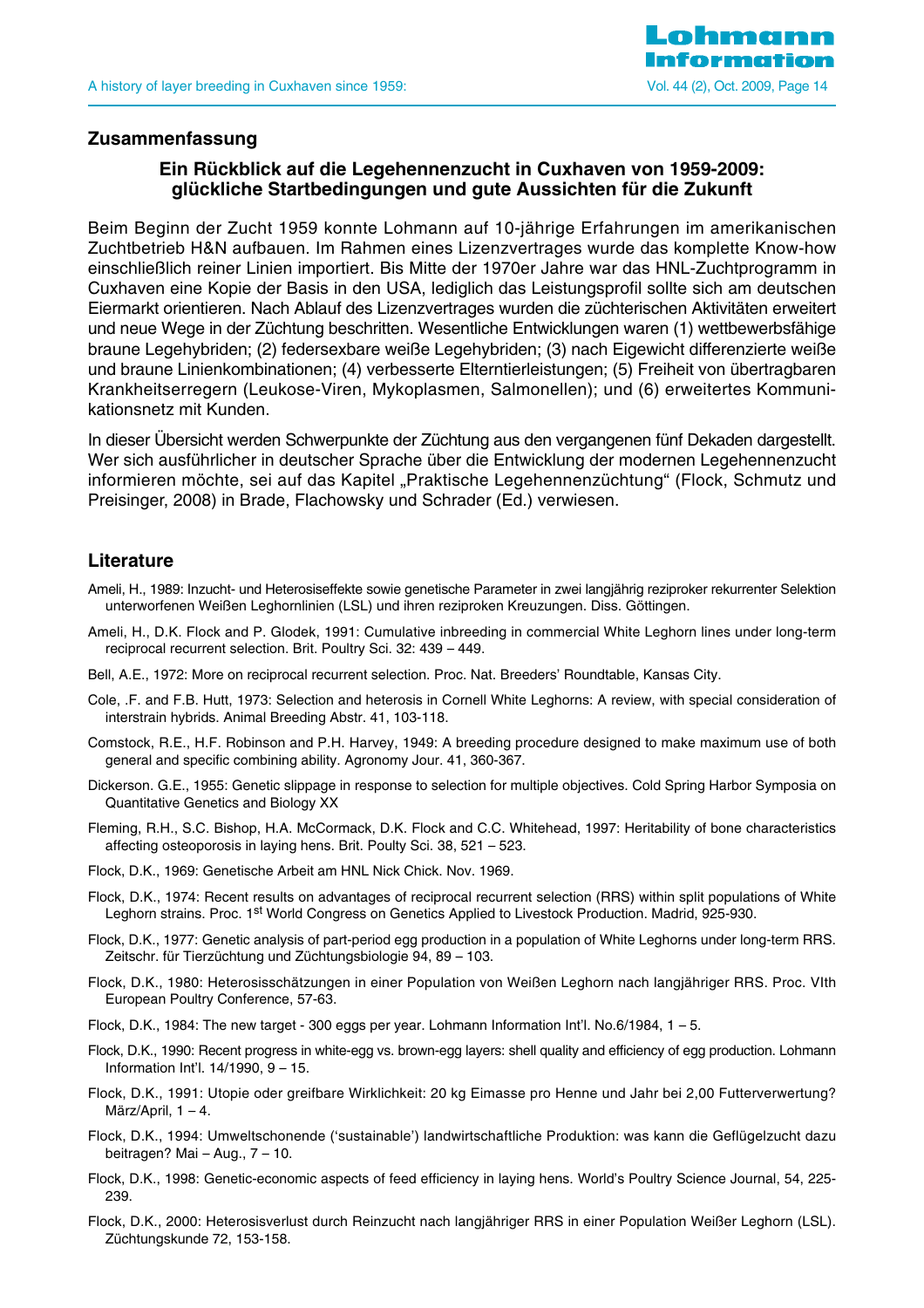

#### **Zusammenfassung**

## **Ein Rückblick auf die Legehennenzucht in Cuxhaven von 1959-2009: glückliche Startbedingungen und gute Aussichten für die Zukunft**

Beim Beginn der Zucht 1959 konnte Lohmann auf 10-jährige Erfahrungen im amerikanischen Zuchtbetrieb H&N aufbauen. Im Rahmen eines Lizenzvertrages wurde das komplette Know-how einschließlich reiner Linien importiert. Bis Mitte der 1970er Jahre war das HNL-Zuchtprogramm in Cuxhaven eine Kopie der Basis in den USA, lediglich das Leistungsprofil sollte sich am deutschen Eiermarkt orientieren. Nach Ablauf des Lizenzvertrages wurden die züchterischen Aktivitäten erweitert und neue Wege in der Züchtung beschritten. Wesentliche Entwicklungen waren (1) wettbewerbsfähige braune Legehybriden; (2) federsexbare weiße Legehybriden; (3) nach Eigewicht differenzierte weiße und braune Linienkombinationen; (4) verbesserte Elterntierleistungen; (5) Freiheit von übertragbaren Krankheitserregern (Leukose-Viren, Mykoplasmen, Salmonellen); und (6) erweitertes Kommunikationsnetz mit Kunden.

In dieser Übersicht werden Schwerpunkte der Züchtung aus den vergangenen fünf Dekaden dargestellt. Wer sich ausführlicher in deutscher Sprache über die Entwicklung der modernen Legehennenzucht informieren möchte, sei auf das Kapitel "Praktische Legehennenzüchtung" (Flock, Schmutz und Preisinger, 2008) in Brade, Flachowsky und Schrader (Ed.) verwiesen.

#### **Literature**

- Ameli, H., 1989: Inzucht- und Heterosiseffekte sowie genetische Parameter in zwei langjährig reziproker rekurrenter Selektion unterworfenen Weißen Leghornlinien (LSL) und ihren reziproken Kreuzungen. Diss. Göttingen.
- Ameli, H., D.K. Flock and P. Glodek, 1991: Cumulative inbreeding in commercial White Leghorn lines under long-term reciprocal recurrent selection. Brit. Poultry Sci. 32: 439 – 449.
- Bell, A.E., 1972: More on reciprocal recurrent selection. Proc. Nat. Breeders' Roundtable, Kansas City.
- Cole, .F. and F.B. Hutt, 1973: Selection and heterosis in Cornell White Leghorns: A review, with special consideration of interstrain hybrids. Animal Breeding Abstr. 41, 103-118.
- Comstock, R.E., H.F. Robinson and P.H. Harvey, 1949: A breeding procedure designed to make maximum use of both general and specific combining ability. Agronomy Jour. 41, 360-367.
- Dickerson. G.E., 1955: Genetic slippage in response to selection for multiple objectives. Cold Spring Harbor Symposia on Quantitative Genetics and Biology XX
- Fleming, R.H., S.C. Bishop, H.A. McCormack, D.K. Flock and C.C. Whitehead, 1997: Heritability of bone characteristics affecting osteoporosis in laying hens. Brit. Poulty Sci. 38, 521 – 523.
- Flock, D.K., 1969: Genetische Arbeit am HNL Nick Chick. Nov. 1969.
- Flock, D.K., 1974: Recent results on advantages of reciprocal recurrent selection (RRS) within split populations of White Leghorn strains. Proc. 1st World Congress on Genetics Applied to Livestock Production. Madrid, 925-930.
- Flock, D.K., 1977: Genetic analysis of part-period egg production in a population of White Leghorns under long-term RRS. Zeitschr. für Tierzüchtung und Züchtungsbiologie 94, 89 – 103.
- Flock, D.K., 1980: Heterosisschätzungen in einer Population von Weißen Leghorn nach langjähriger RRS. Proc. VIth European Poultry Conference, 57-63.
- Flock, D.K., 1984: The new target 300 eggs per year. Lohmann Information Int'l. No.6/1984, 1 5.
- Flock, D.K., 1990: Recent progress in white-egg vs. brown-egg layers: shell quality and efficiency of egg production. Lohmann Information Int'l. 14/1990, 9 – 15.
- Flock, D.K., 1991: Utopie oder greifbare Wirklichkeit: 20 kg Eimasse pro Henne und Jahr bei 2,00 Futterverwertung? März/April, 1 – 4.
- Flock, D.K., 1994: Umweltschonende ('sustainable') landwirtschaftliche Produktion: was kann die Geflügelzucht dazu beitragen? Mai – Aug., 7 – 10.
- Flock, D.K., 1998: Genetic-economic aspects of feed efficiency in laying hens. World's Poultry Science Journal, 54, 225- 239.
- Flock, D.K., 2000: Heterosisverlust durch Reinzucht nach langjähriger RRS in einer Population Weißer Leghorn (LSL). Züchtungskunde 72, 153-158.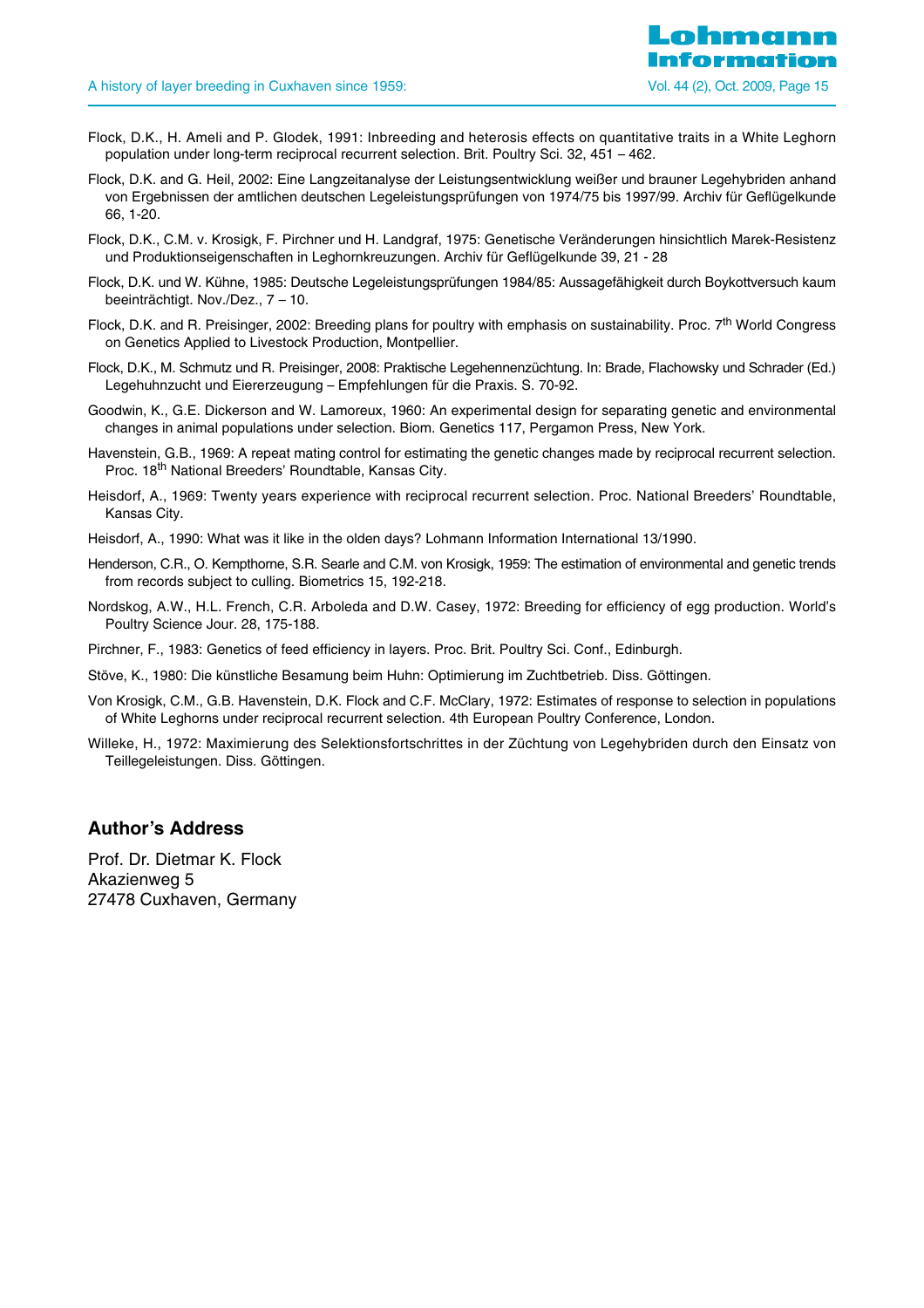- Flock, D.K., H. Ameli and P. Glodek, 1991: Inbreeding and heterosis effects on quantitative traits in a White Leghorn population under long-term reciprocal recurrent selection. Brit. Poultry Sci. 32, 451 – 462.
- Flock, D.K. and G. Heil, 2002: Eine Langzeitanalyse der Leistungsentwicklung weißer und brauner Legehybriden anhand von Ergebnissen der amtlichen deutschen Legeleistungsprüfungen von 1974/75 bis 1997/99. Archiv für Geflügelkunde 66, 1-20.
- Flock, D.K., C.M. v. Krosigk, F. Pirchner und H. Landgraf, 1975: Genetische Veränderungen hinsichtlich Marek-Resistenz und Produktionseigenschaften in Leghornkreuzungen. Archiv für Geflügelkunde 39, 21 - 28
- Flock, D.K. und W. Kühne, 1985: Deutsche Legeleistungsprüfungen 1984/85: Aussagefähigkeit durch Boykottversuch kaum beeinträchtigt. Nov./Dez., 7 – 10.
- Flock, D.K. and R. Preisinger, 2002: Breeding plans for poultry with emphasis on sustainability. Proc. 7<sup>th</sup> World Congress on Genetics Applied to Livestock Production, Montpellier.
- Flock, D.K., M. Schmutz und R. Preisinger, 2008: Praktische Legehennenzüchtung. In: Brade, Flachowsky und Schrader (Ed.) Legehuhnzucht und Eiererzeugung – Empfehlungen für die Praxis. S. 70-92.
- Goodwin, K., G.E. Dickerson and W. Lamoreux, 1960: An experimental design for separating genetic and environmental changes in animal populations under selection. Biom. Genetics 117, Pergamon Press, New York.
- Havenstein, G.B., 1969: A repeat mating control for estimating the genetic changes made by reciprocal recurrent selection. Proc. 18<sup>th</sup> National Breeders' Roundtable, Kansas City.
- Heisdorf, A., 1969: Twenty years experience with reciprocal recurrent selection. Proc. National Breeders' Roundtable, Kansas City.
- Heisdorf, A., 1990: What was it like in the olden days? Lohmann Information International 13/1990.
- Henderson, C.R., O. Kempthorne, S.R. Searle and C.M. von Krosigk, 1959: The estimation of environmental and genetic trends from records subject to culling. Biometrics 15, 192-218.
- Nordskog, A.W., H.L. French, C.R. Arboleda and D.W. Casey, 1972: Breeding for efficiency of egg production. World's Poultry Science Jour. 28, 175-188.
- Pirchner, F., 1983: Genetics of feed efficiency in layers. Proc. Brit. Poultry Sci. Conf., Edinburgh.
- Stöve, K., 1980: Die künstliche Besamung beim Huhn: Optimierung im Zuchtbetrieb. Diss. Göttingen.
- Von Krosigk, C.M., G.B. Havenstein, D.K. Flock and C.F. McClary, 1972: Estimates of response to selection in populations of White Leghorns under reciprocal recurrent selection. 4th European Poultry Conference, London.
- Willeke, H., 1972: Maximierung des Selektionsfortschrittes in der Züchtung von Legehybriden durch den Einsatz von Teillegeleistungen. Diss. Göttingen.

#### **Author's Address**

Prof. Dr. Dietmar K. Flock Akazienweg 5 27478 Cuxhaven, Germany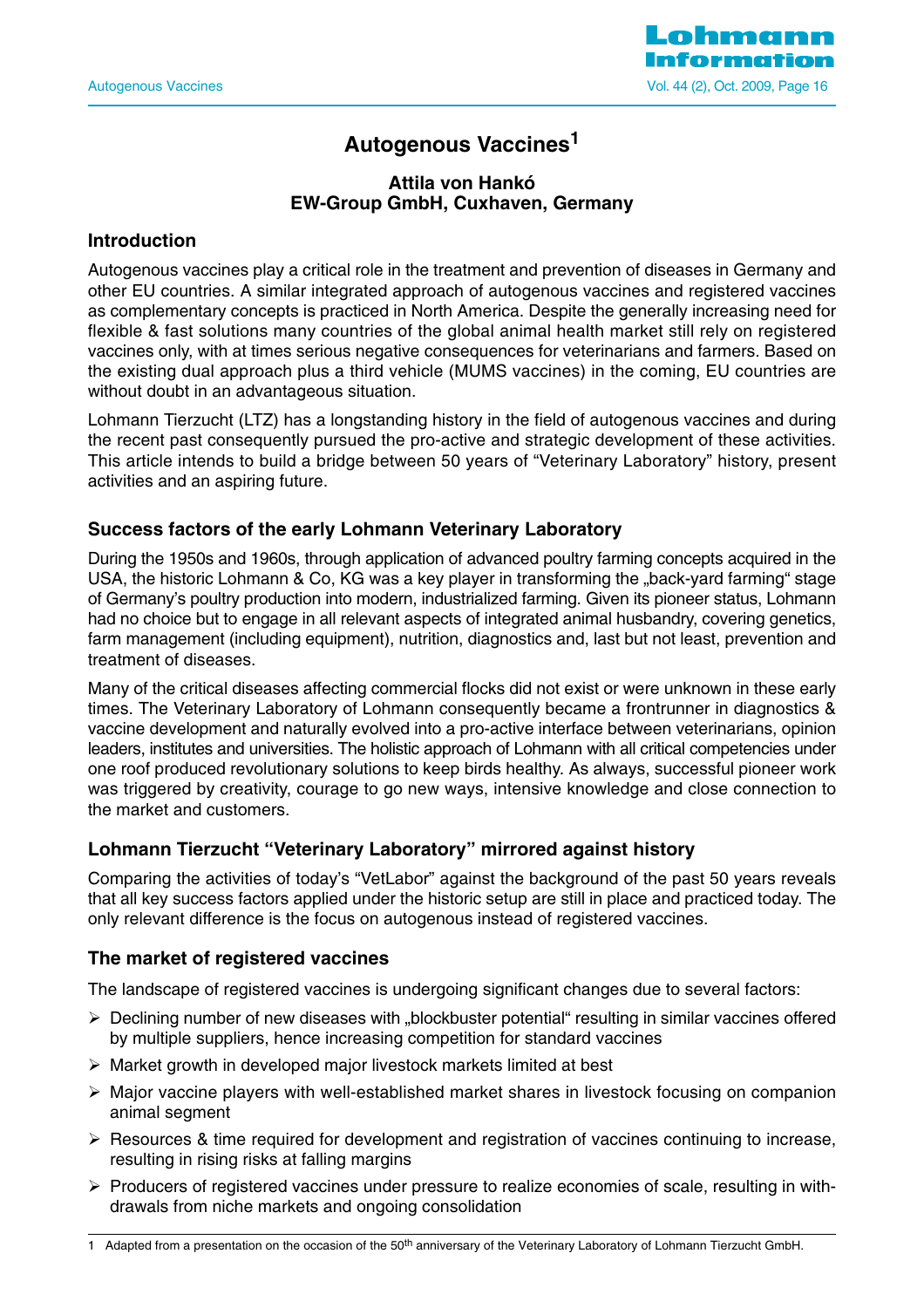

## **Autogenous Vaccines1**

#### **Attila von Hankó EW-Group GmbH, Cuxhaven, Germany**

## **Introduction**

Autogenous vaccines play a critical role in the treatment and prevention of diseases in Germany and other EU countries. A similar integrated approach of autogenous vaccines and registered vaccines as complementary concepts is practiced in North America. Despite the generally increasing need for flexible & fast solutions many countries of the global animal health market still rely on registered vaccines only, with at times serious negative consequences for veterinarians and farmers. Based on the existing dual approach plus a third vehicle (MUMS vaccines) in the coming, EU countries are without doubt in an advantageous situation.

Lohmann Tierzucht (LTZ) has a longstanding history in the field of autogenous vaccines and during the recent past consequently pursued the pro-active and strategic development of these activities. This article intends to build a bridge between 50 years of "Veterinary Laboratory" history, present activities and an aspiring future.

## **Success factors of the early Lohmann Veterinary Laboratory**

During the 1950s and 1960s, through application of advanced poultry farming concepts acquired in the USA, the historic Lohmann & Co, KG was a key player in transforming the "back-yard farming" stage of Germany's poultry production into modern, industrialized farming. Given its pioneer status, Lohmann had no choice but to engage in all relevant aspects of integrated animal husbandry, covering genetics, farm management (including equipment), nutrition, diagnostics and, last but not least, prevention and treatment of diseases.

Many of the critical diseases affecting commercial flocks did not exist or were unknown in these early times. The Veterinary Laboratory of Lohmann consequently became a frontrunner in diagnostics & vaccine development and naturally evolved into a pro-active interface between veterinarians, opinion leaders, institutes and universities. The holistic approach of Lohmann with all critical competencies under one roof produced revolutionary solutions to keep birds healthy. As always, successful pioneer work was triggered by creativity, courage to go new ways, intensive knowledge and close connection to the market and customers.

## **Lohmann Tierzucht "Veterinary Laboratory" mirrored against history**

Comparing the activities of today's "VetLabor" against the background of the past 50 years reveals that all key success factors applied under the historic setup are still in place and practiced today. The only relevant difference is the focus on autogenous instead of registered vaccines.

#### **The market of registered vaccines**

The landscape of registered vaccines is undergoing significant changes due to several factors:

- $\triangleright$  Declining number of new diseases with "blockbuster potential" resulting in similar vaccines offered by multiple suppliers, hence increasing competition for standard vaccines
- $\triangleright$  Market growth in developed major livestock markets limited at best
- $\triangleright$  Major vaccine players with well-established market shares in livestock focusing on companion animal segment
- $\triangleright$  Resources & time required for development and registration of vaccines continuing to increase, resulting in rising risks at falling margins
- $\triangleright$  Producers of registered vaccines under pressure to realize economies of scale, resulting in withdrawals from niche markets and ongoing consolidation

<sup>1</sup> Adapted from a presentation on the occasion of the 50<sup>th</sup> anniversary of the Veterinary Laboratory of Lohmann Tierzucht GmbH.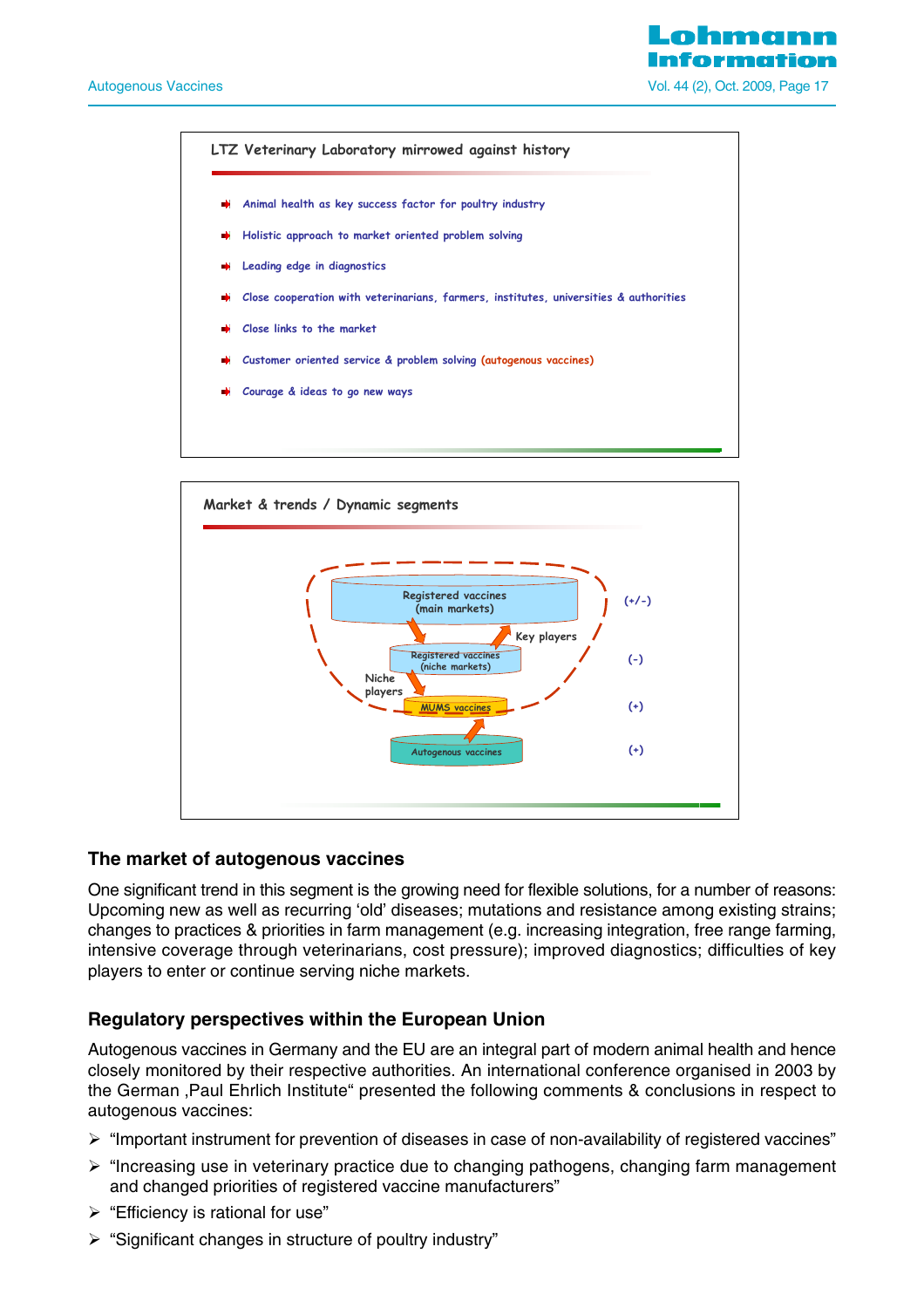o hmen Vol. 44 (2), Oct. 2009, Page 17





## **The market of autogenous vaccines**

One significant trend in this segment is the growing need for flexible solutions, for a number of reasons: Upcoming new as well as recurring 'old' diseases; mutations and resistance among existing strains; changes to practices & priorities in farm management (e.g. increasing integration, free range farming, intensive coverage through veterinarians, cost pressure); improved diagnostics; difficulties of key players to enter or continue serving niche markets.

## **Regulatory perspectives within the European Union**

Autogenous vaccines in Germany and the EU are an integral part of modern animal health and hence closely monitored by their respective authorities. An international conference organised in 2003 by the German , Paul Ehrlich Institute" presented the following comments & conclusions in respect to autogenous vaccines:

- ¾ "Important instrument for prevention of diseases in case of non-availability of registered vaccines"
- $\triangleright$  "Increasing use in veterinary practice due to changing pathogens, changing farm management and changed priorities of registered vaccine manufacturers"
- $\triangleright$  "Efficiency is rational for use"
- ¾ "Significant changes in structure of poultry industry"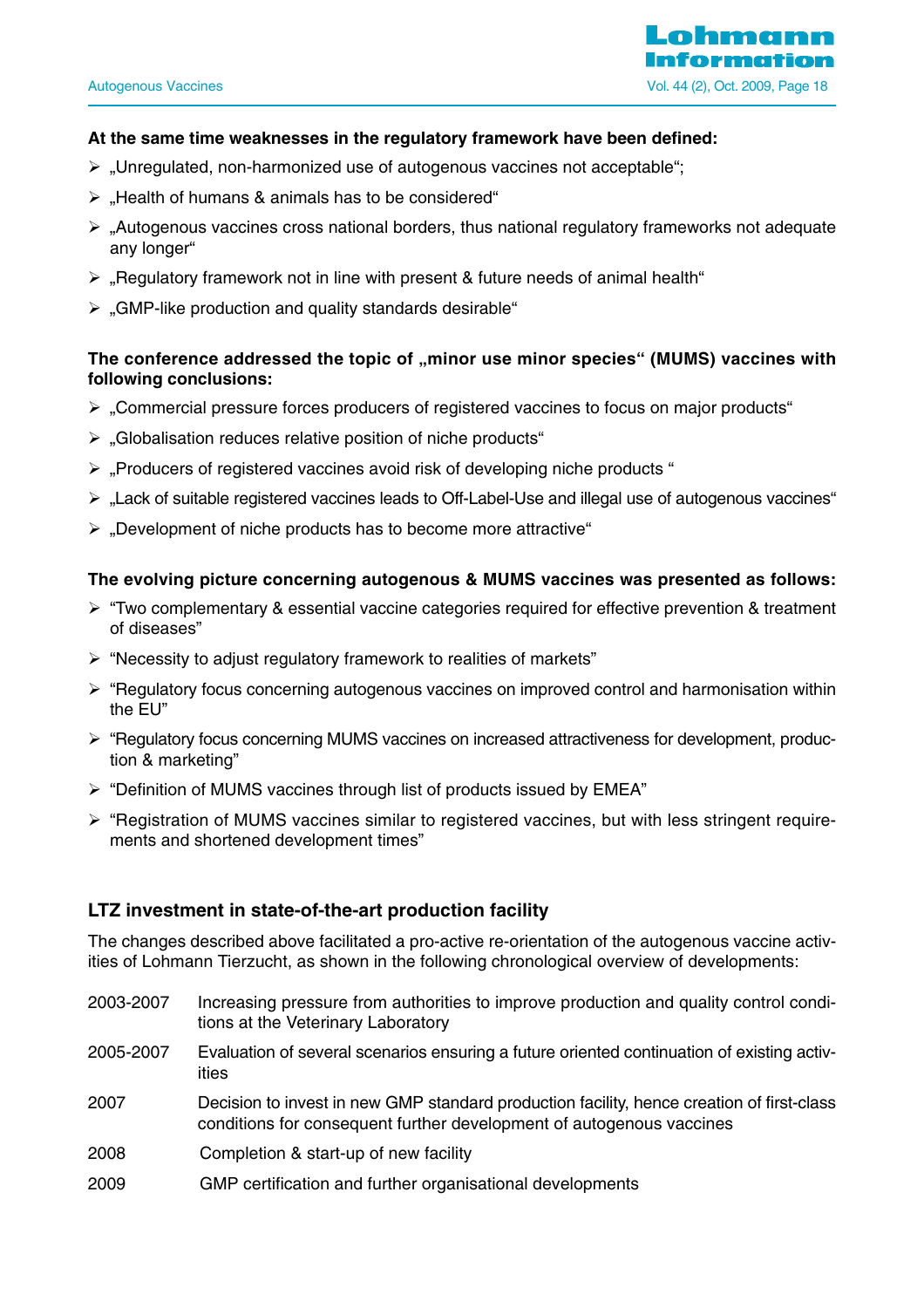

#### **At the same time weaknesses in the regulatory framework have been defined:**

- $\triangleright$  . Unregulated, non-harmonized use of autogenous vaccines not acceptable";
- $\triangleright$  , Health of humans & animals has to be considered"
- $\triangleright$  "Autogenous vaccines cross national borders, thus national regulatory frameworks not adequate any longer"
- $\triangleright$  , Regulatory framework not in line with present & future needs of animal health "
- $\triangleright$  . GMP-like production and quality standards desirable "

## The conference addressed the topic of "minor use minor species" (MUMS) vaccines with **following conclusions:**

- ¾ "Commercial pressure forces producers of registered vaccines to focus on major products"
- $\triangleright$  . Globalisation reduces relative position of niche products "
- $\triangleright$  . Producers of registered vaccines avoid risk of developing niche products "
- $\triangleright$  . Lack of suitable registered vaccines leads to Off-Label-Use and illegal use of autogenous vaccines"
- $\triangleright$  . Development of niche products has to become more attractive "

#### **The evolving picture concerning autogenous & MUMS vaccines was presented as follows:**

- $\triangleright$  "Two complementary & essential vaccine categories required for effective prevention & treatment of diseases"
- $\triangleright$  "Necessity to adjust regulatory framework to realities of markets"
- $\triangleright$  "Regulatory focus concerning autogenous vaccines on improved control and harmonisation within the EU"
- ¾ "Regulatory focus concerning MUMS vaccines on increased attractiveness for development, production & marketing"
- ¾ "Definition of MUMS vaccines through list of products issued by EMEA"
- $\triangleright$  "Registration of MUMS vaccines similar to registered vaccines, but with less stringent requirements and shortened development times"

#### **LTZ investment in state-of-the-art production facility**

The changes described above facilitated a pro-active re-orientation of the autogenous vaccine activities of Lohmann Tierzucht, as shown in the following chronological overview of developments:

- 2003-2007 Increasing pressure from authorities to improve production and quality control conditions at the Veterinary Laboratory
- 2005-2007 Evaluation of several scenarios ensuring a future oriented continuation of existing activities
- 2007 Decision to invest in new GMP standard production facility, hence creation of first-class conditions for consequent further development of autogenous vaccines
- 2008 Completion & start-up of new facility
- 2009 GMP certification and further organisational developments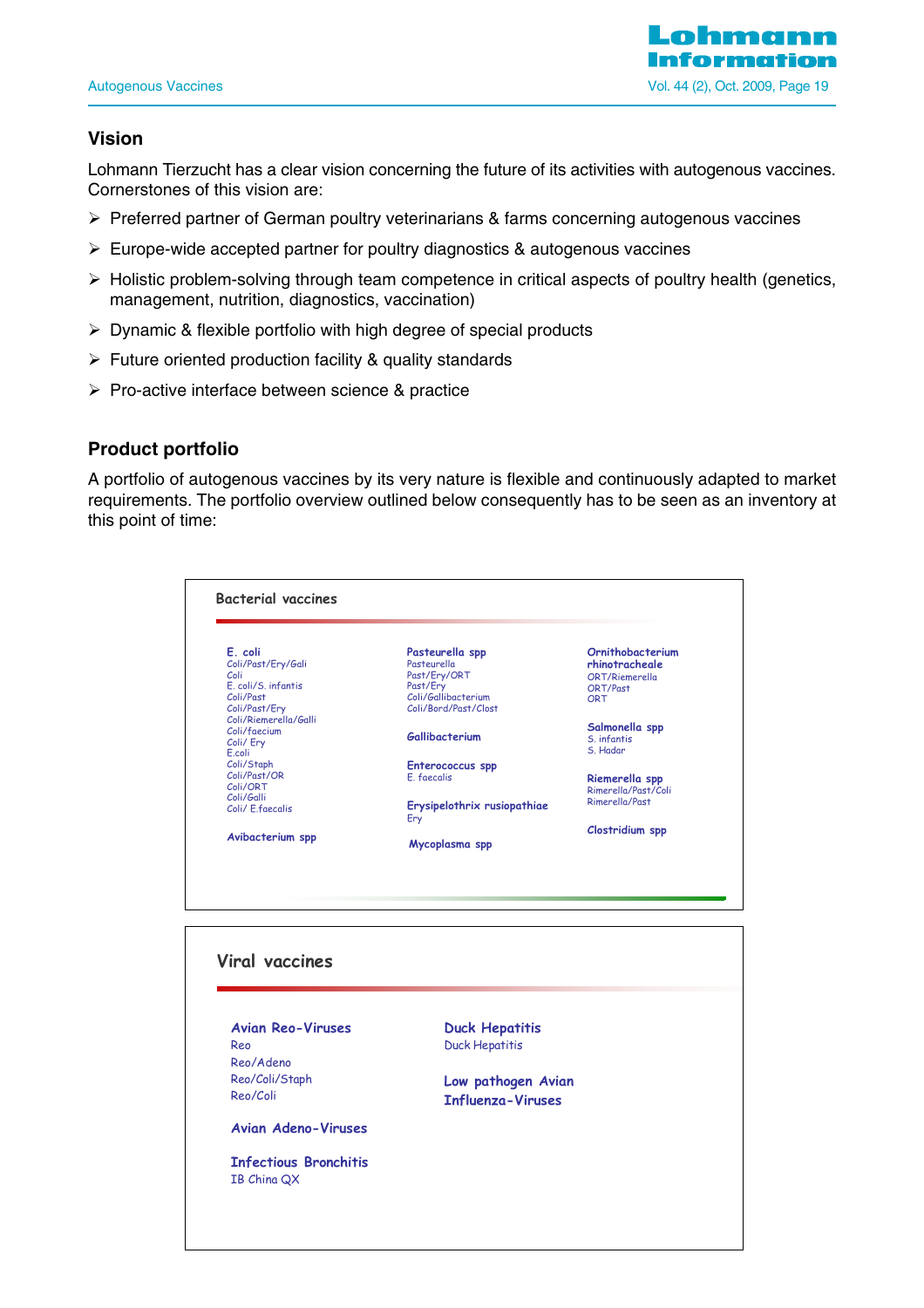

## **Vision**

Lohmann Tierzucht has a clear vision concerning the future of its activities with autogenous vaccines. Cornerstones of this vision are:

- ¾ Preferred partner of German poultry veterinarians & farms concerning autogenous vaccines
- $\triangleright$  Europe-wide accepted partner for poultry diagnostics & autogenous vaccines
- $\triangleright$  Holistic problem-solving through team competence in critical aspects of poultry health (genetics, management, nutrition, diagnostics, vaccination)
- $\triangleright$  Dynamic & flexible portfolio with high degree of special products
- $\triangleright$  Future oriented production facility & quality standards
- ¾ Pro-active interface between science & practice

#### **Product portfolio**

A portfolio of autogenous vaccines by its very nature is flexible and continuously adapted to market requirements. The portfolio overview outlined below consequently has to be seen as an inventory at this point of time:

| E. coli                          | Pasteurella spp                 | Ornithobacterium    |
|----------------------------------|---------------------------------|---------------------|
| Coli/Past/Ery/Gali               | Pasteurella                     | rhinotracheale      |
| Coli                             | Past/Ery/ORT                    | ORT/Riemerella      |
| E. coli/S. infantis<br>Coli/Past | Past/Ery<br>Coli/Gallibacterium | ORT/Past            |
| Coli/Past/Ery                    | Coli/Bord/Past/Clost            | ORT                 |
| Coli/Riemerella/Galli            |                                 |                     |
| Coli/faecium                     |                                 | Salmonella spp      |
| Coli/ Ery                        | Gallibacterium                  | S. infantis         |
| E.coli                           |                                 | S. Hadar            |
| Coli/Staph                       | Enterococcus spp                |                     |
| Coli/Past/OR                     | E. faecalis                     | Riemerella spp      |
| Coli/ORT                         |                                 | Rimerella/Past/Coli |
| Coli/Galli<br>Coli/ E.faecalis   | Erysipelothrix rusiopathiae     | Rimerella/Past      |
|                                  | Ery                             |                     |
|                                  |                                 | Clostridium spp     |
| Avibacterium spp                 | Mycoplasma spp                  |                     |
|                                  |                                 |                     |
| <b>Viral vaccines</b>            |                                 |                     |
| <b>Avian Reo-Viruses</b><br>Reo  | <b>Duck Hepatitis</b>           |                     |
|                                  | <b>Duck Hepatitis</b>           |                     |
| Reo/Adeno                        |                                 |                     |
| Reo/Coli/Staph                   | Low pathogen Avian              |                     |
| Reo/Coli                         |                                 |                     |
|                                  | <b>Influenza-Viruses</b>        |                     |
| <b>Avian Adeno-Viruses</b>       |                                 |                     |
| <b>Infectious Bronchitis</b>     |                                 |                     |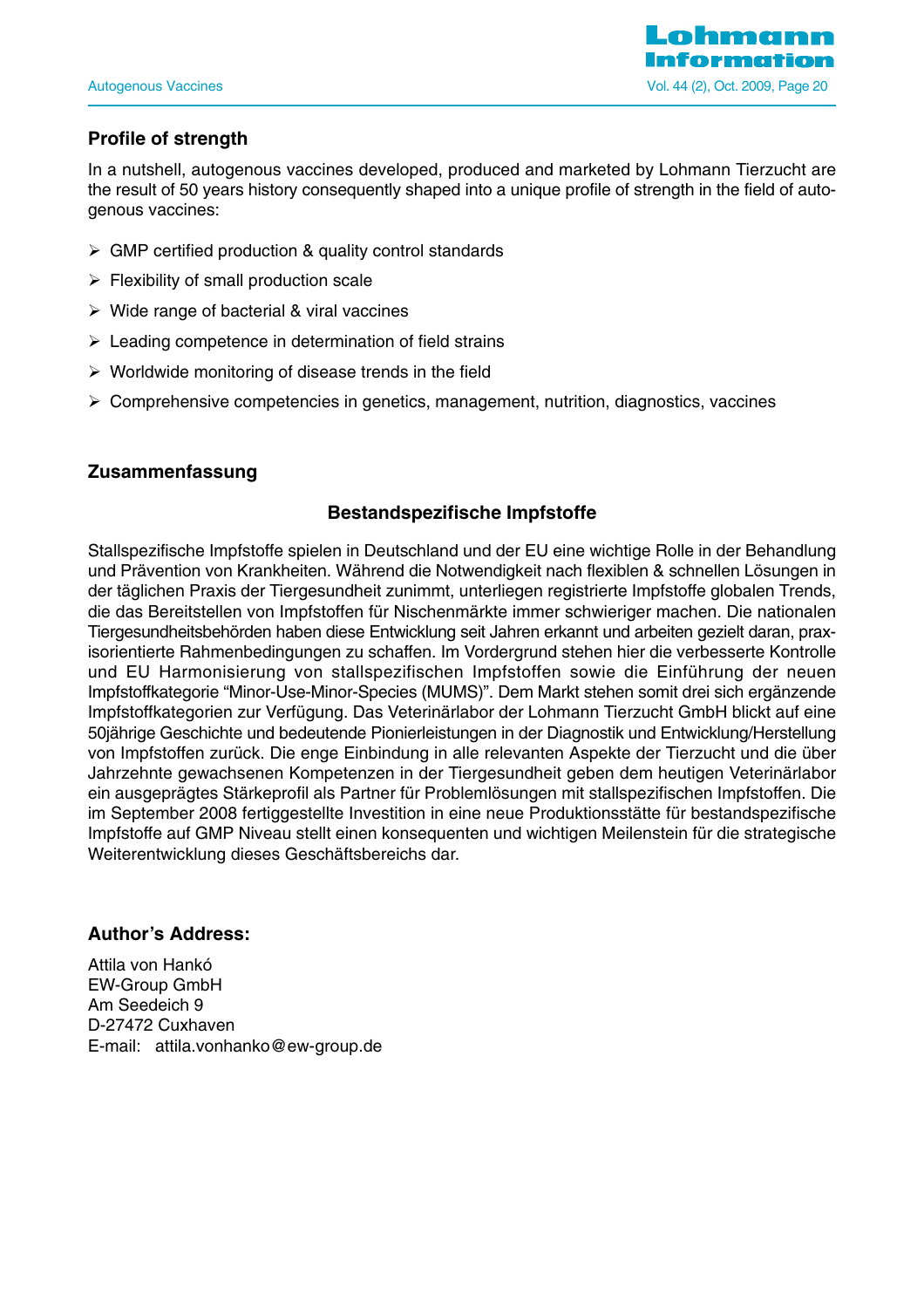

## **Profile of strength**

In a nutshell, autogenous vaccines developed, produced and marketed by Lohmann Tierzucht are the result of 50 years history consequently shaped into a unique profile of strength in the field of autogenous vaccines:

- $\triangleright$  GMP certified production & quality control standards
- $\triangleright$  Flexibility of small production scale
- $\triangleright$  Wide range of bacterial & viral vaccines
- $\triangleright$  Leading competence in determination of field strains
- $\triangleright$  Worldwide monitoring of disease trends in the field
- $\triangleright$  Comprehensive competencies in genetics, management, nutrition, diagnostics, vaccines

#### **Zusammenfassung**

## **Bestandspezifische Impfstoffe**

Stallspezifische Impfstoffe spielen in Deutschland und der EU eine wichtige Rolle in der Behandlung und Prävention von Krankheiten. Während die Notwendigkeit nach flexiblen & schnellen Lösungen in der täglichen Praxis der Tiergesundheit zunimmt, unterliegen registrierte Impfstoffe globalen Trends, die das Bereitstellen von Impfstoffen für Nischenmärkte immer schwieriger machen. Die nationalen Tiergesundheitsbehörden haben diese Entwicklung seit Jahren erkannt und arbeiten gezielt daran, praxisorientierte Rahmenbedingungen zu schaffen. Im Vordergrund stehen hier die verbesserte Kontrolle und EU Harmonisierung von stallspezifischen Impfstoffen sowie die Einführung der neuen Impfstoffkategorie "Minor-Use-Minor-Species (MUMS)". Dem Markt stehen somit drei sich ergänzende Impfstoffkategorien zur Verfügung. Das Veterinärlabor der Lohmann Tierzucht GmbH blickt auf eine 50jährige Geschichte und bedeutende Pionierleistungen in der Diagnostik und Entwicklung/Herstellung von Impfstoffen zurück. Die enge Einbindung in alle relevanten Aspekte der Tierzucht und die über Jahrzehnte gewachsenen Kompetenzen in der Tiergesundheit geben dem heutigen Veterinärlabor ein ausgeprägtes Stärkeprofil als Partner für Problemlösungen mit stallspezifischen Impfstoffen. Die im September 2008 fertiggestellte Investition in eine neue Produktionsstätte für bestandspezifische Impfstoffe auf GMP Niveau stellt einen konsequenten und wichtigen Meilenstein für die strategische Weiterentwicklung dieses Geschäftsbereichs dar.

#### **Author's Address:**

Attila von Hankó EW-Group GmbH Am Seedeich 9 D-27472 Cuxhaven E-mail: attila.vonhanko@ew-group.de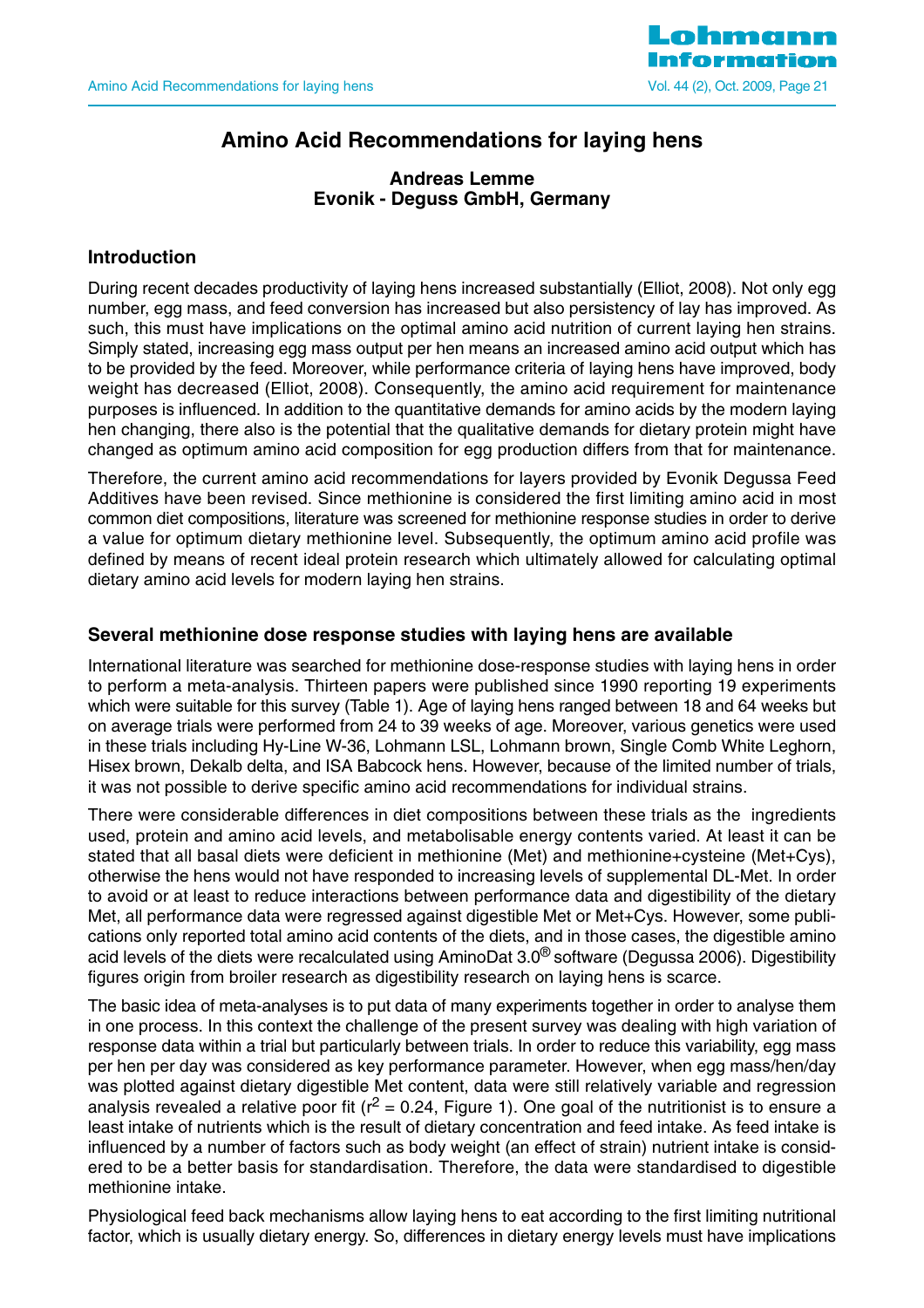

## **Amino Acid Recommendations for laying hens**

## **Andreas Lemme Evonik - Deguss GmbH, Germany**

## **Introduction**

During recent decades productivity of laying hens increased substantially (Elliot, 2008). Not only egg number, egg mass, and feed conversion has increased but also persistency of lay has improved. As such, this must have implications on the optimal amino acid nutrition of current laying hen strains. Simply stated, increasing egg mass output per hen means an increased amino acid output which has to be provided by the feed. Moreover, while performance criteria of laying hens have improved, body weight has decreased (Elliot, 2008). Consequently, the amino acid requirement for maintenance purposes is influenced. In addition to the quantitative demands for amino acids by the modern laying hen changing, there also is the potential that the qualitative demands for dietary protein might have changed as optimum amino acid composition for egg production differs from that for maintenance.

Therefore, the current amino acid recommendations for layers provided by Evonik Degussa Feed Additives have been revised. Since methionine is considered the first limiting amino acid in most common diet compositions, literature was screened for methionine response studies in order to derive a value for optimum dietary methionine level. Subsequently, the optimum amino acid profile was defined by means of recent ideal protein research which ultimately allowed for calculating optimal dietary amino acid levels for modern laying hen strains.

#### **Several methionine dose response studies with laying hens are available**

International literature was searched for methionine dose-response studies with laying hens in order to perform a meta-analysis. Thirteen papers were published since 1990 reporting 19 experiments which were suitable for this survey (Table 1). Age of laying hens ranged between 18 and 64 weeks but on average trials were performed from 24 to 39 weeks of age. Moreover, various genetics were used in these trials including Hy-Line W-36, Lohmann LSL, Lohmann brown, Single Comb White Leghorn, Hisex brown, Dekalb delta, and ISA Babcock hens. However, because of the limited number of trials, it was not possible to derive specific amino acid recommendations for individual strains.

There were considerable differences in diet compositions between these trials as the ingredients used, protein and amino acid levels, and metabolisable energy contents varied. At least it can be stated that all basal diets were deficient in methionine (Met) and methionine+cysteine (Met+Cys), otherwise the hens would not have responded to increasing levels of supplemental DL-Met. In order to avoid or at least to reduce interactions between performance data and digestibility of the dietary Met, all performance data were regressed against digestible Met or Met+Cys. However, some publications only reported total amino acid contents of the diets, and in those cases, the digestible amino acid levels of the diets were recalculated using AminoDat 3.0® software (Degussa 2006). Digestibility figures origin from broiler research as digestibility research on laying hens is scarce.

The basic idea of meta-analyses is to put data of many experiments together in order to analyse them in one process. In this context the challenge of the present survey was dealing with high variation of response data within a trial but particularly between trials. In order to reduce this variability, egg mass per hen per day was considered as key performance parameter. However, when egg mass/hen/day was plotted against dietary digestible Met content, data were still relatively variable and regression analysis revealed a relative poor fit ( $r^2$  = 0.24, Figure 1). One goal of the nutritionist is to ensure a least intake of nutrients which is the result of dietary concentration and feed intake. As feed intake is influenced by a number of factors such as body weight (an effect of strain) nutrient intake is considered to be a better basis for standardisation. Therefore, the data were standardised to digestible methionine intake.

Physiological feed back mechanisms allow laying hens to eat according to the first limiting nutritional factor, which is usually dietary energy. So, differences in dietary energy levels must have implications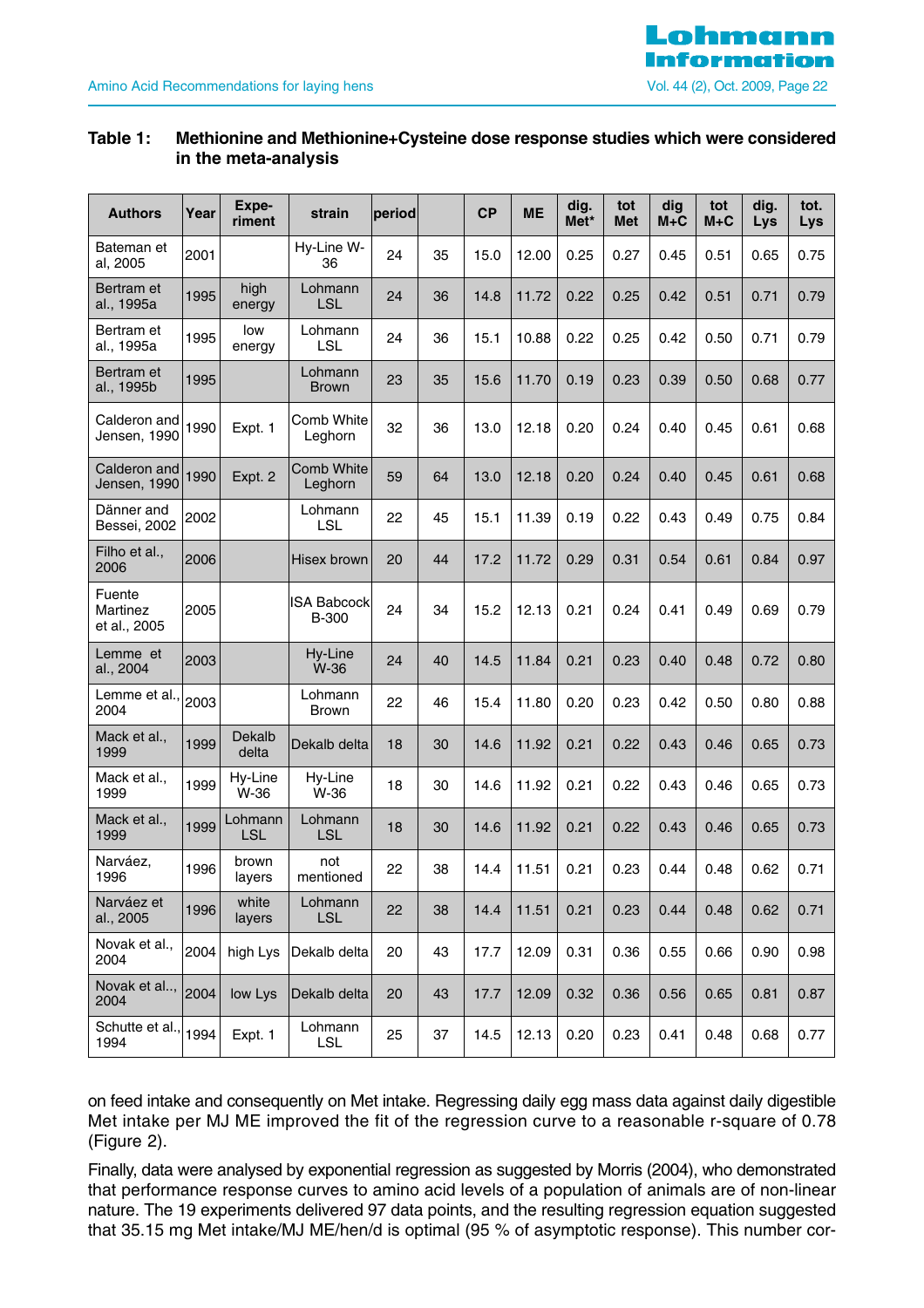

#### **Table 1: Methionine and Methionine+Cysteine dose response studies which were considered in the meta-analysis**

| <b>Authors</b>                     | Year | Expe-<br>riment       | strain                             | period |    | <b>CP</b> | <b>ME</b> | dig.<br>Met* | tot<br><b>Met</b> | dig<br>$M+C$ | tot<br>$M + C$ | dig.<br>Lys | tot.<br>Lys |
|------------------------------------|------|-----------------------|------------------------------------|--------|----|-----------|-----------|--------------|-------------------|--------------|----------------|-------------|-------------|
| Bateman et<br>al, 2005             | 2001 |                       | Hy-Line W-<br>36                   | 24     | 35 | 15.0      | 12.00     | 0.25         | 0.27              | 0.45         | 0.51           | 0.65        | 0.75        |
| Bertram et<br>al., 1995a           | 1995 | high<br>energy        | Lohmann<br><b>LSL</b>              | 24     | 36 | 14.8      | 11.72     | 0.22         | 0.25              | 0.42         | 0.51           | 0.71        | 0.79        |
| Bertram et<br>al., 1995a           | 1995 | low<br>energy         | Lohmann<br><b>LSL</b>              | 24     | 36 | 15.1      | 10.88     | 0.22         | 0.25              | 0.42         | 0.50           | 0.71        | 0.79        |
| Bertram et<br>al., 1995b           | 1995 |                       | Lohmann<br><b>Brown</b>            | 23     | 35 | 15.6      | 11.70     | 0.19         | 0.23              | 0.39         | 0.50           | 0.68        | 0.77        |
| Calderon and<br>Jensen, 1990       | 1990 | Expt. 1               | Comb White<br>Leghorn              | 32     | 36 | 13.0      | 12.18     | 0.20         | 0.24              | 0.40         | 0.45           | 0.61        | 0.68        |
| Calderon and<br>Jensen, 1990       | 1990 | Expt. 2               | Comb White<br>Leghorn              | 59     | 64 | 13.0      | 12.18     | 0.20         | 0.24              | 0.40         | 0.45           | 0.61        | 0.68        |
| Dänner and<br>Bessei, 2002         | 2002 |                       | Lohmann<br><b>LSL</b>              | 22     | 45 | 15.1      | 11.39     | 0.19         | 0.22              | 0.43         | 0.49           | 0.75        | 0.84        |
| Filho et al.,<br>2006              | 2006 |                       | Hisex brown                        | 20     | 44 | 17.2      | 11.72     | 0.29         | 0.31              | 0.54         | 0.61           | 0.84        | 0.97        |
| Fuente<br>Martinez<br>et al., 2005 | 2005 |                       | <b>ISA Babcock</b><br><b>B-300</b> | 24     | 34 | 15.2      | 12.13     | 0.21         | 0.24              | 0.41         | 0.49           | 0.69        | 0.79        |
| Lemme et<br>al., 2004              | 2003 |                       | Hy-Line<br>W-36                    | 24     | 40 | 14.5      | 11.84     | 0.21         | 0.23              | 0.40         | 0.48           | 0.72        | 0.80        |
| Lemme et al.,<br>2004              | 2003 |                       | Lohmann<br><b>Brown</b>            | 22     | 46 | 15.4      | 11.80     | 0.20         | 0.23              | 0.42         | 0.50           | 0.80        | 0.88        |
| Mack et al.,<br>1999               | 1999 | Dekalb<br>delta       | Dekalb delta                       | 18     | 30 | 14.6      | 11.92     | 0.21         | 0.22              | 0.43         | 0.46           | 0.65        | 0.73        |
| Mack et al.,<br>1999               | 1999 | Hy-Line<br>W-36       | Hy-Line<br>W-36                    | 18     | 30 | 14.6      | 11.92     | 0.21         | 0.22              | 0.43         | 0.46           | 0.65        | 0.73        |
| Mack et al.,<br>1999               | 1999 | Lohmann<br><b>LSL</b> | Lohmann<br><b>LSL</b>              | 18     | 30 | 14.6      | 11.92     | 0.21         | 0.22              | 0.43         | 0.46           | 0.65        | 0.73        |
| Narváez,<br>1996                   | 1996 | brown<br>layers       | not<br>mentioned                   | 22     | 38 | 14.4      | 11.51     | 0.21         | 0.23              | 0.44         | 0.48           | 0.62        | 0.71        |
| Narváez et<br>al., 2005            | 1996 | white<br>layers       | Lohmann<br><b>LSL</b>              | 22     | 38 | 14.4      | 11.51     | 0.21         | 0.23              | 0.44         | 0.48           | 0.62        | 0.71        |
| Novak et al.,<br>2004              | 2004 | high Lys              | Dekalb delta                       | 20     | 43 | 17.7      | 12.09     | 0.31         | 0.36              | 0.55         | 0.66           | 0.90        | 0.98        |
| Novak et al<br>2004                | 2004 | low Lys               | Dekalb delta                       | 20     | 43 | 17.7      | 12.09     | 0.32         | 0.36              | 0.56         | 0.65           | 0.81        | 0.87        |
| Schutte et al.,<br>1994            | 1994 | Expt. 1               | Lohmann<br><b>LSL</b>              | 25     | 37 | 14.5      | 12.13     | 0.20         | 0.23              | 0.41         | 0.48           | 0.68        | 0.77        |

on feed intake and consequently on Met intake. Regressing daily egg mass data against daily digestible Met intake per MJ ME improved the fit of the regression curve to a reasonable r-square of 0.78 (Figure 2).

Finally, data were analysed by exponential regression as suggested by Morris (2004), who demonstrated that performance response curves to amino acid levels of a population of animals are of non-linear nature. The 19 experiments delivered 97 data points, and the resulting regression equation suggested that 35.15 mg Met intake/MJ ME/hen/d is optimal (95 % of asymptotic response). This number cor-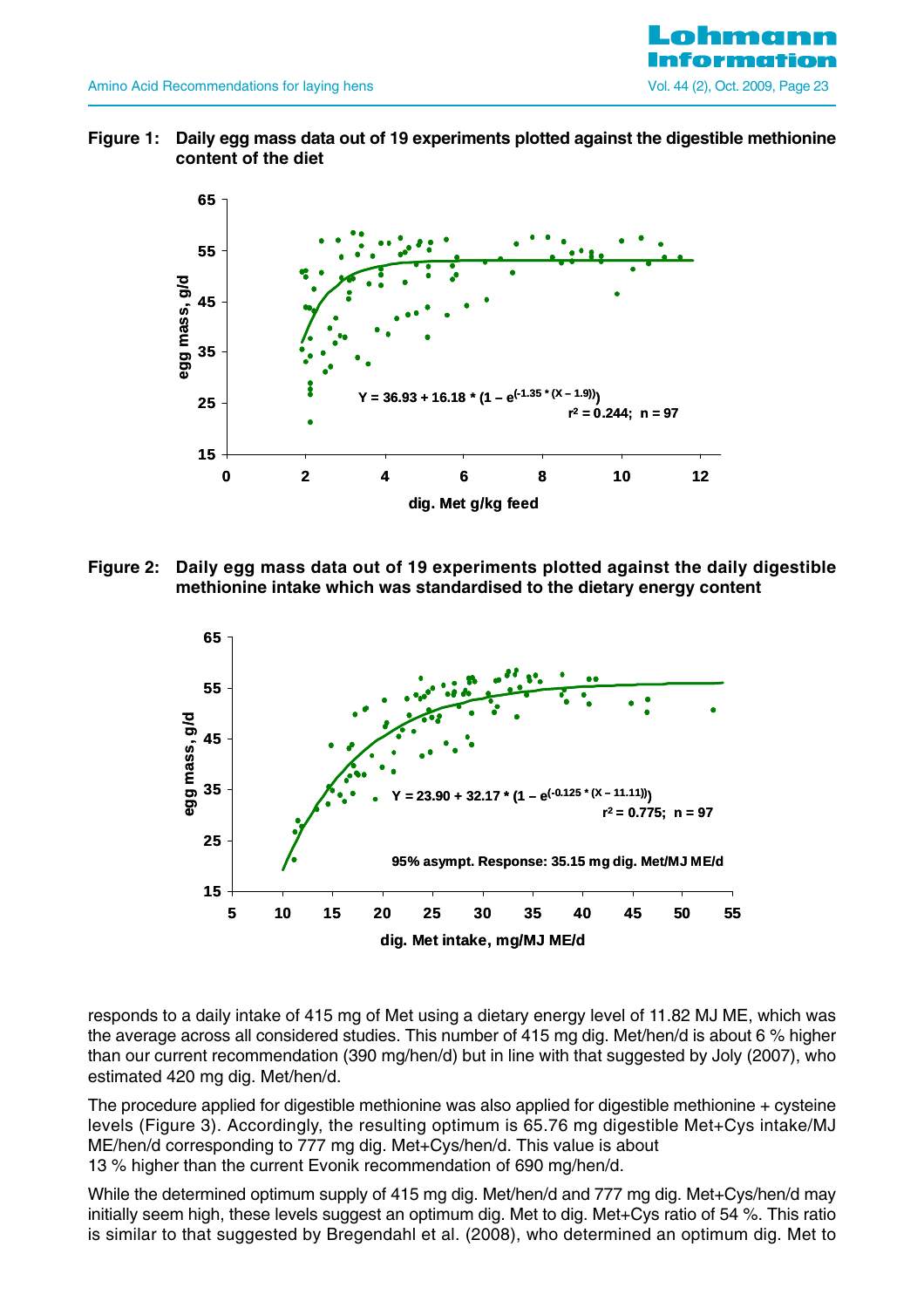

**Figure 1: Daily egg mass data out of 19 experiments plotted against the digestible methionine content of the diet** 



**Figure 2: Daily egg mass data out of 19 experiments plotted against the daily digestible methionine intake which was standardised to the dietary energy content**



responds to a daily intake of 415 mg of Met using a dietary energy level of 11.82 MJ ME, which was the average across all considered studies. This number of 415 mg dig. Met/hen/d is about 6 % higher than our current recommendation (390 mg/hen/d) but in line with that suggested by Joly (2007), who estimated 420 mg dig. Met/hen/d.

The procedure applied for digestible methionine was also applied for digestible methionine  $+$  cysteine levels (Figure 3). Accordingly, the resulting optimum is 65.76 mg digestible Met+Cys intake/MJ ME/hen/d corresponding to 777 mg dig. Met+Cys/hen/d. This value is about 13 % higher than the current Evonik recommendation of 690 mg/hen/d.

While the determined optimum supply of 415 mg dig. Met/hen/d and 777 mg dig. Met+Cys/hen/d may initially seem high, these levels suggest an optimum dig. Met to dig. Met+Cys ratio of 54 %. This ratio is similar to that suggested by Bregendahl et al. (2008), who determined an optimum dig. Met to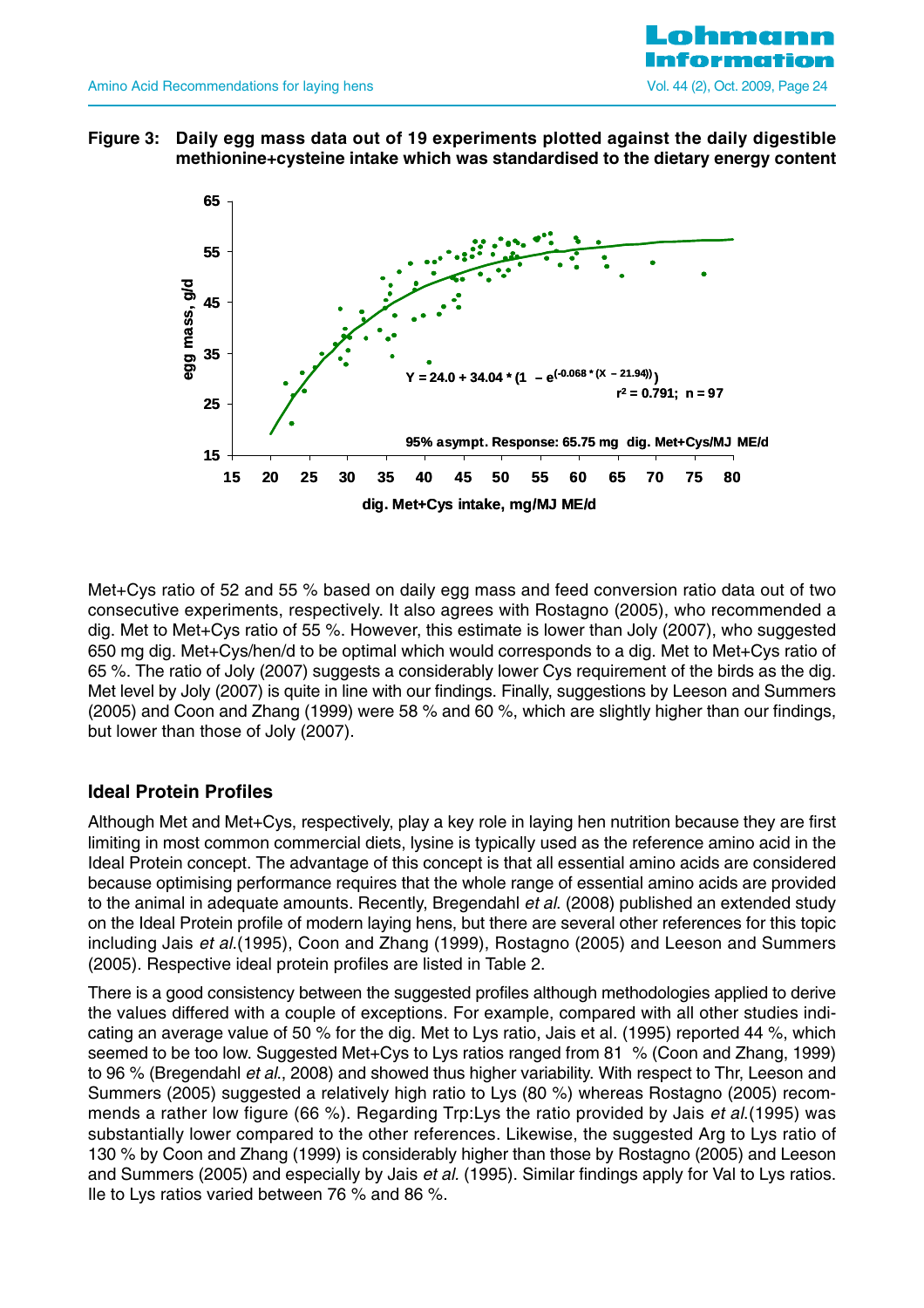

**Figure 3: Daily egg mass data out of 19 experiments plotted against the daily digestible methionine+cysteine intake which was standardised to the dietary energy content**



Met+Cys ratio of 52 and 55 % based on daily egg mass and feed conversion ratio data out of two consecutive experiments, respectively. It also agrees with Rostagno (2005), who recommended a dig. Met to Met+Cys ratio of 55 %. However, this estimate is lower than Joly (2007), who suggested 650 mg dig. Met+Cys/hen/d to be optimal which would corresponds to a dig. Met to Met+Cys ratio of 65 %. The ratio of Joly (2007) suggests a considerably lower Cys requirement of the birds as the dig. Met level by Joly (2007) is quite in line with our findings. Finally, suggestions by Leeson and Summers (2005) and Coon and Zhang (1999) were 58 % and 60 %, which are slightly higher than our findings, but lower than those of Joly (2007).

## **Ideal Protein Profiles**

Although Met and Met+Cys, respectively, play a key role in laying hen nutrition because they are first limiting in most common commercial diets, lysine is typically used as the reference amino acid in the Ideal Protein concept. The advantage of this concept is that all essential amino acids are considered because optimising performance requires that the whole range of essential amino acids are provided to the animal in adequate amounts. Recently, Bregendahl et al. (2008) published an extended study on the Ideal Protein profile of modern laying hens, but there are several other references for this topic including Jais et al.(1995), Coon and Zhang (1999), Rostagno (2005) and Leeson and Summers (2005). Respective ideal protein profiles are listed in Table 2.

There is a good consistency between the suggested profiles although methodologies applied to derive the values differed with a couple of exceptions. For example, compared with all other studies indicating an average value of 50 % for the dig. Met to Lys ratio, Jais et al. (1995) reported 44 %, which seemed to be too low. Suggested Met+Cys to Lys ratios ranged from 81 % (Coon and Zhang, 1999) to 96 % (Bregendahl et al., 2008) and showed thus higher variability. With respect to Thr, Leeson and Summers (2005) suggested a relatively high ratio to Lys (80 %) whereas Rostagno (2005) recommends a rather low figure (66 %). Regarding Trp: Lys the ratio provided by Jais *et al.*(1995) was substantially lower compared to the other references. Likewise, the suggested Arg to Lys ratio of 130 % by Coon and Zhang (1999) is considerably higher than those by Rostagno (2005) and Leeson and Summers (2005) and especially by Jais et al. (1995). Similar findings apply for Val to Lys ratios. Ile to Lys ratios varied between 76 % and 86 %.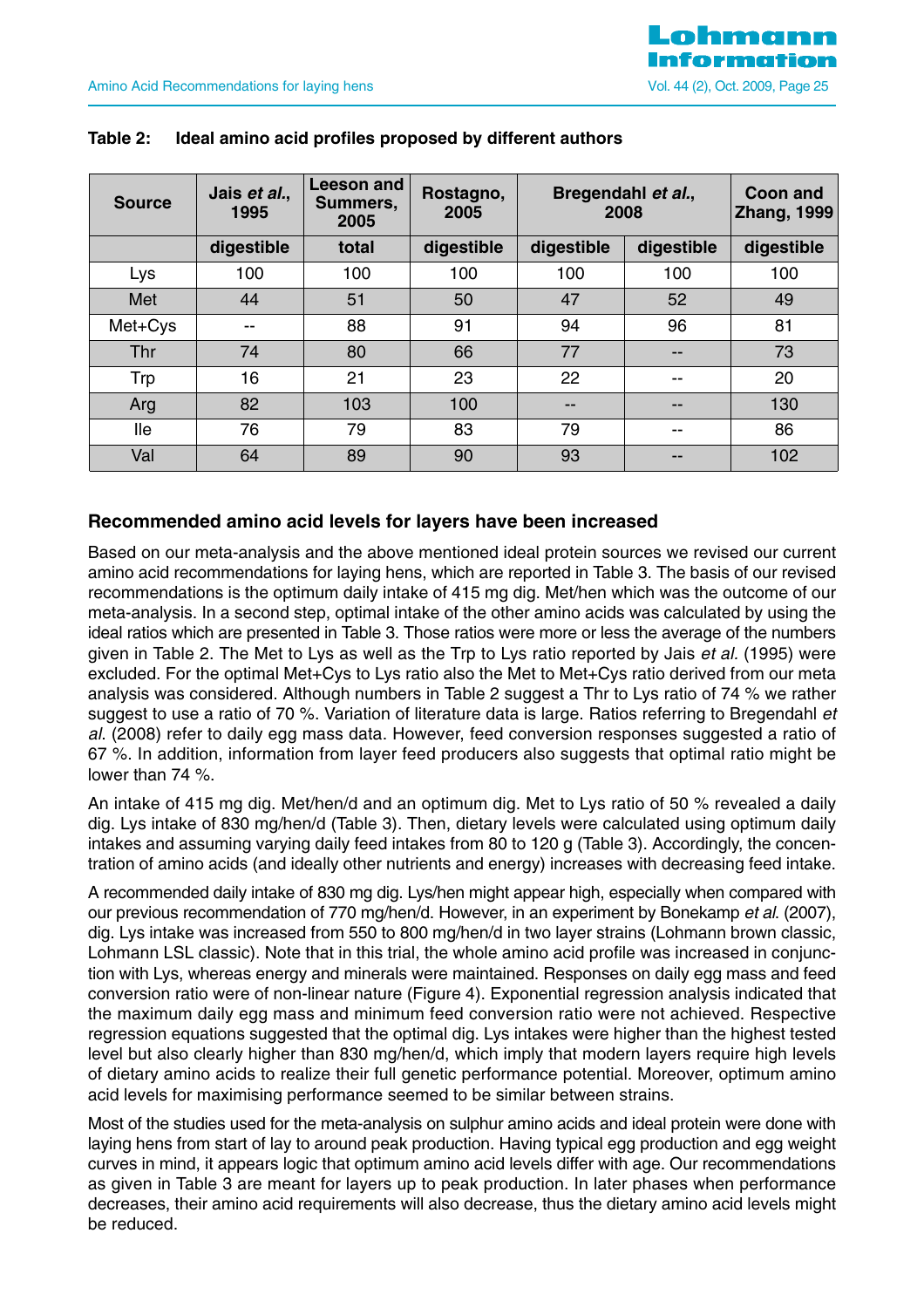| <b>Source</b> | Jais et al.,<br>1995 | Leeson and<br>Summers,<br>2005 | Rostagno,<br>2005 | Bregendahl et al.,<br>2008 |            | Coon and<br><b>Zhang, 1999</b> |
|---------------|----------------------|--------------------------------|-------------------|----------------------------|------------|--------------------------------|
|               | digestible           | total                          | digestible        | digestible                 | digestible | digestible                     |
| Lys           | 100                  | 100                            | 100               | 100                        | 100        | 100                            |
| Met           | 44                   | 51                             | 50                | 47                         | 52         | 49                             |
| Met+Cys       | --                   | 88                             | 91                | 94                         | 96         | 81                             |
| Thr           | 74                   | 80                             | 66                | 77                         | --         | 73                             |
| Trp           | 16                   | 21                             | 23                | 22                         | $- -$      | 20                             |
| Arg           | 82                   | 103                            | 100               | --                         | --         | 130                            |
| lle           | 76                   | 79                             | 83                | 79                         | --         | 86                             |
| Val           | 64                   | 89                             | 90                | 93                         |            | 102                            |

#### **Table 2: Ideal amino acid profiles proposed by different authors**

#### **Recommended amino acid levels for layers have been increased**

Based on our meta-analysis and the above mentioned ideal protein sources we revised our current amino acid recommendations for laying hens, which are reported in Table 3. The basis of our revised recommendations is the optimum daily intake of 415 mg dig. Met/hen which was the outcome of our meta-analysis. In a second step, optimal intake of the other amino acids was calculated by using the ideal ratios which are presented in Table 3. Those ratios were more or less the average of the numbers given in Table 2. The Met to Lys as well as the Trp to Lys ratio reported by Jais et al. (1995) were excluded. For the optimal Met+Cys to Lys ratio also the Met to Met+Cys ratio derived from our meta analysis was considered. Although numbers in Table 2 suggest a Thr to Lys ratio of 74 % we rather suggest to use a ratio of 70 %. Variation of literature data is large. Ratios referring to Bregendahl et al. (2008) refer to daily egg mass data. However, feed conversion responses suggested a ratio of 67 %. In addition, information from layer feed producers also suggests that optimal ratio might be lower than 74 %.

An intake of 415 mg dig. Met/hen/d and an optimum dig. Met to Lys ratio of 50 % revealed a daily dig. Lys intake of 830 mg/hen/d (Table 3). Then, dietary levels were calculated using optimum daily intakes and assuming varying daily feed intakes from 80 to 120 g (Table 3). Accordingly, the concentration of amino acids (and ideally other nutrients and energy) increases with decreasing feed intake.

A recommended daily intake of 830 mg dig. Lys/hen might appear high, especially when compared with our previous recommendation of 770 mg/hen/d. However, in an experiment by Bonekamp et al. (2007), dig. Lys intake was increased from 550 to 800 mg/hen/d in two layer strains (Lohmann brown classic, Lohmann LSL classic). Note that in this trial, the whole amino acid profile was increased in conjunction with Lys, whereas energy and minerals were maintained. Responses on daily egg mass and feed conversion ratio were of non-linear nature (Figure 4). Exponential regression analysis indicated that the maximum daily egg mass and minimum feed conversion ratio were not achieved. Respective regression equations suggested that the optimal dig. Lys intakes were higher than the highest tested level but also clearly higher than 830 mg/hen/d, which imply that modern layers require high levels of dietary amino acids to realize their full genetic performance potential. Moreover, optimum amino acid levels for maximising performance seemed to be similar between strains.

Most of the studies used for the meta-analysis on sulphur amino acids and ideal protein were done with laying hens from start of lay to around peak production. Having typical egg production and egg weight curves in mind, it appears logic that optimum amino acid levels differ with age. Our recommendations as given in Table 3 are meant for layers up to peak production. In later phases when performance decreases, their amino acid requirements will also decrease, thus the dietary amino acid levels might be reduced.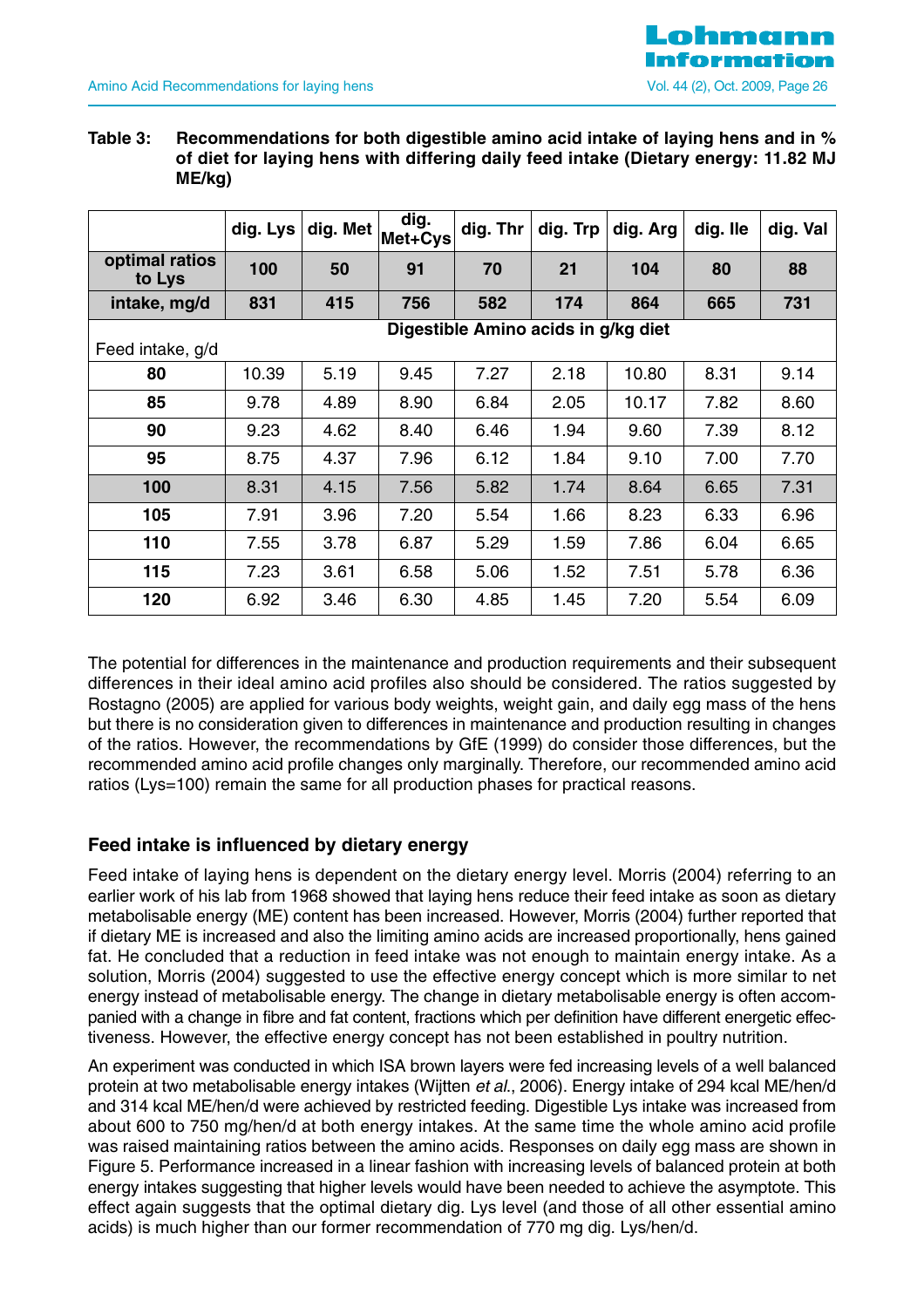#### **Table 3: Recommendations for both digestible amino acid intake of laying hens and in % of diet for laying hens with differing daily feed intake (Dietary energy: 11.82 MJ ME/kg)**

|                          | dig. Lys | dig. Met | dig.<br>Met+Cys | dig. Thr                            | dig. Trp | dig. Arg | dig. Ile | dig. Val |
|--------------------------|----------|----------|-----------------|-------------------------------------|----------|----------|----------|----------|
| optimal ratios<br>to Lys | 100      | 50       | 91              | 70                                  | 21       | 104      | 80       | 88       |
| intake, mg/d             | 831      | 415      | 756             | 582                                 | 174      | 864      | 665      | 731      |
|                          |          |          |                 | Digestible Amino acids in g/kg diet |          |          |          |          |
| Feed intake, g/d         |          |          |                 |                                     |          |          |          |          |
| 80                       | 10.39    | 5.19     | 9.45            | 7.27                                | 2.18     | 10.80    | 8.31     | 9.14     |
| 85                       | 9.78     | 4.89     | 8.90            | 6.84                                | 2.05     | 10.17    | 7.82     | 8.60     |
| 90                       | 9.23     | 4.62     | 8.40            | 6.46                                | 1.94     | 9.60     | 7.39     | 8.12     |
| 95                       | 8.75     | 4.37     | 7.96            | 6.12                                | 1.84     | 9.10     | 7.00     | 7.70     |
| 100                      | 8.31     | 4.15     | 7.56            | 5.82                                | 1.74     | 8.64     | 6.65     | 7.31     |
| 105                      | 7.91     | 3.96     | 7.20            | 5.54                                | 1.66     | 8.23     | 6.33     | 6.96     |
| 110                      | 7.55     | 3.78     | 6.87            | 5.29                                | 1.59     | 7.86     | 6.04     | 6.65     |
| 115                      | 7.23     | 3.61     | 6.58            | 5.06                                | 1.52     | 7.51     | 5.78     | 6.36     |
| 120                      | 6.92     | 3.46     | 6.30            | 4.85                                | 1.45     | 7.20     | 5.54     | 6.09     |

The potential for differences in the maintenance and production requirements and their subsequent differences in their ideal amino acid profiles also should be considered. The ratios suggested by Rostagno (2005) are applied for various body weights, weight gain, and daily egg mass of the hens but there is no consideration given to differences in maintenance and production resulting in changes of the ratios. However, the recommendations by GfE (1999) do consider those differences, but the recommended amino acid profile changes only marginally. Therefore, our recommended amino acid ratios (Lys=100) remain the same for all production phases for practical reasons.

## **Feed intake is influenced by dietary energy**

Feed intake of laying hens is dependent on the dietary energy level. Morris (2004) referring to an earlier work of his lab from 1968 showed that laying hens reduce their feed intake as soon as dietary metabolisable energy (ME) content has been increased. However, Morris (2004) further reported that if dietary ME is increased and also the limiting amino acids are increased proportionally, hens gained fat. He concluded that a reduction in feed intake was not enough to maintain energy intake. As a solution, Morris (2004) suggested to use the effective energy concept which is more similar to net energy instead of metabolisable energy. The change in dietary metabolisable energy is often accompanied with a change in fibre and fat content, fractions which per definition have different energetic effectiveness. However, the effective energy concept has not been established in poultry nutrition.

An experiment was conducted in which ISA brown layers were fed increasing levels of a well balanced protein at two metabolisable energy intakes (Wijtten et al., 2006). Energy intake of 294 kcal ME/hen/d and 314 kcal ME/hen/d were achieved by restricted feeding. Digestible Lys intake was increased from about 600 to 750 mg/hen/d at both energy intakes. At the same time the whole amino acid profile was raised maintaining ratios between the amino acids. Responses on daily egg mass are shown in Figure 5. Performance increased in a linear fashion with increasing levels of balanced protein at both energy intakes suggesting that higher levels would have been needed to achieve the asymptote. This effect again suggests that the optimal dietary dig. Lys level (and those of all other essential amino acids) is much higher than our former recommendation of 770 mg dig. Lys/hen/d.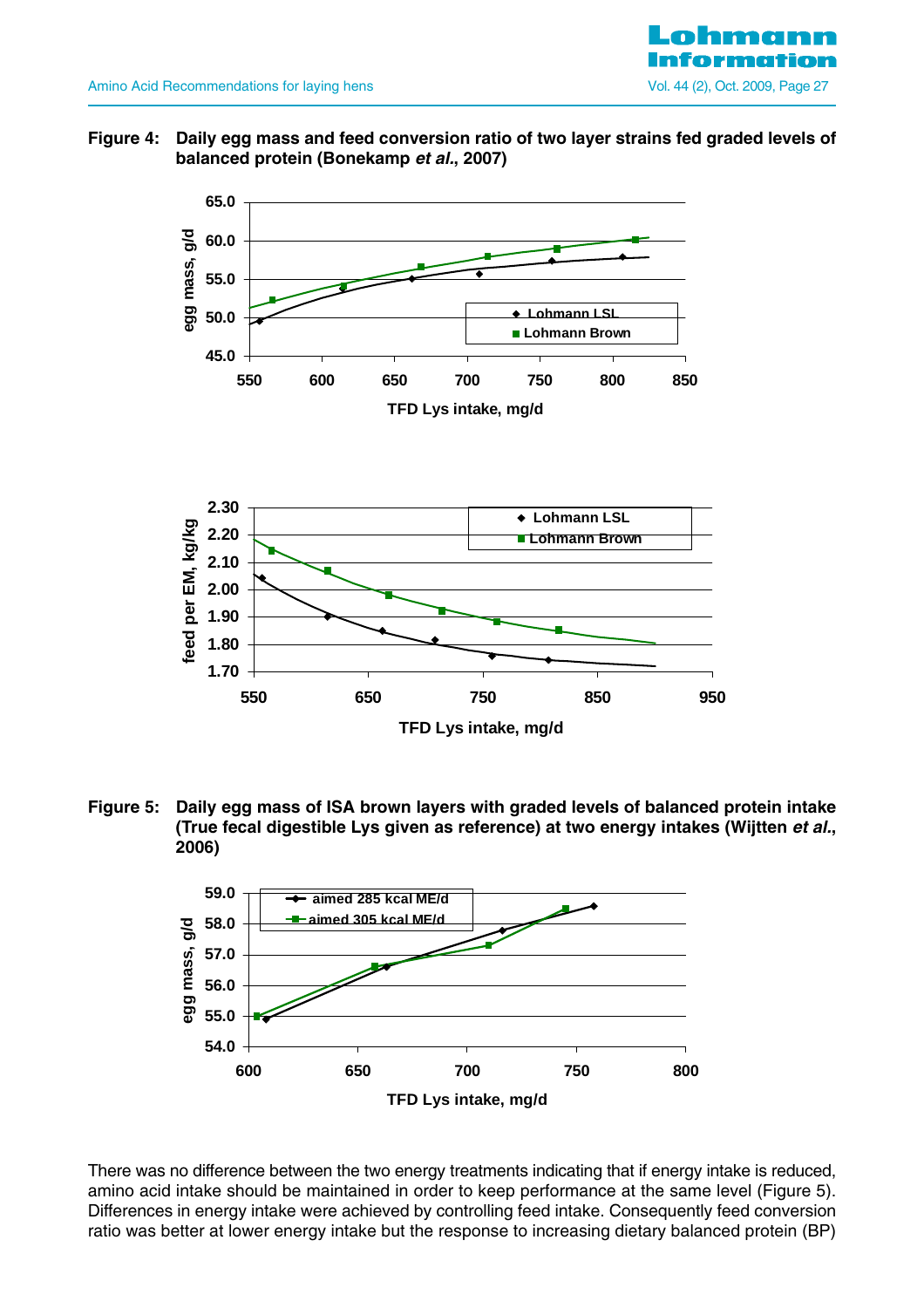

**Figure 4: Daily egg mass and feed conversion ratio of two layer strains fed graded levels of balanced protein (Bonekamp et al., 2007)**



**Figure 5: Daily egg mass of ISA brown layers with graded levels of balanced protein intake (True fecal digestible Lys given as reference) at two energy intakes (Wijtten et al., 2006)**



There was no difference between the two energy treatments indicating that if energy intake is reduced, amino acid intake should be maintained in order to keep performance at the same level (Figure 5). Differences in energy intake were achieved by controlling feed intake. Consequently feed conversion ratio was better at lower energy intake but the response to increasing dietary balanced protein (BP)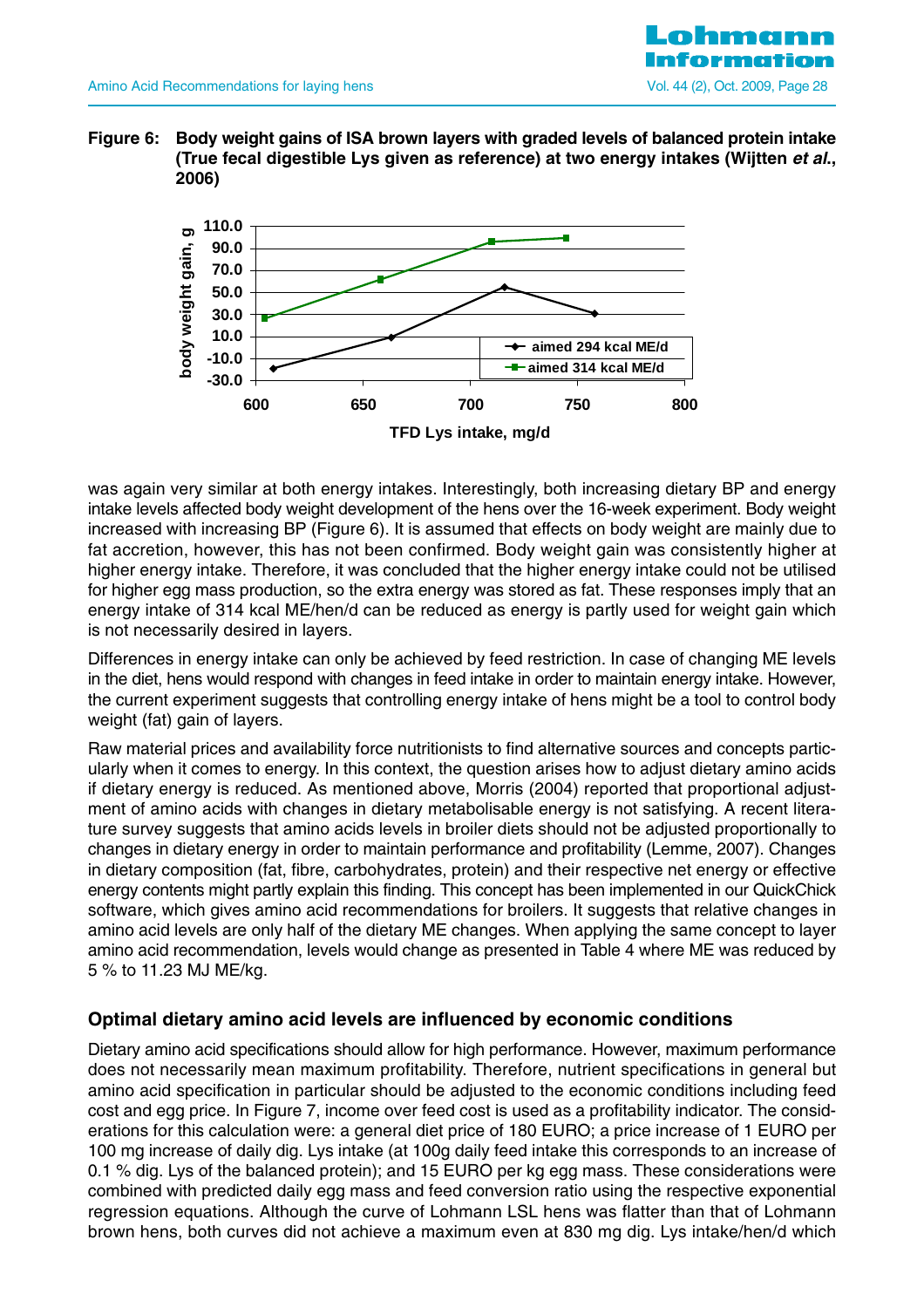

**Figure 6: Body weight gains of ISA brown layers with graded levels of balanced protein intake (True fecal digestible Lys given as reference) at two energy intakes (Wijtten et al., 2006)**



was again very similar at both energy intakes. Interestingly, both increasing dietary BP and energy intake levels affected body weight development of the hens over the 16-week experiment. Body weight increased with increasing BP (Figure 6). It is assumed that effects on body weight are mainly due to fat accretion, however, this has not been confirmed. Body weight gain was consistently higher at higher energy intake. Therefore, it was concluded that the higher energy intake could not be utilised for higher egg mass production, so the extra energy was stored as fat. These responses imply that an energy intake of 314 kcal ME/hen/d can be reduced as energy is partly used for weight gain which is not necessarily desired in layers.

Differences in energy intake can only be achieved by feed restriction. In case of changing ME levels in the diet, hens would respond with changes in feed intake in order to maintain energy intake. However, the current experiment suggests that controlling energy intake of hens might be a tool to control body weight (fat) gain of layers.

Raw material prices and availability force nutritionists to find alternative sources and concepts particularly when it comes to energy. In this context, the question arises how to adjust dietary amino acids if dietary energy is reduced. As mentioned above, Morris (2004) reported that proportional adjustment of amino acids with changes in dietary metabolisable energy is not satisfying. A recent literature survey suggests that amino acids levels in broiler diets should not be adjusted proportionally to changes in dietary energy in order to maintain performance and profitability (Lemme, 2007). Changes in dietary composition (fat, fibre, carbohydrates, protein) and their respective net energy or effective energy contents might partly explain this finding. This concept has been implemented in our QuickChick software, which gives amino acid recommendations for broilers. It suggests that relative changes in amino acid levels are only half of the dietary ME changes. When applying the same concept to layer amino acid recommendation, levels would change as presented in Table 4 where ME was reduced by 5 % to 11.23 MJ ME/kg.

## **Optimal dietary amino acid levels are influenced by economic conditions**

Dietary amino acid specifications should allow for high performance. However, maximum performance does not necessarily mean maximum profitability. Therefore, nutrient specifications in general but amino acid specification in particular should be adjusted to the economic conditions including feed cost and egg price. In Figure 7, income over feed cost is used as a profitability indicator. The considerations for this calculation were: a general diet price of 180 EURO; a price increase of 1 EURO per 100 mg increase of daily dig. Lys intake (at 100g daily feed intake this corresponds to an increase of 0.1 % dig. Lys of the balanced protein); and 15 EURO per kg egg mass. These considerations were combined with predicted daily egg mass and feed conversion ratio using the respective exponential regression equations. Although the curve of Lohmann LSL hens was flatter than that of Lohmann brown hens, both curves did not achieve a maximum even at 830 mg dig. Lys intake/hen/d which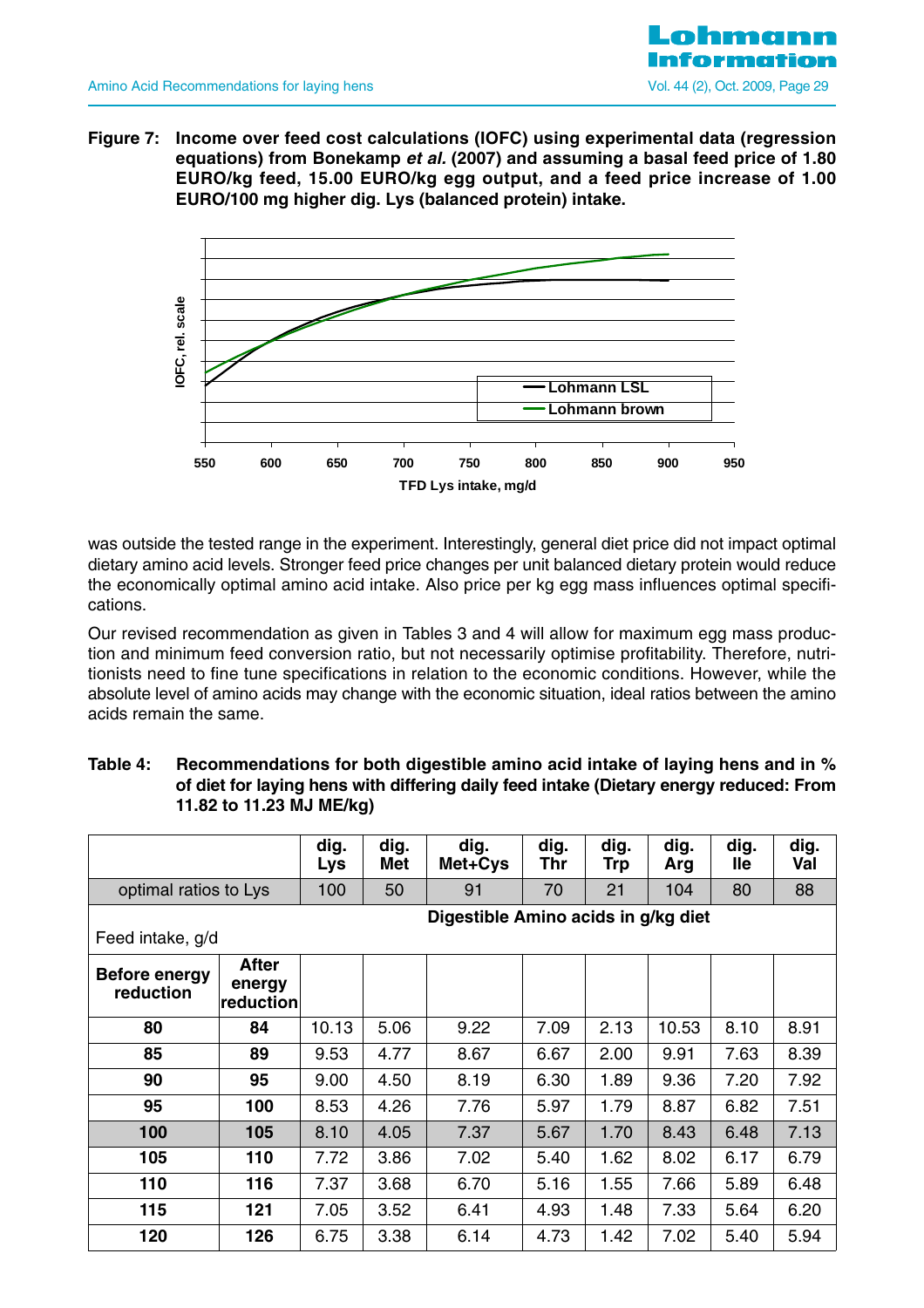**Figure 7: Income over feed cost calculations (IOFC) using experimental data (regression equations) from Bonekamp et al. (2007) and assuming a basal feed price of 1.80 EURO/kg feed, 15.00 EURO/kg egg output, and a feed price increase of 1.00 EURO/100 mg higher dig. Lys (balanced protein) intake.**



was outside the tested range in the experiment. Interestingly, general diet price did not impact optimal dietary amino acid levels. Stronger feed price changes per unit balanced dietary protein would reduce the economically optimal amino acid intake. Also price per kg egg mass influences optimal specifications.

Our revised recommendation as given in Tables 3 and 4 will allow for maximum egg mass production and minimum feed conversion ratio, but not necessarily optimise profitability. Therefore, nutritionists need to fine tune specifications in relation to the economic conditions. However, while the absolute level of amino acids may change with the economic situation, ideal ratios between the amino acids remain the same.

| Table 4: | Recommendations for both digestible amino acid intake of laying hens and in %          |
|----------|----------------------------------------------------------------------------------------|
|          | of diet for laying hens with differing daily feed intake (Dietary energy reduced: From |
|          | 11.82 to 11.23 MJ ME/kg)                                                               |

|                                   |                                                         | dig.<br>Lys | dig.<br>Met | dig.<br>Met+Cys | dig.<br>Thr | dig.<br>Trp | dig.<br>Arg | dig.<br><b>lle</b> | dig.<br>Val |  |
|-----------------------------------|---------------------------------------------------------|-------------|-------------|-----------------|-------------|-------------|-------------|--------------------|-------------|--|
| optimal ratios to Lys             |                                                         | 100         | 50          | 91              | 70          | 21          | 104         | 80                 | 88          |  |
|                                   | Digestible Amino acids in g/kg diet<br>Feed intake, g/d |             |             |                 |             |             |             |                    |             |  |
| <b>Before energy</b><br>reduction | <b>After</b><br>energy<br>reduction                     |             |             |                 |             |             |             |                    |             |  |
| 80                                | 84                                                      | 10.13       | 5.06        | 9.22            | 7.09        | 2.13        | 10.53       | 8.10               | 8.91        |  |
| 85                                | 89                                                      | 9.53        | 4.77        | 8.67            | 6.67        | 2.00        | 9.91        | 7.63               | 8.39        |  |
| 90                                | 95                                                      | 9.00        | 4.50        | 8.19            | 6.30        | 1.89        | 9.36        | 7.20               | 7.92        |  |
| 95                                | 100                                                     | 8.53        | 4.26        | 7.76            | 5.97        | 1.79        | 8.87        | 6.82               | 7.51        |  |
| 100                               | 105                                                     | 8.10        | 4.05        | 7.37            | 5.67        | 1.70        | 8.43        | 6.48               | 7.13        |  |
| 105                               | 110                                                     | 7.72        | 3.86        | 7.02            | 5.40        | 1.62        | 8.02        | 6.17               | 6.79        |  |
| 110                               | 116                                                     | 7.37        | 3.68        | 6.70            | 5.16        | 1.55        | 7.66        | 5.89               | 6.48        |  |
| 115                               | 121                                                     | 7.05        | 3.52        | 6.41            | 4.93        | 1.48        | 7.33        | 5.64               | 6.20        |  |
| 120                               | 126                                                     | 6.75        | 3.38        | 6.14            | 4.73        | 1.42        | 7.02        | 5.40               | 5.94        |  |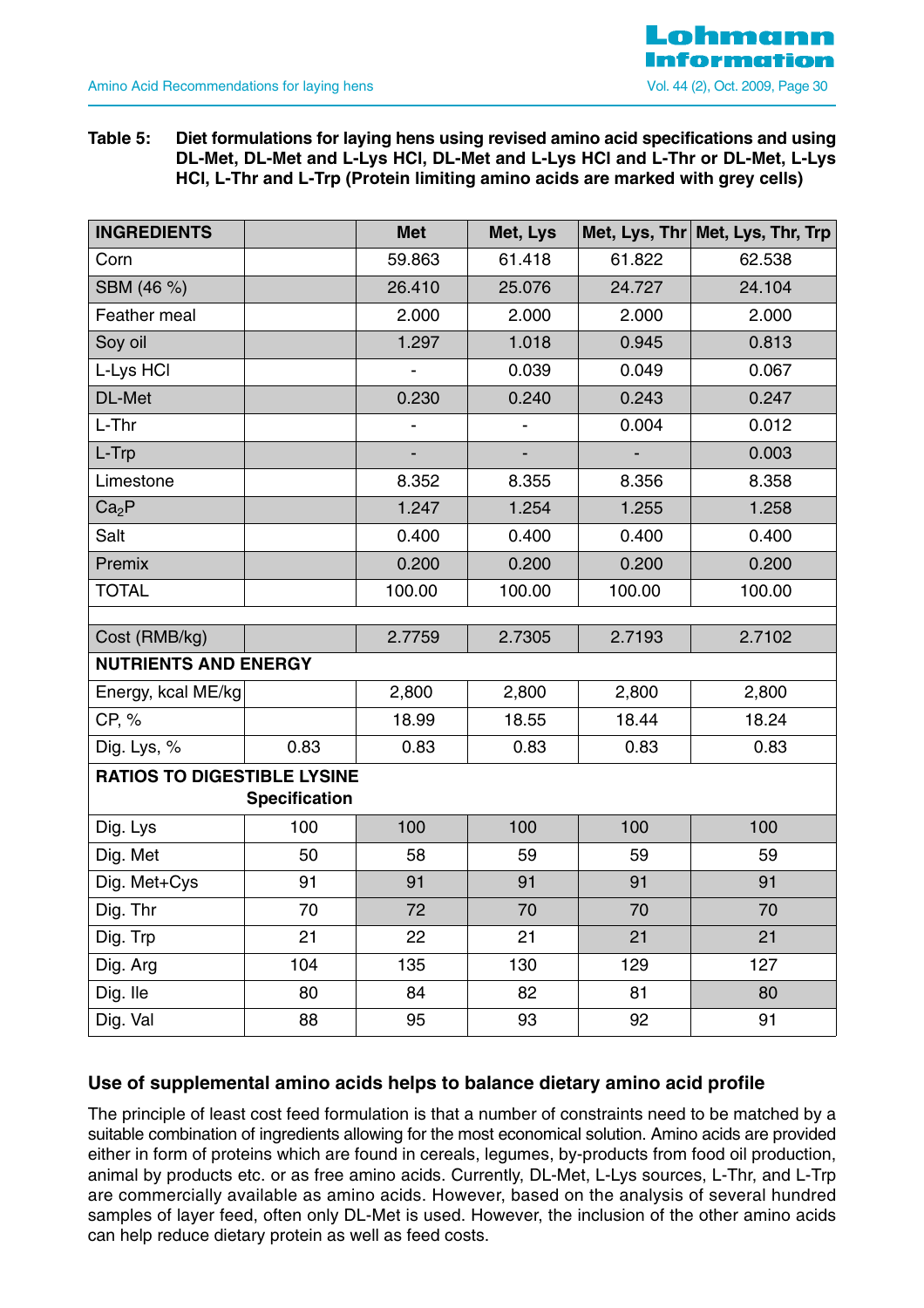#### **Table 5: Diet formulations for laying hens using revised amino acid specifications and using DL-Met, DL-Met and L-Lys HCl, DL-Met and L-Lys HCl and L-Thr or DL-Met, L-Lys HCl, L-Thr and L-Trp (Protein limiting amino acids are marked with grey cells)**

| <b>INGREDIENTS</b>                 |                      | <b>Met</b>               | Met, Lys |        | Met, Lys, Thr Met, Lys, Thr, Trp |
|------------------------------------|----------------------|--------------------------|----------|--------|----------------------------------|
| Corn                               |                      | 59.863                   | 61.418   | 61.822 | 62.538                           |
| SBM (46 %)                         |                      | 26.410                   | 25.076   | 24.727 | 24.104                           |
| Feather meal                       |                      | 2.000                    | 2.000    | 2.000  | 2.000                            |
| Soy oil                            |                      | 1.297                    | 1.018    | 0.945  | 0.813                            |
| L-Lys HCI                          |                      |                          | 0.039    | 0.049  | 0.067                            |
| DL-Met                             |                      | 0.230                    | 0.240    | 0.243  | 0.247                            |
| L-Thr                              |                      | $\overline{\phantom{0}}$ |          | 0.004  | 0.012                            |
| L-Trp                              |                      |                          |          |        | 0.003                            |
| Limestone                          |                      | 8.352                    | 8.355    | 8.356  | 8.358                            |
| Ca <sub>2</sub> P                  |                      | 1.247                    | 1.254    | 1.255  | 1.258                            |
| Salt                               |                      | 0.400                    | 0.400    | 0.400  | 0.400                            |
| Premix                             |                      | 0.200                    | 0.200    | 0.200  | 0.200                            |
| <b>TOTAL</b>                       |                      | 100.00                   | 100.00   | 100.00 | 100.00                           |
|                                    |                      |                          |          |        |                                  |
| Cost (RMB/kg)                      |                      | 2.7759                   | 2.7305   | 2.7193 | 2.7102                           |
| <b>NUTRIENTS AND ENERGY</b>        |                      |                          |          |        |                                  |
| Energy, kcal ME/kg                 |                      | 2,800                    | 2,800    | 2,800  | 2,800                            |
| CP, %                              |                      | 18.99                    | 18.55    | 18.44  | 18.24                            |
| Dig. Lys, %                        | 0.83                 | 0.83                     | 0.83     | 0.83   | 0.83                             |
| <b>RATIOS TO DIGESTIBLE LYSINE</b> |                      |                          |          |        |                                  |
|                                    | <b>Specification</b> |                          |          |        |                                  |
| Dig. Lys                           | 100                  | 100                      | 100      | 100    | 100                              |
| Dig. Met                           | 50                   | 58                       | 59       | 59     | 59                               |
| Dig. Met+Cys                       | 91                   | 91                       | 91       | 91     | 91                               |
| Dig. Thr                           | 70                   | 72                       | 70       | 70     | 70                               |
| Dig. Trp                           | 21                   | 22                       | 21       | 21     | 21                               |
| Dig. Arg                           | 104                  | 135                      | 130      | 129    | 127                              |
| Dig. Ile                           | 80                   | 84                       | 82       | 81     | 80                               |
| Dig. Val                           | 88                   | 95                       | 93       | 92     | 91                               |

## **Use of supplemental amino acids helps to balance dietary amino acid profile**

The principle of least cost feed formulation is that a number of constraints need to be matched by a suitable combination of ingredients allowing for the most economical solution. Amino acids are provided either in form of proteins which are found in cereals, legumes, by-products from food oil production, animal by products etc. or as free amino acids. Currently, DL-Met, L-Lys sources, L-Thr, and L-Trp are commercially available as amino acids. However, based on the analysis of several hundred samples of layer feed, often only DL-Met is used. However, the inclusion of the other amino acids can help reduce dietary protein as well as feed costs.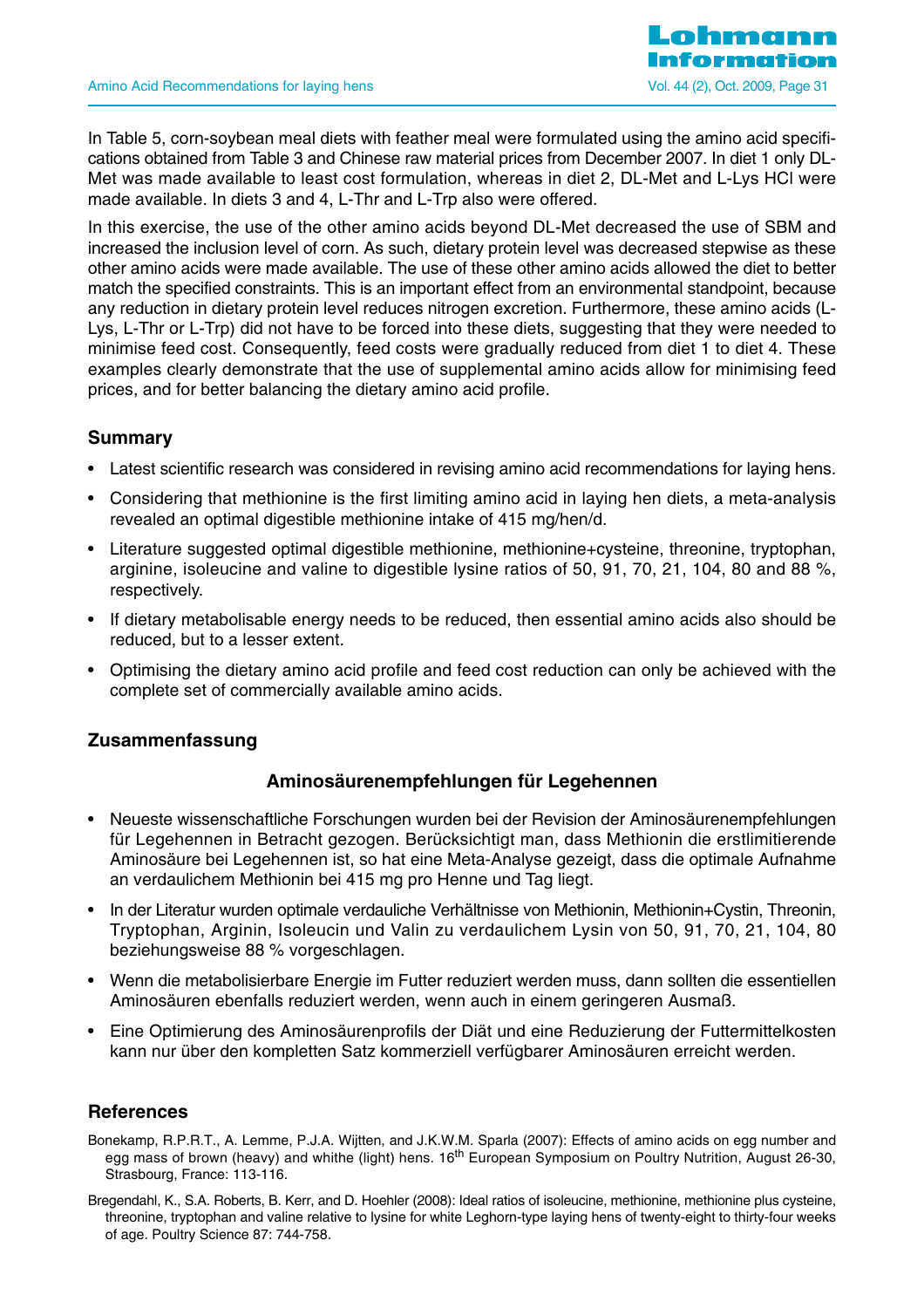

In Table 5, corn-soybean meal diets with feather meal were formulated using the amino acid specifications obtained from Table 3 and Chinese raw material prices from December 2007. In diet 1 only DL-Met was made available to least cost formulation, whereas in diet 2, DL-Met and L-Lys HCl were made available. In diets 3 and 4, L-Thr and L-Trp also were offered.

In this exercise, the use of the other amino acids beyond DL-Met decreased the use of SBM and increased the inclusion level of corn. As such, dietary protein level was decreased stepwise as these other amino acids were made available. The use of these other amino acids allowed the diet to better match the specified constraints. This is an important effect from an environmental standpoint, because any reduction in dietary protein level reduces nitrogen excretion. Furthermore, these amino acids (L-Lys, L-Thr or L-Trp) did not have to be forced into these diets, suggesting that they were needed to minimise feed cost. Consequently, feed costs were gradually reduced from diet 1 to diet 4. These examples clearly demonstrate that the use of supplemental amino acids allow for minimising feed prices, and for better balancing the dietary amino acid profile.

## **Summary**

- Latest scientific research was considered in revising amino acid recommendations for laying hens.
- Considering that methionine is the first limiting amino acid in laying hen diets, a meta-analysis revealed an optimal digestible methionine intake of 415 mg/hen/d.
- Literature suggested optimal digestible methionine, methionine+cysteine, threonine, tryptophan, arginine, isoleucine and valine to digestible lysine ratios of 50, 91, 70, 21, 104, 80 and 88 %, respectively.
- If dietary metabolisable energy needs to be reduced, then essential amino acids also should be reduced, but to a lesser extent.
- Optimising the dietary amino acid profile and feed cost reduction can only be achieved with the complete set of commercially available amino acids.

## **Zusammenfassung**

## **Aminosäurenempfehlungen für Legehennen**

- Neueste wissenschaftliche Forschungen wurden bei der Revision der Aminosäurenempfehlungen für Legehennen in Betracht gezogen. Berücksichtigt man, dass Methionin die erstlimitierende Aminosäure bei Legehennen ist, so hat eine Meta-Analyse gezeigt, dass die optimale Aufnahme an verdaulichem Methionin bei 415 mg pro Henne und Tag liegt.
- In der Literatur wurden optimale verdauliche Verhältnisse von Methionin, Methionin+Cystin, Threonin, Tryptophan, Arginin, Isoleucin und Valin zu verdaulichem Lysin von 50, 91, 70, 21, 104, 80 beziehungsweise 88 % vorgeschlagen.
- Wenn die metabolisierbare Energie im Futter reduziert werden muss, dann sollten die essentiellen Aminosäuren ebenfalls reduziert werden, wenn auch in einem geringeren Ausmaß.
- Eine Optimierung des Aminosäurenprofils der Diät und eine Reduzierung der Futtermittelkosten kann nur über den kompletten Satz kommerziell verfügbarer Aminosäuren erreicht werden.

#### **References**

- Bonekamp, R.P.R.T., A. Lemme, P.J.A. Wijtten, and J.K.W.M. Sparla (2007): Effects of amino acids on egg number and egg mass of brown (heavy) and whithe (light) hens. 16<sup>th</sup> European Symposium on Poultry Nutrition, August 26-30, Strasbourg, France: 113-116.
- Bregendahl, K., S.A. Roberts, B. Kerr, and D. Hoehler (2008): Ideal ratios of isoleucine, methionine, methionine plus cysteine, threonine, tryptophan and valine relative to lysine for white Leghorn-type laying hens of twenty-eight to thirty-four weeks of age. Poultry Science 87: 744-758.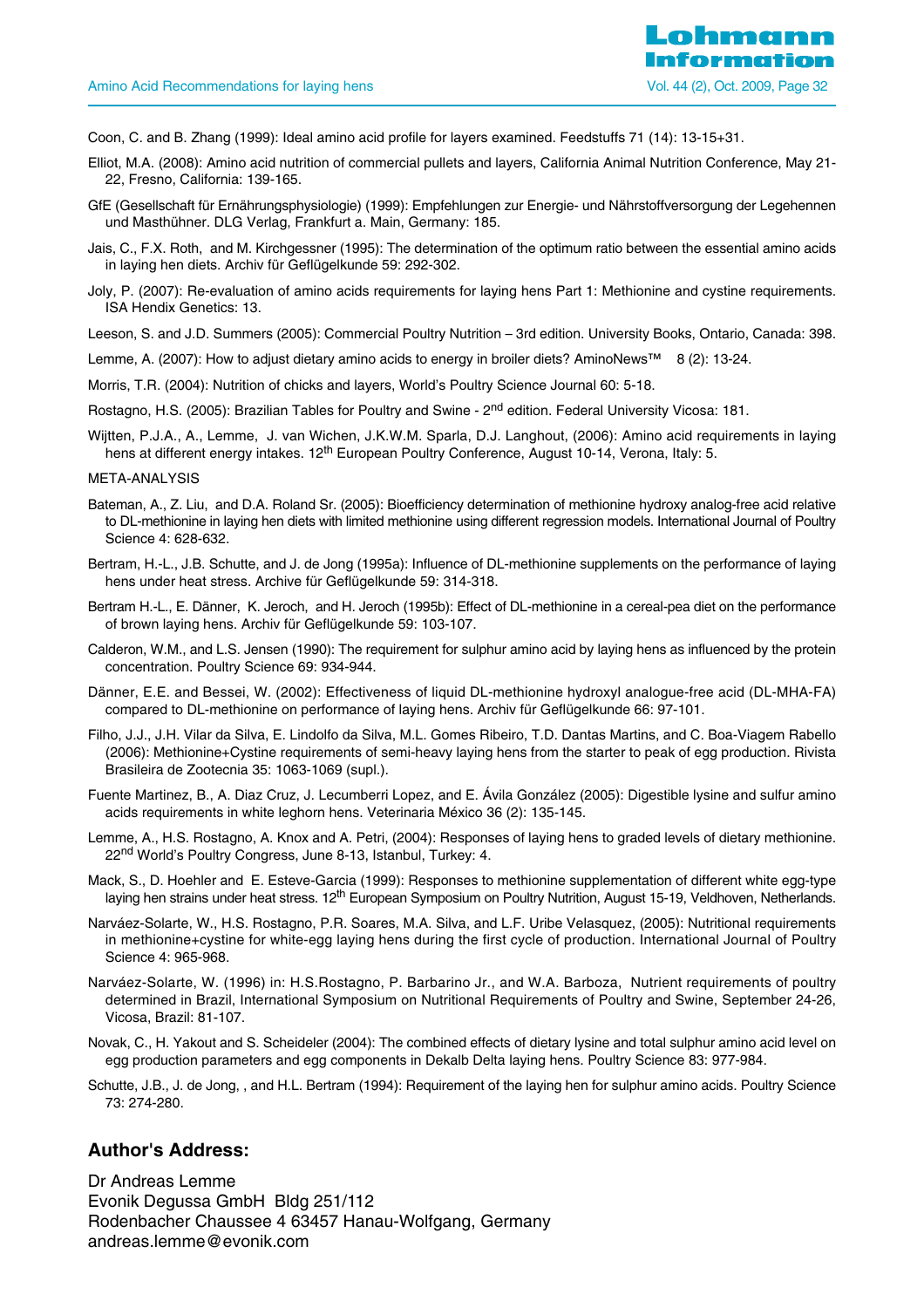- Coon, C. and B. Zhang (1999): Ideal amino acid profile for layers examined. Feedstuffs 71 (14): 13-15+31.
- Elliot, M.A. (2008): Amino acid nutrition of commercial pullets and layers, California Animal Nutrition Conference, May 21- 22, Fresno, California: 139-165.
- GfE (Gesellschaft für Ernährungsphysiologie) (1999): Empfehlungen zur Energie- und Nährstoffversorgung der Legehennen und Masthühner. DLG Verlag, Frankfurt a. Main, Germany: 185.
- Jais, C., F.X. Roth, and M. Kirchgessner (1995): The determination of the optimum ratio between the essential amino acids in laying hen diets. Archiv für Geflügelkunde 59: 292-302.
- Joly, P. (2007): Re-evaluation of amino acids requirements for laying hens Part 1: Methionine and cystine requirements. ISA Hendix Genetics: 13.
- Leeson, S. and J.D. Summers (2005): Commercial Poultry Nutrition 3rd edition. University Books, Ontario, Canada: 398.
- Lemme, A. (2007): How to adjust dietary amino acids to energy in broiler diets? AminoNews™ 8 (2): 13-24.
- Morris, T.R. (2004): Nutrition of chicks and layers, World's Poultry Science Journal 60: 5-18.
- Rostagno, H.S. (2005): Brazilian Tables for Poultry and Swine 2<sup>nd</sup> edition. Federal University Vicosa: 181.
- Wijtten, P.J.A., A., Lemme, J. van Wichen, J.K.W.M. Sparla, D.J. Langhout, (2006): Amino acid requirements in laying hens at different energy intakes. 12<sup>th</sup> European Poultry Conference, August 10-14, Verona, Italy: 5.

#### META-ANALYSIS

- Bateman, A., Z. Liu, and D.A. Roland Sr. (2005): Bioefficiency determination of methionine hydroxy analog-free acid relative to DL-methionine in laying hen diets with limited methionine using different regression models. International Journal of Poultry Science 4: 628-632.
- Bertram, H.-L., J.B. Schutte, and J. de Jong (1995a): Influence of DL-methionine supplements on the performance of laying hens under heat stress. Archive für Geflügelkunde 59: 314-318.
- Bertram H.-L., E. Dänner, K. Jeroch, and H. Jeroch (1995b): Effect of DL-methionine in a cereal-pea diet on the performance of brown laying hens. Archiv für Geflügelkunde 59: 103-107.
- Calderon, W.M., and L.S. Jensen (1990): The requirement for sulphur amino acid by laying hens as influenced by the protein concentration. Poultry Science 69: 934-944.
- Dänner, E.E. and Bessei, W. (2002): Effectiveness of liquid DL-methionine hydroxyl analogue-free acid (DL-MHA-FA) compared to DL-methionine on performance of laying hens. Archiv für Geflügelkunde 66: 97-101.
- Filho, J.J., J.H. Vilar da Silva, E. Lindolfo da Silva, M.L. Gomes Ribeiro, T.D. Dantas Martins, and C. Boa-Viagem Rabello (2006): Methionine+Cystine requirements of semi-heavy laying hens from the starter to peak of egg production. Rivista Brasileira de Zootecnia 35: 1063-1069 (supl.).
- Fuente Martinez, B., A. Diaz Cruz, J. Lecumberri Lopez, and E. Ávila González (2005): Digestible lysine and sulfur amino acids requirements in white leghorn hens. Veterinaria México 36 (2): 135-145.
- Lemme, A., H.S. Rostagno, A. Knox and A. Petri, (2004): Responses of laying hens to graded levels of dietary methionine. 22<sup>nd</sup> World's Poultry Congress, June 8-13, Istanbul, Turkey: 4.
- Mack, S., D. Hoehler and E. Esteve-Garcia (1999): Responses to methionine supplementation of different white egg-type laying hen strains under heat stress. 12<sup>th</sup> European Symposium on Poultry Nutrition, August 15-19, Veldhoven, Netherlands.
- Narváez-Solarte, W., H.S. Rostagno, P.R. Soares, M.A. Silva, and L.F. Uribe Velasquez, (2005): Nutritional requirements in methionine+cystine for white-egg laying hens during the first cycle of production. International Journal of Poultry Science 4: 965-968.
- Narváez-Solarte, W. (1996) in: H.S.Rostagno, P. Barbarino Jr., and W.A. Barboza, Nutrient requirements of poultry determined in Brazil, International Symposium on Nutritional Requirements of Poultry and Swine, September 24-26, Vicosa, Brazil: 81-107.
- Novak, C., H. Yakout and S. Scheideler (2004): The combined effects of dietary lysine and total sulphur amino acid level on egg production parameters and egg components in Dekalb Delta laying hens. Poultry Science 83: 977-984.
- Schutte, J.B., J. de Jong, , and H.L. Bertram (1994): Requirement of the laying hen for sulphur amino acids. Poultry Science 73: 274-280.

#### **Author's Address:**

Dr Andreas Lemme Evonik Degussa GmbH Bldg 251/112 Rodenbacher Chaussee 4 63457 Hanau-Wolfgang, Germany andreas.lemme@evonik.com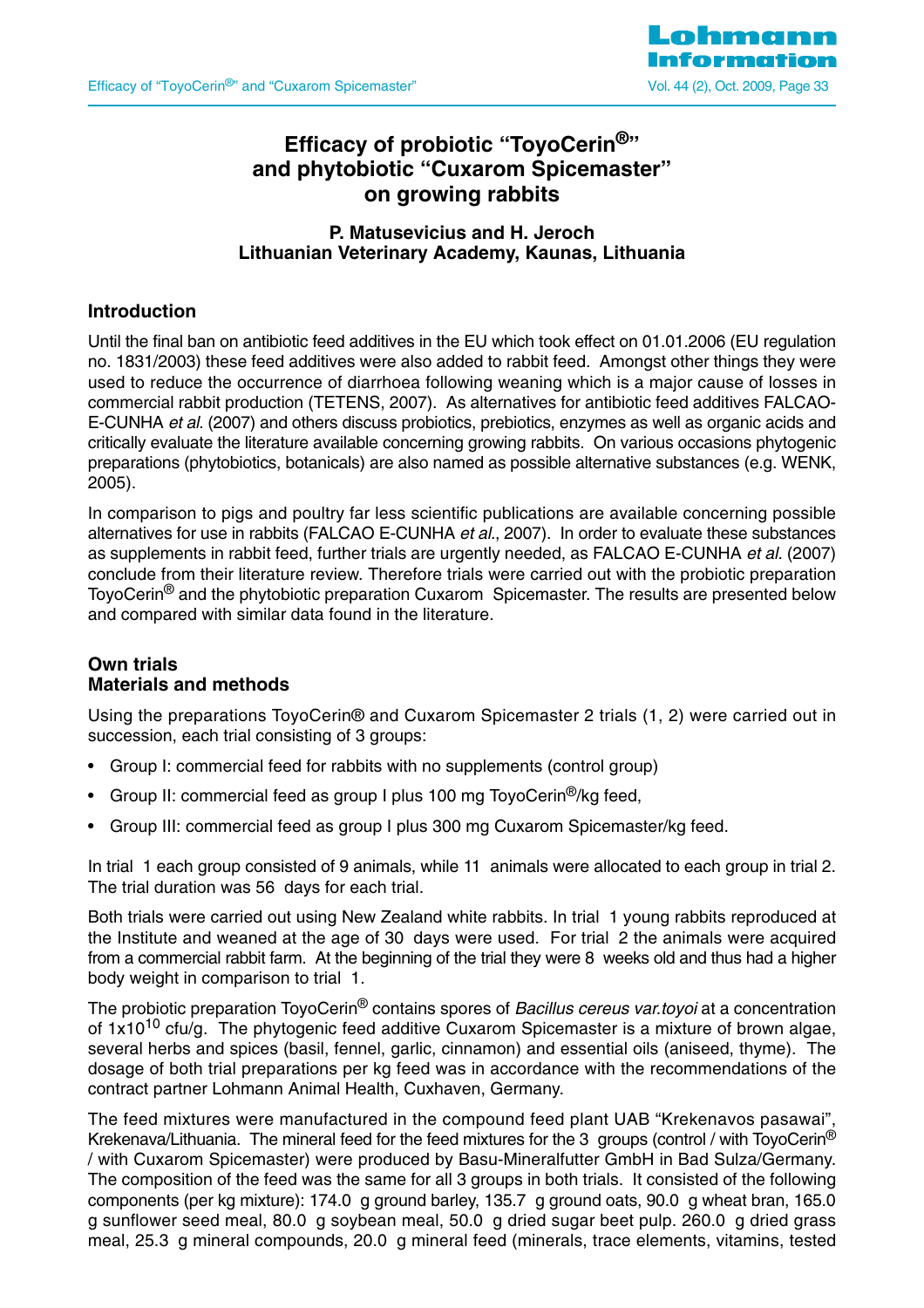

## **Efficacy of probiotic "ToyoCerin®" and phytobiotic "Cuxarom Spicemaster" on growing rabbits**

## **P. Matusevicius and H. Jeroch Lithuanian Veterinary Academy, Kaunas, Lithuania**

## **Introduction**

Until the final ban on antibiotic feed additives in the EU which took effect on 01.01.2006 (EU regulation no. 1831/2003) these feed additives were also added to rabbit feed. Amongst other things they were used to reduce the occurrence of diarrhoea following weaning which is a major cause of losses in commercial rabbit production (TETENS, 2007). As alternatives for antibiotic feed additives FALCAO-E-CUNHA et al. (2007) and others discuss probiotics, prebiotics, enzymes as well as organic acids and critically evaluate the literature available concerning growing rabbits. On various occasions phytogenic preparations (phytobiotics, botanicals) are also named as possible alternative substances (e.g. WENK, 2005).

In comparison to pigs and poultry far less scientific publications are available concerning possible alternatives for use in rabbits (FALCAO E-CUNHA et al., 2007). In order to evaluate these substances as supplements in rabbit feed, further trials are urgently needed, as FALCAO E-CUNHA et al. (2007) conclude from their literature review. Therefore trials were carried out with the probiotic preparation ToyoCerin<sup>®</sup> and the phytobiotic preparation Cuxarom Spicemaster. The results are presented below and compared with similar data found in the literature.

#### **Own trials Materials and methods**

Using the preparations ToyoCerin® and Cuxarom Spicemaster 2 trials (1, 2) were carried out in succession, each trial consisting of 3 groups:

- Group I: commercial feed for rabbits with no supplements (control group)
- Group II: commercial feed as group I plus 100 mg ToyoCerin<sup>®</sup>/kg feed,
- Group III: commercial feed as group I plus 300 mg Cuxarom Spicemaster/kg feed.

In trial 1 each group consisted of 9 animals, while 11 animals were allocated to each group in trial 2. The trial duration was 56 days for each trial.

Both trials were carried out using New Zealand white rabbits. In trial 1 young rabbits reproduced at the Institute and weaned at the age of 30 days were used. For trial 2 the animals were acquired from a commercial rabbit farm. At the beginning of the trial they were 8 weeks old and thus had a higher body weight in comparison to trial 1.

The probiotic preparation ToyoCerin<sup>®</sup> contains spores of *Bacillus cereus var.toyoi* at a concentration of  $1x10^{10}$  cfu/g. The phytogenic feed additive Cuxarom Spicemaster is a mixture of brown algae, several herbs and spices (basil, fennel, garlic, cinnamon) and essential oils (aniseed, thyme). The dosage of both trial preparations per kg feed was in accordance with the recommendations of the contract partner Lohmann Animal Health, Cuxhaven, Germany.

The feed mixtures were manufactured in the compound feed plant UAB "Krekenavos pasawai", Krekenava/Lithuania. The mineral feed for the feed mixtures for the 3 groups (control / with ToyoCerin® / with Cuxarom Spicemaster) were produced by Basu-Mineralfutter GmbH in Bad Sulza/Germany. The composition of the feed was the same for all 3 groups in both trials. It consisted of the following components (per kg mixture): 174.0 g ground barley, 135.7 g ground oats, 90.0 g wheat bran, 165.0 g sunflower seed meal, 80.0 g soybean meal, 50.0 g dried sugar beet pulp. 260.0 g dried grass meal, 25.3 g mineral compounds, 20.0 g mineral feed (minerals, trace elements, vitamins, tested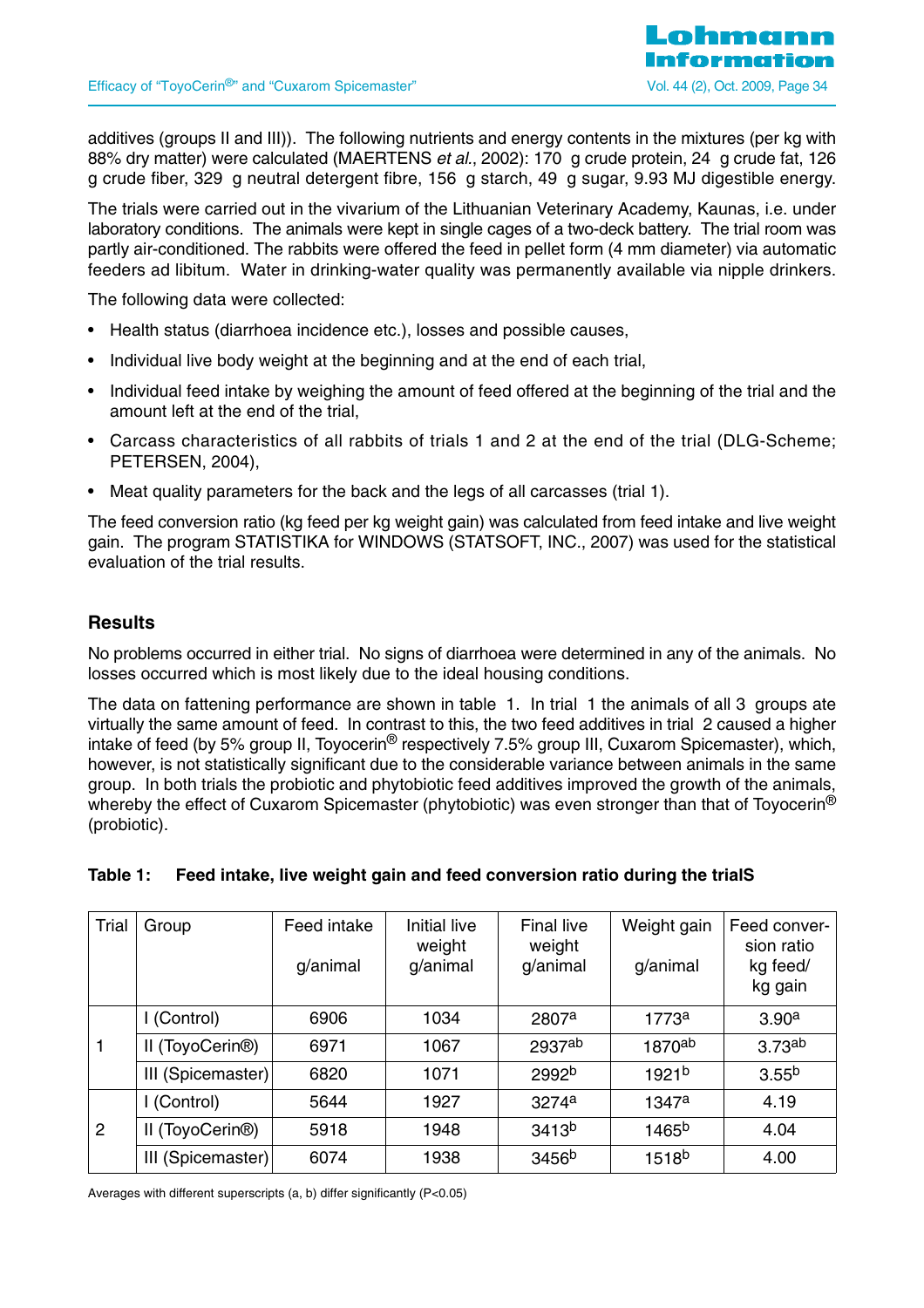additives (groups II and III)). The following nutrients and energy contents in the mixtures (per kg with 88% dry matter) were calculated (MAERTENS et al., 2002): 170 g crude protein, 24 g crude fat, 126 g crude fiber, 329 g neutral detergent fibre, 156 g starch, 49 g sugar, 9.93 MJ digestible energy.

The trials were carried out in the vivarium of the Lithuanian Veterinary Academy, Kaunas, i.e. under laboratory conditions. The animals were kept in single cages of a two-deck battery. The trial room was partly air-conditioned. The rabbits were offered the feed in pellet form (4 mm diameter) via automatic feeders ad libitum. Water in drinking-water quality was permanently available via nipple drinkers.

The following data were collected:

- Health status (diarrhoea incidence etc.), losses and possible causes,
- Individual live body weight at the beginning and at the end of each trial,
- Individual feed intake by weighing the amount of feed offered at the beginning of the trial and the amount left at the end of the trial,
- Carcass characteristics of all rabbits of trials 1 and 2 at the end of the trial (DLG-Scheme; PETERSEN, 2004),
- Meat quality parameters for the back and the legs of all carcasses (trial 1).

The feed conversion ratio (kg feed per kg weight gain) was calculated from feed intake and live weight gain. The program STATISTIKA for WINDOWS (STATSOFT, INC., 2007) was used for the statistical evaluation of the trial results.

#### **Results**

No problems occurred in either trial. No signs of diarrhoea were determined in any of the animals. No losses occurred which is most likely due to the ideal housing conditions.

The data on fattening performance are shown in table 1. In trial 1 the animals of all 3 groups ate virtually the same amount of feed. In contrast to this, the two feed additives in trial 2 caused a higher intake of feed (by 5% group II, Toyocerin® respectively 7.5% group III, Cuxarom Spicemaster), which, however, is not statistically significant due to the considerable variance between animals in the same group. In both trials the probiotic and phytobiotic feed additives improved the growth of the animals, whereby the effect of Cuxarom Spicemaster (phytobiotic) was even stronger than that of Toyocerin<sup>®</sup> (probiotic).

| Trial | Group                        | Feed intake<br>g/animal | Initial live<br>weight<br>g/animal | <b>Final live</b><br>weight<br>g/animal | Weight gain<br>g/animal | Feed conver-<br>sion ratio<br>kg feed/<br>kg gain |
|-------|------------------------------|-------------------------|------------------------------------|-----------------------------------------|-------------------------|---------------------------------------------------|
|       | I (Control)                  | 6906                    | 1034                               | 2807a                                   | 1773 <sup>a</sup>       | 3.90 <sup>a</sup>                                 |
|       | II (ToyoCerin <sup>®</sup> ) | 6971                    | 1067                               | 2937ab                                  | $1870$ <sup>ab</sup>    | 3.73 <sup>ab</sup>                                |
|       | III (Spicemaster)            | 6820                    | 1071                               | 2992 <sup>b</sup>                       | 1921 <sup>b</sup>       | 3.55 <sup>b</sup>                                 |
|       | I (Control)                  | 5644                    | 1927                               | 3274a                                   | 1347a                   | 4.19                                              |
| 2     | II (ToyoCerin <sup>®</sup> ) | 5918                    | 1948                               | 3413 <sup>b</sup>                       | 1465 <sup>b</sup>       | 4.04                                              |
|       | III (Spicemaster)            | 6074                    | 1938                               | 3456 <sup>b</sup>                       | 1518 <sup>b</sup>       | 4.00                                              |

#### **Table 1: Feed intake, live weight gain and feed conversion ratio during the trialS**

Averages with different superscripts (a, b) differ significantly (P<0.05)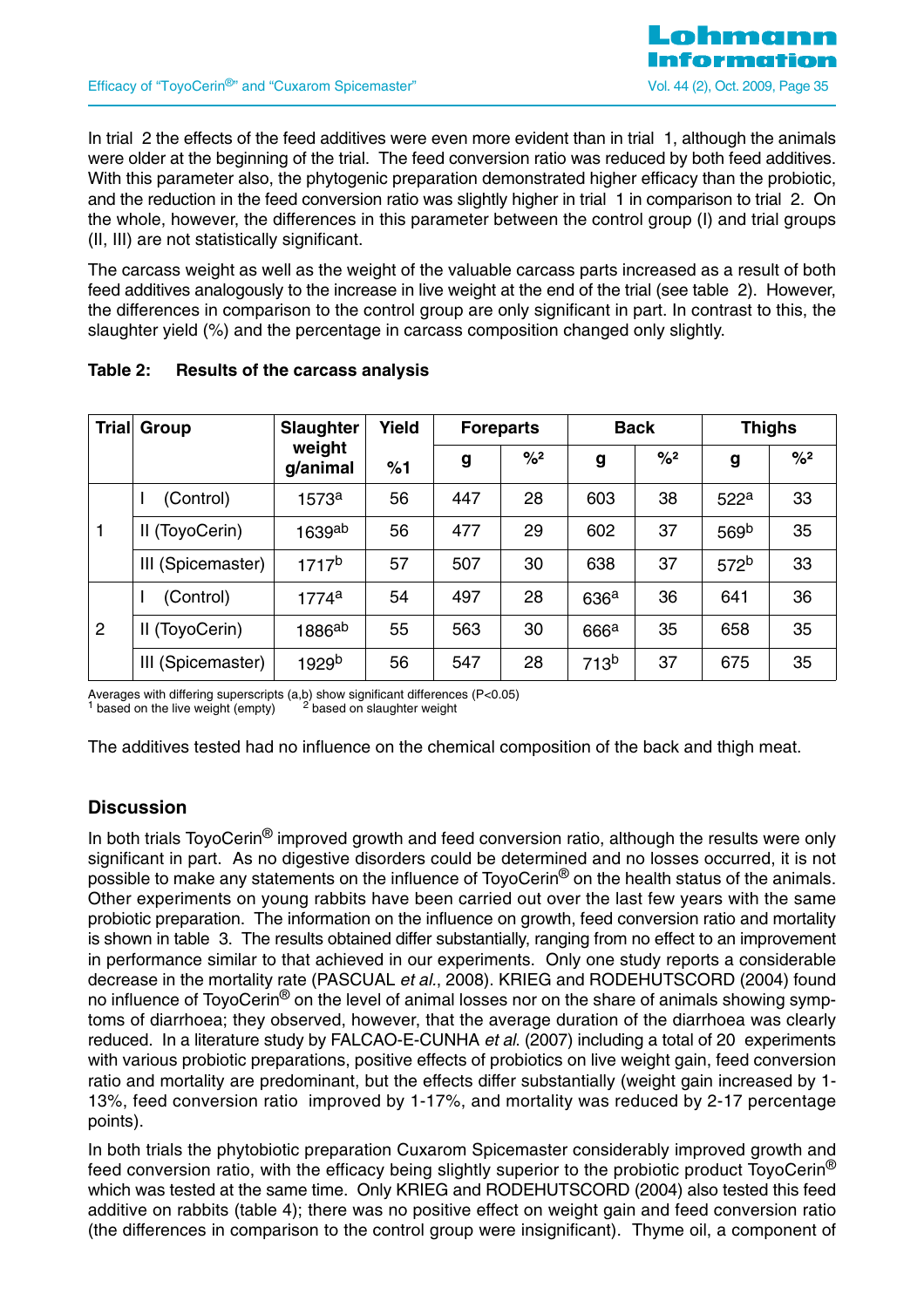In trial 2 the effects of the feed additives were even more evident than in trial 1, although the animals were older at the beginning of the trial. The feed conversion ratio was reduced by both feed additives. With this parameter also, the phytogenic preparation demonstrated higher efficacy than the probiotic, and the reduction in the feed conversion ratio was slightly higher in trial 1 in comparison to trial 2. On the whole, however, the differences in this parameter between the control group (I) and trial groups (II, III) are not statistically significant.

The carcass weight as well as the weight of the valuable carcass parts increased as a result of both feed additives analogously to the increase in live weight at the end of the trial (see table 2). However, the differences in comparison to the control group are only significant in part. In contrast to this, the slaughter yield (%) and the percentage in carcass composition changed only slightly.

|                | Trial Group       | <b>Slaughter</b>   | Yield |     | <b>Foreparts</b> |                  | <b>Back</b>   |                  | <b>Thighs</b>              |
|----------------|-------------------|--------------------|-------|-----|------------------|------------------|---------------|------------------|----------------------------|
|                |                   | weight<br>g/animal | %1    | g   | $\frac{9}{2}$    | g                | $\frac{9}{2}$ | g                | $\frac{9}{6}$ <sup>2</sup> |
|                | (Control)         | 1573a              | 56    | 447 | 28               | 603              | 38            | 522 <sup>a</sup> | 33                         |
| 1              | II (ToyoCerin)    | 1639 $^{ab}$       | 56    | 477 | 29               | 602              | 37            | 569 <sup>b</sup> | 35                         |
|                | III (Spicemaster) | 1717 <sup>b</sup>  | 57    | 507 | 30               | 638              | 37            | 572 <sup>b</sup> | 33                         |
|                | (Control)         | 1774a              | 54    | 497 | 28               | 636 <sup>a</sup> | 36            | 641              | 36                         |
| $\overline{2}$ | II (ToyoCerin)    | $1886^{ab}$        | 55    | 563 | 30               | 666 <sup>a</sup> | 35            | 658              | 35                         |
|                | III (Spicemaster) | 1929b              | 56    | 547 | 28               | 713 <sup>b</sup> | 37            | 675              | 35                         |

#### **Table 2: Results of the carcass analysis**

Averages with differing superscripts (a,b) show significant differences (P<0.05) <sup>1</sup> based on the live weight (empty) <sup>2</sup> based on slaughter weight  $<sup>1</sup>$  based on the live weight (empty)</sup>

The additives tested had no influence on the chemical composition of the back and thigh meat.

## **Discussion**

In both trials TovoCerin<sup>®</sup> improved growth and feed conversion ratio, although the results were only significant in part. As no digestive disorders could be determined and no losses occurred, it is not possible to make any statements on the influence of ToyoCerin® on the health status of the animals. Other experiments on young rabbits have been carried out over the last few years with the same probiotic preparation. The information on the influence on growth, feed conversion ratio and mortality is shown in table 3. The results obtained differ substantially, ranging from no effect to an improvement in performance similar to that achieved in our experiments. Only one study reports a considerable decrease in the mortality rate (PASCUAL et al., 2008). KRIEG and RODEHUTSCORD (2004) found no influence of ToyoCerin<sup>®</sup> on the level of animal losses nor on the share of animals showing symptoms of diarrhoea; they observed, however, that the average duration of the diarrhoea was clearly reduced. In a literature study by FALCAO-E-CUNHA et al. (2007) including a total of 20 experiments with various probiotic preparations, positive effects of probiotics on live weight gain, feed conversion ratio and mortality are predominant, but the effects differ substantially (weight gain increased by 1- 13%, feed conversion ratio improved by 1-17%, and mortality was reduced by 2-17 percentage points).

In both trials the phytobiotic preparation Cuxarom Spicemaster considerably improved growth and feed conversion ratio, with the efficacy being slightly superior to the probiotic product ToyoCerin® which was tested at the same time. Only KRIEG and RODEHUTSCORD (2004) also tested this feed additive on rabbits (table 4); there was no positive effect on weight gain and feed conversion ratio (the differences in comparison to the control group were insignificant). Thyme oil, a component of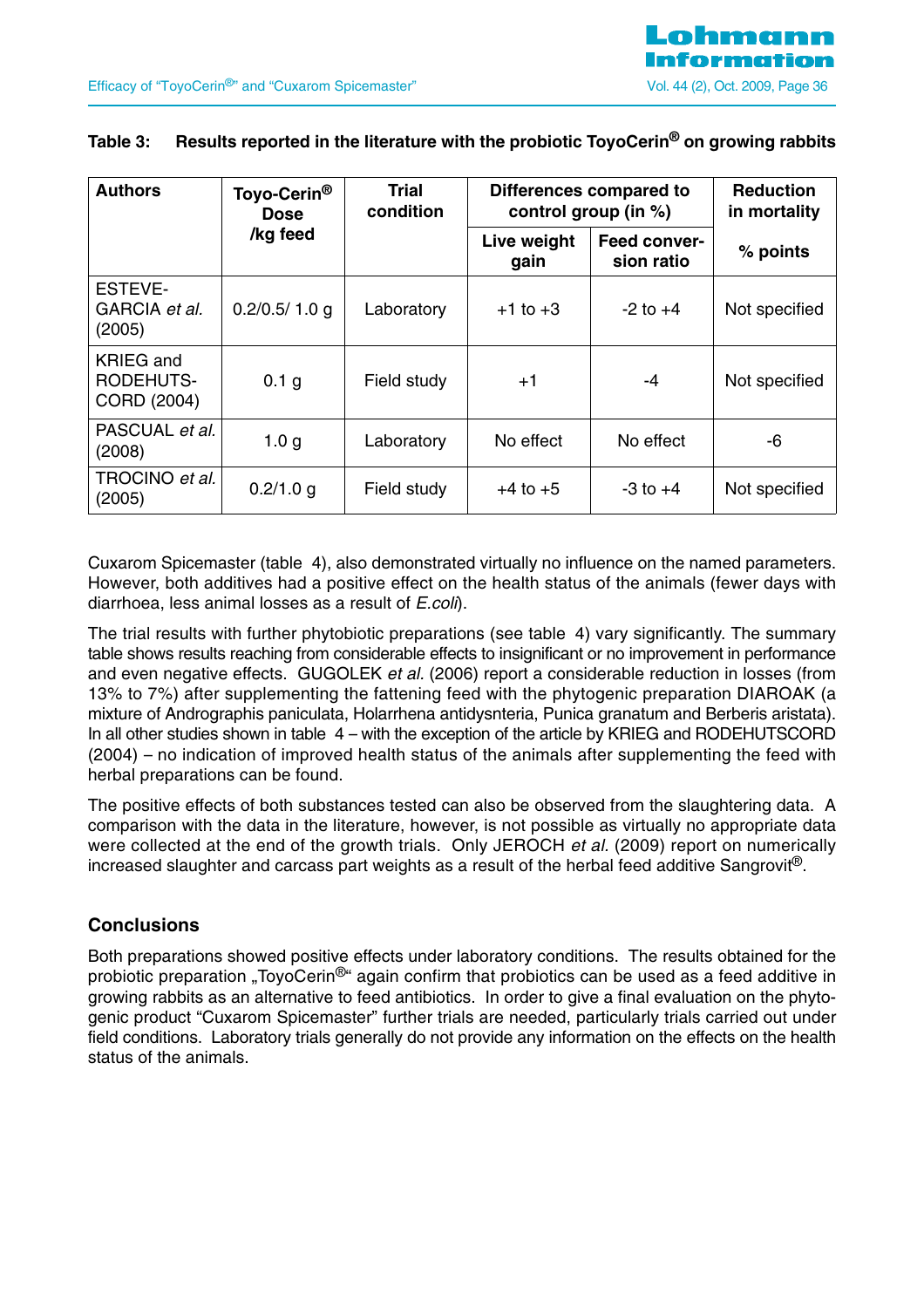| <b>Authors</b>                                      | Toyo-Cerin <sup>®</sup><br><b>Dose</b> | <b>Trial</b><br>condition | Differences compared to<br>control group (in %) |                                   | <b>Reduction</b><br>in mortality |
|-----------------------------------------------------|----------------------------------------|---------------------------|-------------------------------------------------|-----------------------------------|----------------------------------|
|                                                     | /kg feed                               |                           | Live weight<br>gain                             | <b>Feed conver-</b><br>sion ratio | % points                         |
| ESTEVE-<br>GARCIA et al.<br>(2005)                  | 0.2/0.5/1.0 g                          | Laboratory                | $+1$ to $+3$                                    | $-2$ to $+4$                      | Not specified                    |
| <b>KRIEG</b> and<br><b>RODEHUTS-</b><br>CORD (2004) | 0.1 g                                  | Field study               | $+1$                                            | -4                                | Not specified                    |
| PASCUAL et al.<br>(2008)                            | 1.0 <sub>q</sub>                       | Laboratory                | No effect                                       | No effect                         | -6                               |
| TROCINO et al.<br>(2005)                            | 0.2/1.0 g                              | Field study               | $+4$ to $+5$                                    | $-3$ to $+4$                      | Not specified                    |

## **Table 3: Results reported in the literature with the probiotic ToyoCerin® on growing rabbits**

Cuxarom Spicemaster (table 4), also demonstrated virtually no influence on the named parameters. However, both additives had a positive effect on the health status of the animals (fewer days with diarrhoea, less animal losses as a result of *E.coli*).

The trial results with further phytobiotic preparations (see table 4) vary significantly. The summary table shows results reaching from considerable effects to insignificant or no improvement in performance and even negative effects. GUGOLEK et al. (2006) report a considerable reduction in losses (from 13% to 7%) after supplementing the fattening feed with the phytogenic preparation DIAROAK (a mixture of Andrographis paniculata, Holarrhena antidysnteria, Punica granatum and Berberis aristata). In all other studies shown in table 4 – with the exception of the article by KRIEG and RODEHUTSCORD (2004) – no indication of improved health status of the animals after supplementing the feed with herbal preparations can be found.

The positive effects of both substances tested can also be observed from the slaughtering data. A comparison with the data in the literature, however, is not possible as virtually no appropriate data were collected at the end of the growth trials. Only JEROCH et al. (2009) report on numerically increased slaughter and carcass part weights as a result of the herbal feed additive Sangrovit®.

## **Conclusions**

Both preparations showed positive effects under laboratory conditions. The results obtained for the probiotic preparation "ToyoCerin<sup>®</sup>" again confirm that probiotics can be used as a feed additive in growing rabbits as an alternative to feed antibiotics. In order to give a final evaluation on the phytogenic product "Cuxarom Spicemaster" further trials are needed, particularly trials carried out under field conditions. Laboratory trials generally do not provide any information on the effects on the health status of the animals.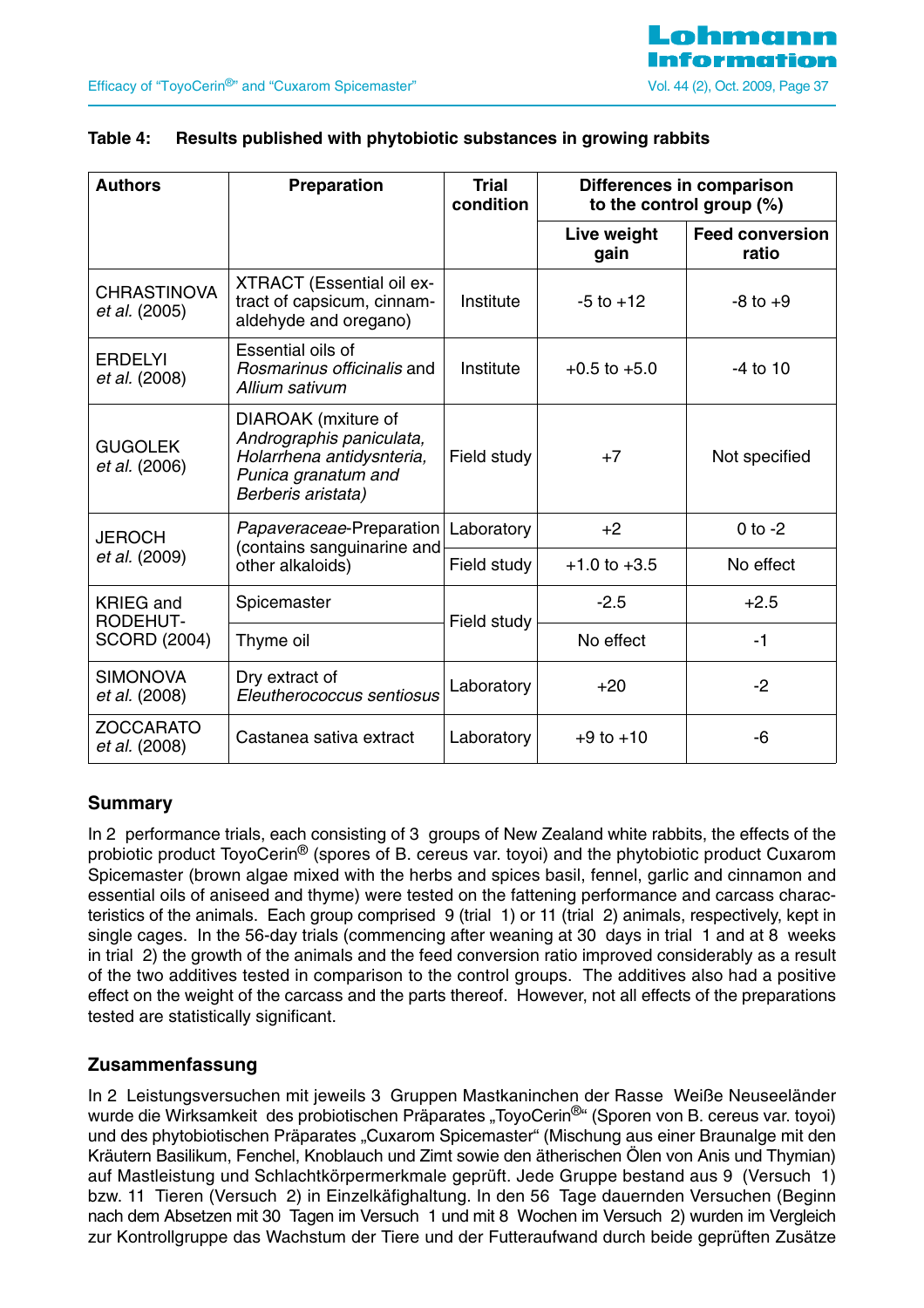

| <b>Authors</b>                      | <b>Preparation</b>                                                                                                        | <b>Trial</b><br>condition |                     | Differences in comparison<br>to the control group $(\%)$ |
|-------------------------------------|---------------------------------------------------------------------------------------------------------------------------|---------------------------|---------------------|----------------------------------------------------------|
|                                     |                                                                                                                           |                           | Live weight<br>gain | <b>Feed conversion</b><br>ratio                          |
| <b>CHRASTINOVA</b><br>et al. (2005) | <b>XTRACT</b> (Essential oil ex-<br>tract of capsicum, cinnam-<br>aldehyde and oregano)                                   | Institute                 | $-5$ to $+12$       | $-8$ to $+9$                                             |
| <b>ERDELYI</b><br>et al. (2008)     | Essential oils of<br>Rosmarinus officinalis and<br>Allium sativum                                                         | Institute                 | $+0.5$ to $+5.0$    | $-4$ to 10                                               |
| <b>GUGOLEK</b><br>et al. (2006)     | DIAROAK (mxiture of<br>Andrographis paniculata,<br>Holarrhena antidysnteria,<br>Punica granatum and<br>Berberis aristata) | Field study               | $+7$                | Not specified                                            |
| <b>JEROCH</b>                       | Papaveraceae-Preparation<br>(contains sanguinarine and                                                                    | Laboratory                | $+2$                | $0$ to $-2$                                              |
| et al. (2009)                       | other alkaloids)                                                                                                          | Field study               | $+1.0$ to $+3.5$    | No effect                                                |
| <b>KRIEG</b> and<br>RODEHUT-        | Spicemaster                                                                                                               | Field study               | $-2.5$              | $+2.5$                                                   |
| <b>SCORD (2004)</b>                 | Thyme oil                                                                                                                 |                           | No effect           | $-1$                                                     |
| <b>SIMONOVA</b><br>et al. (2008)    | Dry extract of<br>Eleutherococcus sentiosus                                                                               | Laboratory                | $+20$               | $-2$                                                     |
| <b>ZOCCARATO</b><br>et al. (2008)   | Castanea sativa extract                                                                                                   | Laboratory                | $+9$ to $+10$       | -6                                                       |

#### **Table 4: Results published with phytobiotic substances in growing rabbits**

## **Summary**

In 2 performance trials, each consisting of 3 groups of New Zealand white rabbits, the effects of the probiotic product ToyoCerin<sup>®</sup> (spores of B. cereus var. toyoi) and the phytobiotic product Cuxarom Spicemaster (brown algae mixed with the herbs and spices basil, fennel, garlic and cinnamon and essential oils of aniseed and thyme) were tested on the fattening performance and carcass characteristics of the animals. Each group comprised 9 (trial 1) or 11 (trial 2) animals, respectively, kept in single cages. In the 56-day trials (commencing after weaning at 30 days in trial 1 and at 8 weeks in trial 2) the growth of the animals and the feed conversion ratio improved considerably as a result of the two additives tested in comparison to the control groups. The additives also had a positive effect on the weight of the carcass and the parts thereof. However, not all effects of the preparations tested are statistically significant.

## **Zusammenfassung**

In 2 Leistungsversuchen mit jeweils 3 Gruppen Mastkaninchen der Rasse Weiße Neuseeländer wurde die Wirksamkeit des probiotischen Präparates "ToyoCerin<sup>®</sup>" (Sporen von B. cereus var. toyoi) und des phytobiotischen Präparates "Cuxarom Spicemaster" (Mischung aus einer Braunalge mit den Kräutern Basilikum, Fenchel, Knoblauch und Zimt sowie den ätherischen Ölen von Anis und Thymian) auf Mastleistung und Schlachtkörpermerkmale geprüft. Jede Gruppe bestand aus 9 (Versuch 1) bzw. 11 Tieren (Versuch 2) in Einzelkäfighaltung. In den 56 Tage dauernden Versuchen (Beginn nach dem Absetzen mit 30 Tagen im Versuch 1 und mit 8 Wochen im Versuch 2) wurden im Vergleich zur Kontrollgruppe das Wachstum der Tiere und der Futteraufwand durch beide geprüften Zusätze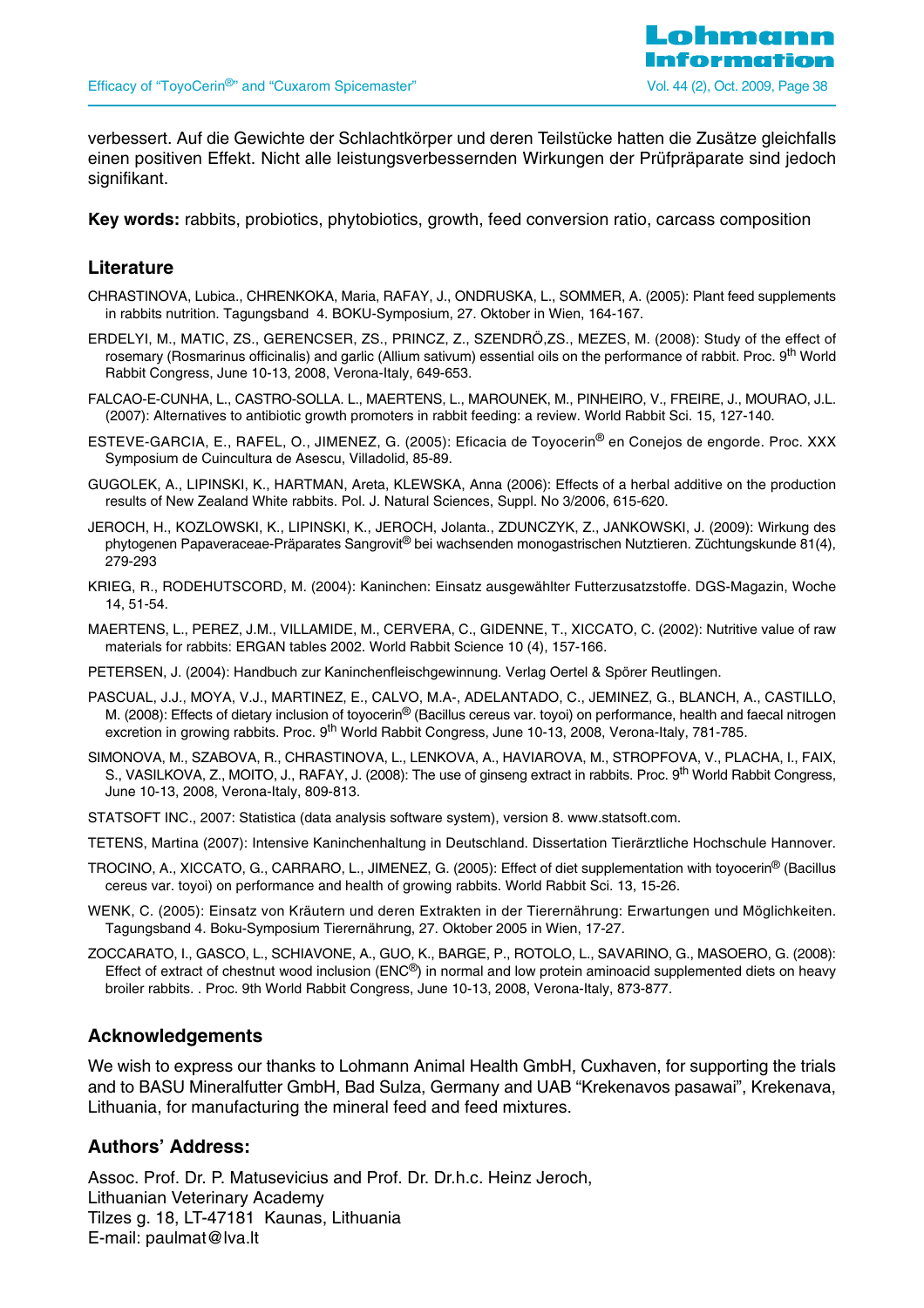

verbessert. Auf die Gewichte der Schlachtkörper und deren Teilstücke hatten die Zusätze gleichfalls einen positiven Effekt. Nicht alle leistungsverbessernden Wirkungen der Prüfpräparate sind jedoch signifikant.

**Key words:** rabbits, probiotics, phytobiotics, growth, feed conversion ratio, carcass composition

#### **Literature**

- CHRASTINOVA, Lubica., CHRENKOKA, Maria, RAFAY, J., ONDRUSKA, L., SOMMER, A. (2005): Plant feed supplements in rabbits nutrition. Tagungsband 4. BOKU-Symposium, 27. Oktober in Wien, 164-167.
- ERDELYI, M., MATIC, ZS., GERENCSER, ZS., PRINCZ, Z., SZENDRÖ,ZS., MEZES, M. (2008): Study of the effect of rosemary (Rosmarinus officinalis) and garlic (Allium sativum) essential oils on the performance of rabbit. Proc. 9<sup>th</sup> World Rabbit Congress, June 10-13, 2008, Verona-Italy, 649-653.
- FALCAO-E-CUNHA, L., CASTRO-SOLLA. L., MAERTENS, L., MAROUNEK, M., PINHEIRO, V., FREIRE, J., MOURAO, J.L. (2007): Alternatives to antibiotic growth promoters in rabbit feeding: a review. World Rabbit Sci. 15, 127-140.
- ESTEVE-GARCIA, E., RAFEL, O., JIMENEZ, G. (2005): Eficacia de Toyocerin® en Conejos de engorde. Proc. XXX Symposium de Cuincultura de Asescu, Villadolid, 85-89.
- GUGOLEK, A., LIPINSKI, K., HARTMAN, Areta, KLEWSKA, Anna (2006): Effects of a herbal additive on the production results of New Zealand White rabbits. Pol. J. Natural Sciences, Suppl. No 3/2006, 615-620.
- JEROCH, H., KOZLOWSKI, K., LIPINSKI, K., JEROCH, Jolanta., ZDUNCZYK, Z., JANKOWSKI, J. (2009): Wirkung des phytogenen Papaveraceae-Präparates Sangrovit® bei wachsenden monogastrischen Nutztieren. Züchtungskunde 81(4), 279-293
- KRIEG, R., RODEHUTSCORD, M. (2004): Kaninchen: Einsatz ausgewählter Futterzusatzstoffe. DGS-Magazin, Woche 14, 51-54.
- MAERTENS, L., PEREZ, J.M., VILLAMIDE, M., CERVERA, C., GIDENNE, T., XICCATO, C. (2002): Nutritive value of raw materials for rabbits: ERGAN tables 2002. World Rabbit Science 10 (4), 157-166.
- PETERSEN, J. (2004): Handbuch zur Kaninchenfleischgewinnung. Verlag Oertel & Spörer Reutlingen.
- PASCUAL, J.J., MOYA, V.J., MARTINEZ, E., CALVO, M.A-, ADELANTADO, C., JEMINEZ, G., BLANCH, A., CASTILLO, M. (2008): Effects of dietary inclusion of toyocerin® (Bacillus cereus var. toyoi) on performance, health and faecal nitrogen excretion in growing rabbits. Proc. 9<sup>th</sup> World Rabbit Congress, June 10-13, 2008, Verona-Italy, 781-785.
- SIMONOVA, M., SZABOVA, R., CHRASTINOVA, L., LENKOVA, A., HAVIAROVA, M., STROPFOVA, V., PLACHA, I., FAIX, S., VASILKOVA, Z., MOITO, J., RAFAY, J. (2008): The use of ginseng extract in rabbits. Proc. 9<sup>th</sup> World Rabbit Congress, June 10-13, 2008, Verona-Italy, 809-813.
- STATSOFT INC., 2007: Statistica (data analysis software system), version 8. www.statsoft.com.
- TETENS, Martina (2007): Intensive Kaninchenhaltung in Deutschland. Dissertation Tierärztliche Hochschule Hannover.
- TROCINO, A., XICCATO, G., CARRARO, L., JIMENEZ, G. (2005): Effect of diet supplementation with toyocerin® (Bacillus cereus var. toyoi) on performance and health of growing rabbits. World Rabbit Sci. 13, 15-26.
- WENK, C. (2005): Einsatz von Kräutern und deren Extrakten in der Tierernährung: Erwartungen und Möglichkeiten. Tagungsband 4. Boku-Symposium Tierernährung, 27. Oktober 2005 in Wien, 17-27.
- ZOCCARATO, I., GASCO, L., SCHIAVONE, A., GUO, K., BARGE, P., ROTOLO, L., SAVARINO, G., MASOERO, G. (2008): Effect of extract of chestnut wood inclusion (ENC®) in normal and low protein aminoacid supplemented diets on heavy broiler rabbits. . Proc. 9th World Rabbit Congress, June 10-13, 2008, Verona-Italy, 873-877.

#### **Acknowledgements**

We wish to express our thanks to Lohmann Animal Health GmbH, Cuxhaven, for supporting the trials and to BASU Mineralfutter GmbH, Bad Sulza, Germany and UAB "Krekenavos pasawai", Krekenava, Lithuania, for manufacturing the mineral feed and feed mixtures.

#### **Authors' Address:**

Assoc. Prof. Dr. P. Matusevicius and Prof. Dr. Dr.h.c. Heinz Jeroch, Lithuanian Veterinary Academy Tilzes g. 18, LT-47181 Kaunas, Lithuania E-mail: paulmat@lva.lt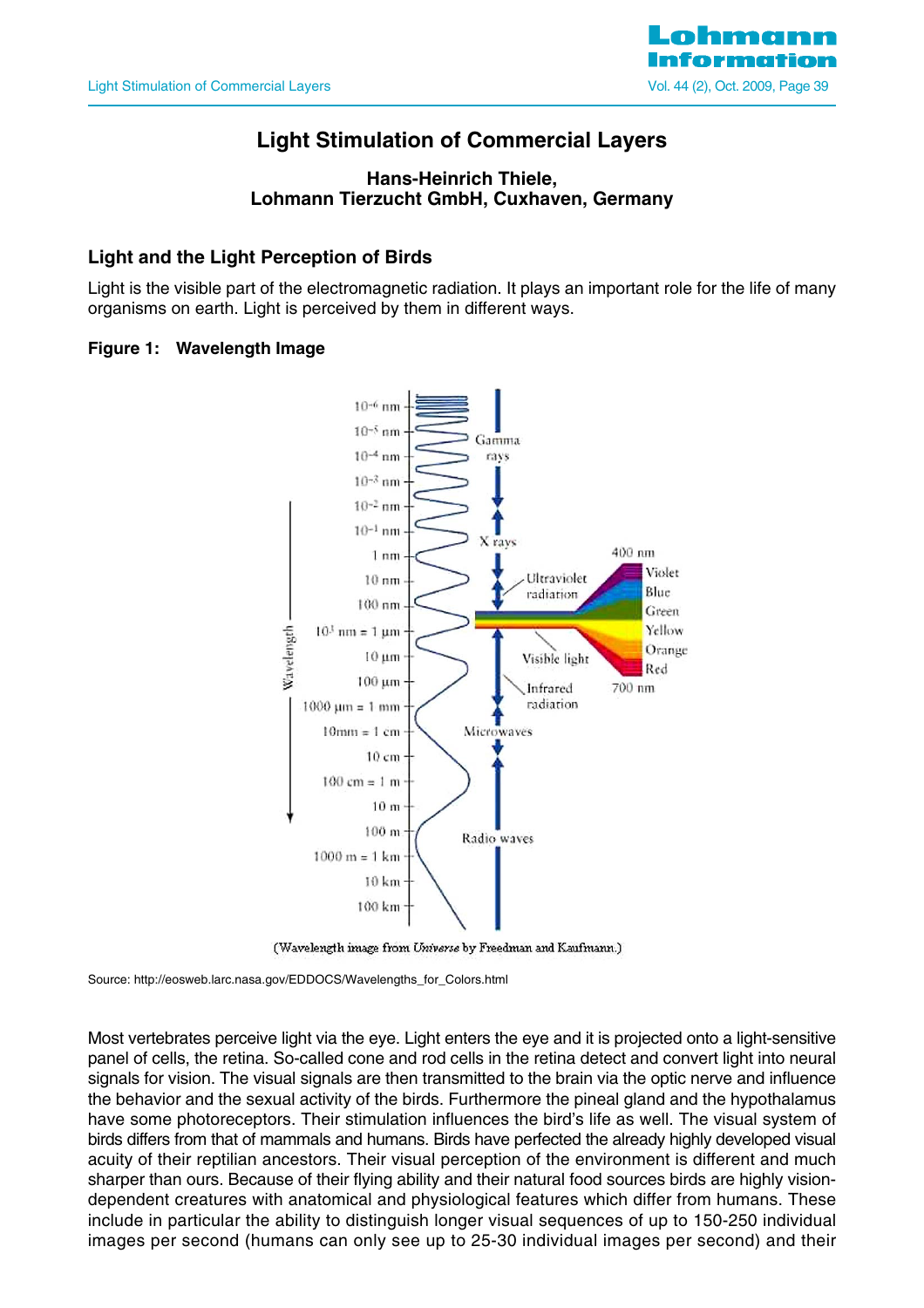

## **Light Stimulation of Commercial Layers**

#### **Hans-Heinrich Thiele, Lohmann Tierzucht GmbH, Cuxhaven, Germany**

## **Light and the Light Perception of Birds**

Light is the visible part of the electromagnetic radiation. It plays an important role for the life of many organisms on earth. Light is perceived by them in different ways.

#### **Figure 1: Wavelength Image**



(Wavelength image from Universe by Freedman and Kaufmann.)

Source: http://eosweb.larc.nasa.gov/EDDOCS/Wavelengths\_for\_Colors.html

Most vertebrates perceive light via the eye. Light enters the eye and it is projected onto a light-sensitive panel of cells, the retina. So-called cone and rod cells in the retina detect and convert light into neural signals for vision. The visual signals are then transmitted to the brain via the optic nerve and influence the behavior and the sexual activity of the birds. Furthermore the pineal gland and the hypothalamus have some photoreceptors. Their stimulation influences the bird's life as well. The visual system of birds differs from that of mammals and humans. Birds have perfected the already highly developed visual acuity of their reptilian ancestors. Their visual perception of the environment is different and much sharper than ours. Because of their flying ability and their natural food sources birds are highly visiondependent creatures with anatomical and physiological features which differ from humans. These include in particular the ability to distinguish longer visual sequences of up to 150-250 individual images per second (humans can only see up to 25-30 individual images per second) and their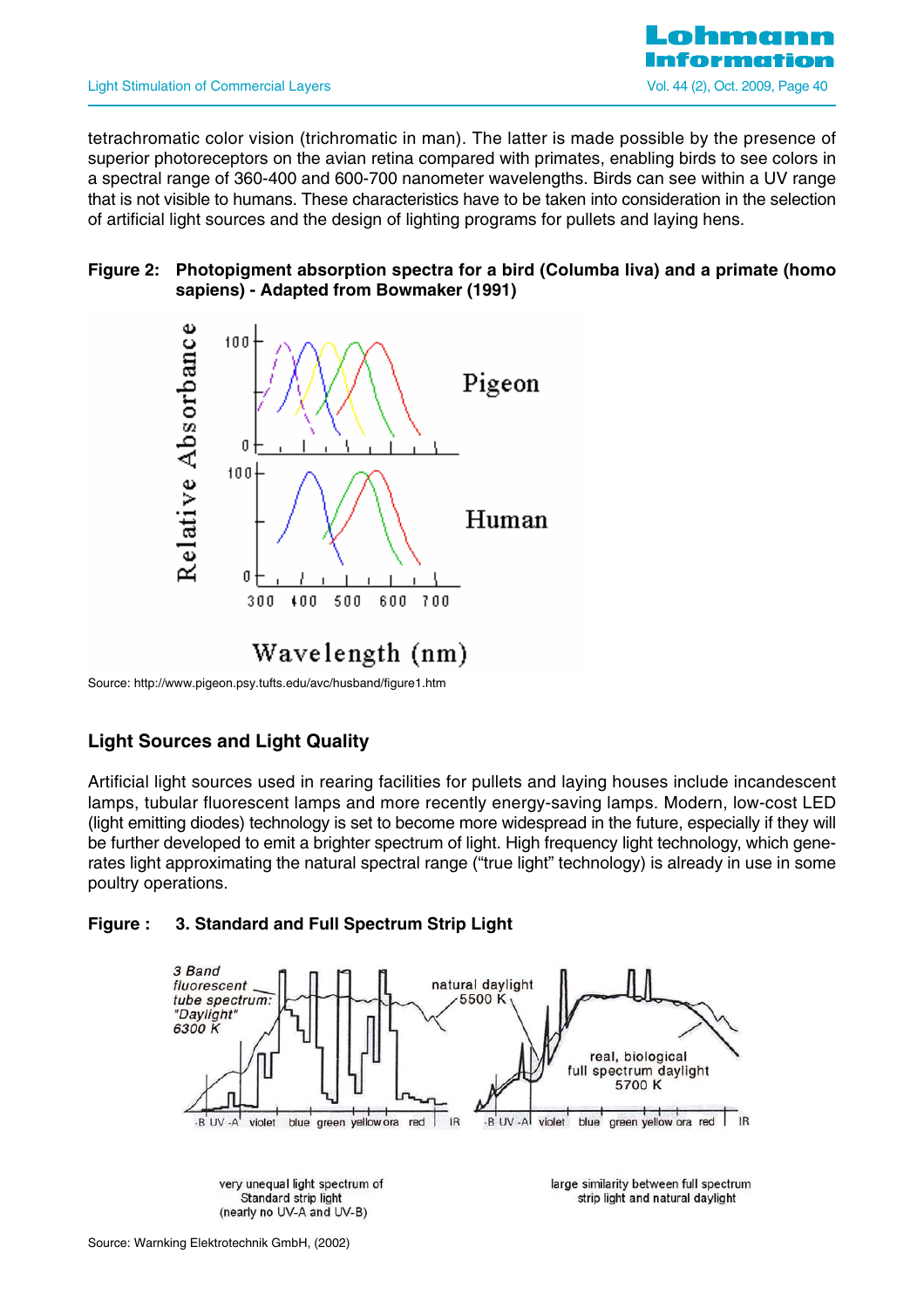

tetrachromatic color vision (trichromatic in man). The latter is made possible by the presence of superior photoreceptors on the avian retina compared with primates, enabling birds to see colors in a spectral range of 360-400 and 600-700 nanometer wavelengths. Birds can see within a UV range that is not visible to humans. These characteristics have to be taken into consideration in the selection of artificial light sources and the design of lighting programs for pullets and laying hens.

#### **Figure 2: Photopigment absorption spectra for a bird (Columba liva) and a primate (homo sapiens) - Adapted from Bowmaker (1991)**



Source: http://www.pigeon.psy.tufts.edu/avc/husband/figure1.htm

## **Light Sources and Light Quality**

Artificial light sources used in rearing facilities for pullets and laying houses include incandescent lamps, tubular fluorescent lamps and more recently energy-saving lamps. Modern, low-cost LED (light emitting diodes) technology is set to become more widespread in the future, especially if they will be further developed to emit a brighter spectrum of light. High frequency light technology, which generates light approximating the natural spectral range ("true light" technology) is already in use in some poultry operations.

#### **Figure : 3. Standard and Full Spectrum Strip Light**

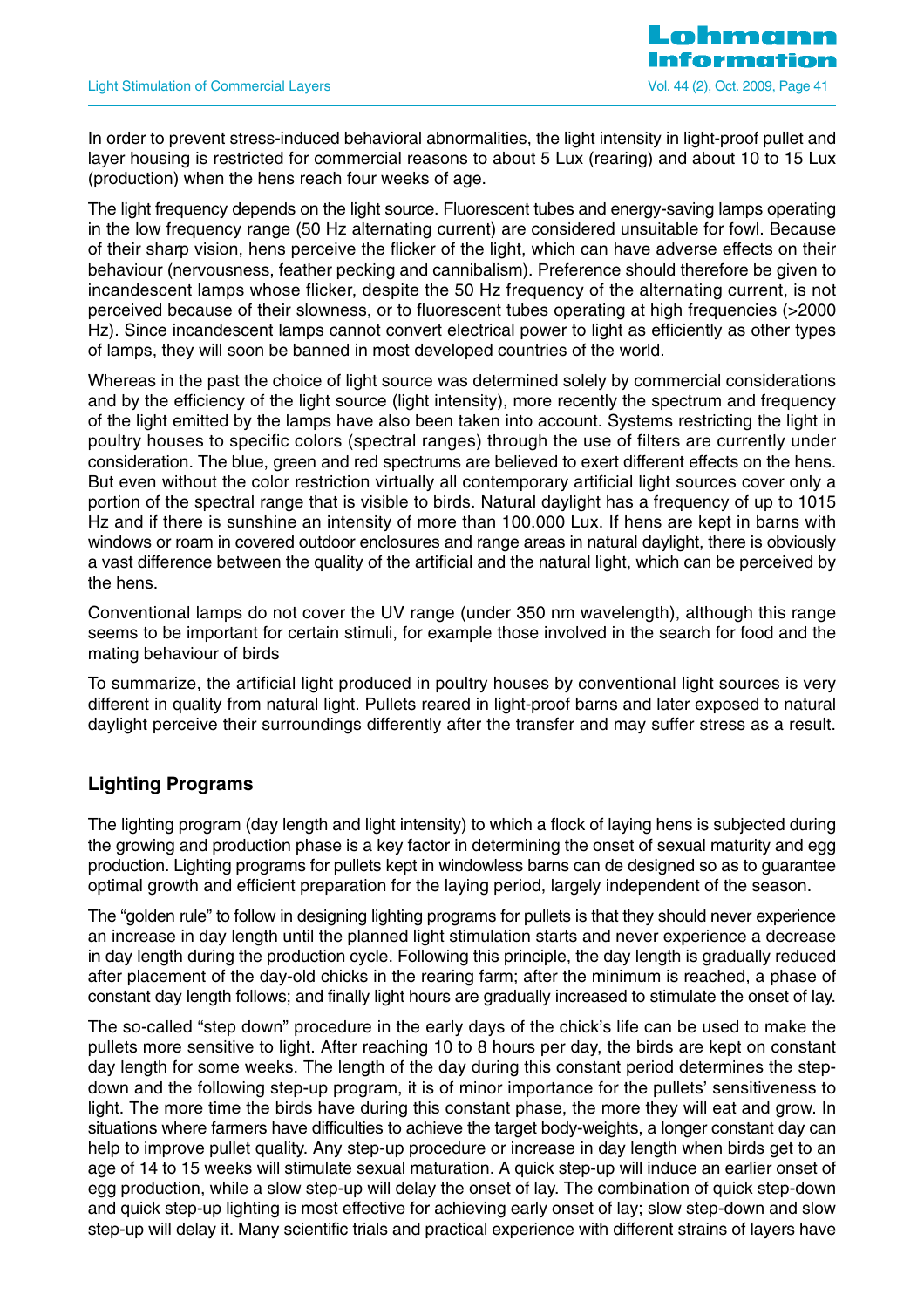In order to prevent stress-induced behavioral abnormalities, the light intensity in light-proof pullet and layer housing is restricted for commercial reasons to about 5 Lux (rearing) and about 10 to 15 Lux (production) when the hens reach four weeks of age.

The light frequency depends on the light source. Fluorescent tubes and energy-saving lamps operating in the low frequency range (50 Hz alternating current) are considered unsuitable for fowl. Because of their sharp vision, hens perceive the flicker of the light, which can have adverse effects on their behaviour (nervousness, feather pecking and cannibalism). Preference should therefore be given to incandescent lamps whose flicker, despite the 50 Hz frequency of the alternating current, is not perceived because of their slowness, or to fluorescent tubes operating at high frequencies (>2000 Hz). Since incandescent lamps cannot convert electrical power to light as efficiently as other types of lamps, they will soon be banned in most developed countries of the world.

Whereas in the past the choice of light source was determined solely by commercial considerations and by the efficiency of the light source (light intensity), more recently the spectrum and frequency of the light emitted by the lamps have also been taken into account. Systems restricting the light in poultry houses to specific colors (spectral ranges) through the use of filters are currently under consideration. The blue, green and red spectrums are believed to exert different effects on the hens. But even without the color restriction virtually all contemporary artificial light sources cover only a portion of the spectral range that is visible to birds. Natural daylight has a frequency of up to 1015 Hz and if there is sunshine an intensity of more than 100.000 Lux. If hens are kept in barns with windows or roam in covered outdoor enclosures and range areas in natural daylight, there is obviously a vast difference between the quality of the artificial and the natural light, which can be perceived by the hens.

Conventional lamps do not cover the UV range (under 350 nm wavelength), although this range seems to be important for certain stimuli, for example those involved in the search for food and the mating behaviour of birds

To summarize, the artificial light produced in poultry houses by conventional light sources is very different in quality from natural light. Pullets reared in light-proof barns and later exposed to natural daylight perceive their surroundings differently after the transfer and may suffer stress as a result.

## **Lighting Programs**

The lighting program (day length and light intensity) to which a flock of laying hens is subjected during the growing and production phase is a key factor in determining the onset of sexual maturity and egg production. Lighting programs for pullets kept in windowless barns can de designed so as to guarantee optimal growth and efficient preparation for the laying period, largely independent of the season.

The "golden rule" to follow in designing lighting programs for pullets is that they should never experience an increase in day length until the planned light stimulation starts and never experience a decrease in day length during the production cycle. Following this principle, the day length is gradually reduced after placement of the day-old chicks in the rearing farm; after the minimum is reached, a phase of constant day length follows; and finally light hours are gradually increased to stimulate the onset of lay.

The so-called "step down" procedure in the early days of the chick's life can be used to make the pullets more sensitive to light. After reaching 10 to 8 hours per day, the birds are kept on constant day length for some weeks. The length of the day during this constant period determines the stepdown and the following step-up program, it is of minor importance for the pullets' sensitiveness to light. The more time the birds have during this constant phase, the more they will eat and grow. In situations where farmers have difficulties to achieve the target body-weights, a longer constant day can help to improve pullet quality. Any step-up procedure or increase in day length when birds get to an age of 14 to 15 weeks will stimulate sexual maturation. A quick step-up will induce an earlier onset of egg production, while a slow step-up will delay the onset of lay. The combination of quick step-down and quick step-up lighting is most effective for achieving early onset of lay; slow step-down and slow step-up will delay it. Many scientific trials and practical experience with different strains of layers have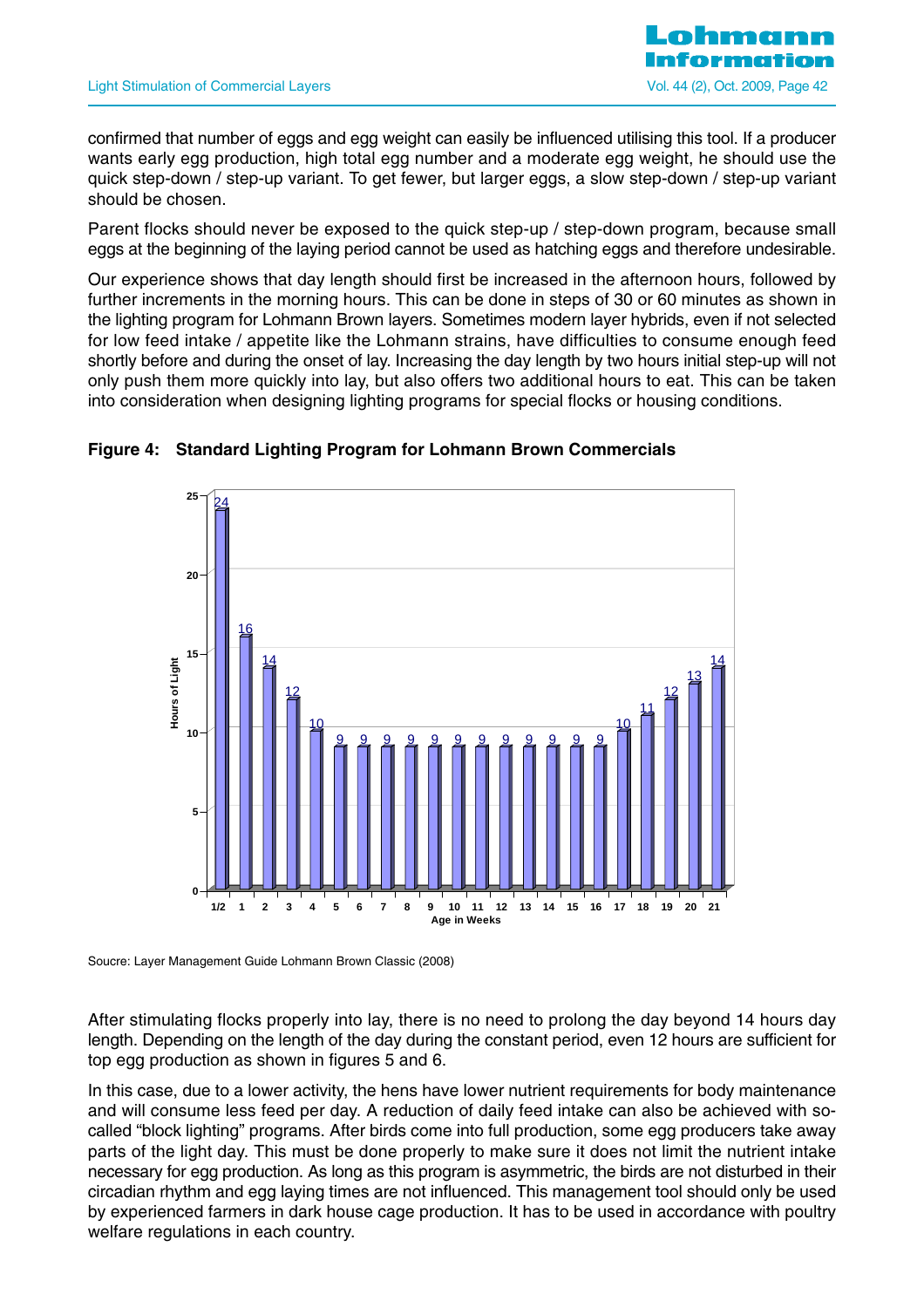

confirmed that number of eggs and egg weight can easily be influenced utilising this tool. If a producer wants early egg production, high total egg number and a moderate egg weight, he should use the quick step-down / step-up variant. To get fewer, but larger eggs, a slow step-down / step-up variant should be chosen.

Parent flocks should never be exposed to the quick step-up / step-down program, because small eggs at the beginning of the laying period cannot be used as hatching eggs and therefore undesirable.

Our experience shows that day length should first be increased in the afternoon hours, followed by further increments in the morning hours. This can be done in steps of 30 or 60 minutes as shown in the lighting program for Lohmann Brown layers. Sometimes modern layer hybrids, even if not selected for low feed intake / appetite like the Lohmann strains, have difficulties to consume enough feed shortly before and during the onset of lay. Increasing the day length by two hours initial step-up will not only push them more quickly into lay, but also offers two additional hours to eat. This can be taken into consideration when designing lighting programs for special flocks or housing conditions.



#### **Figure 4: Standard Lighting Program for Lohmann Brown Commercials**

Soucre: Layer Management Guide Lohmann Brown Classic (2008)

After stimulating flocks properly into lay, there is no need to prolong the day beyond 14 hours day length. Depending on the length of the day during the constant period, even 12 hours are sufficient for top egg production as shown in figures 5 and 6.

In this case, due to a lower activity, the hens have lower nutrient requirements for body maintenance and will consume less feed per day. A reduction of daily feed intake can also be achieved with socalled "block lighting" programs. After birds come into full production, some egg producers take away parts of the light day. This must be done properly to make sure it does not limit the nutrient intake necessary for egg production. As long as this program is asymmetric, the birds are not disturbed in their circadian rhythm and egg laying times are not influenced. This management tool should only be used by experienced farmers in dark house cage production. It has to be used in accordance with poultry welfare regulations in each country.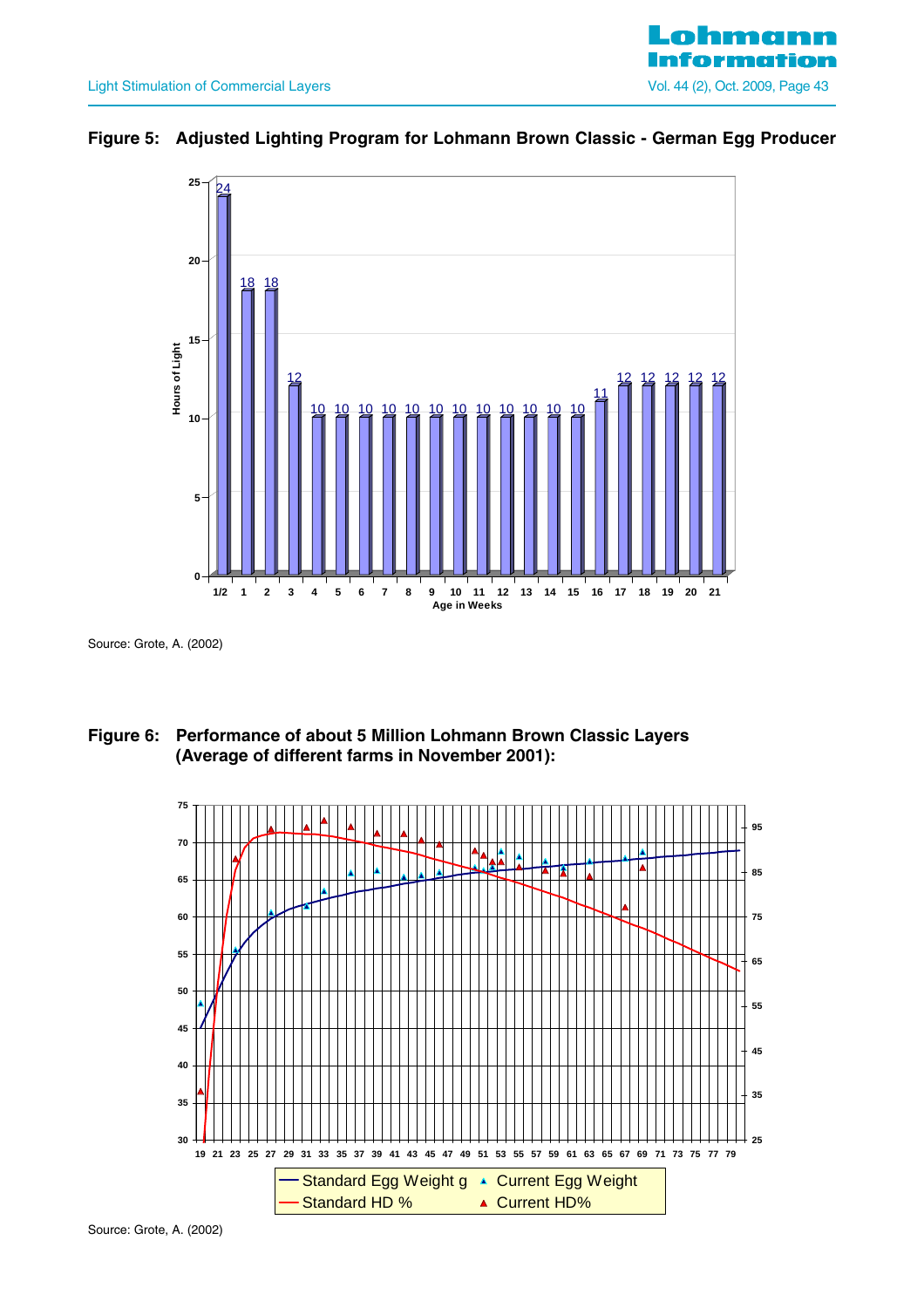

## **Figure 5: Adjusted Lighting Program for Lohmann Brown Classic - German Egg Producer**



Source: Grote, A. (2002)





Source: Grote, A. (2002)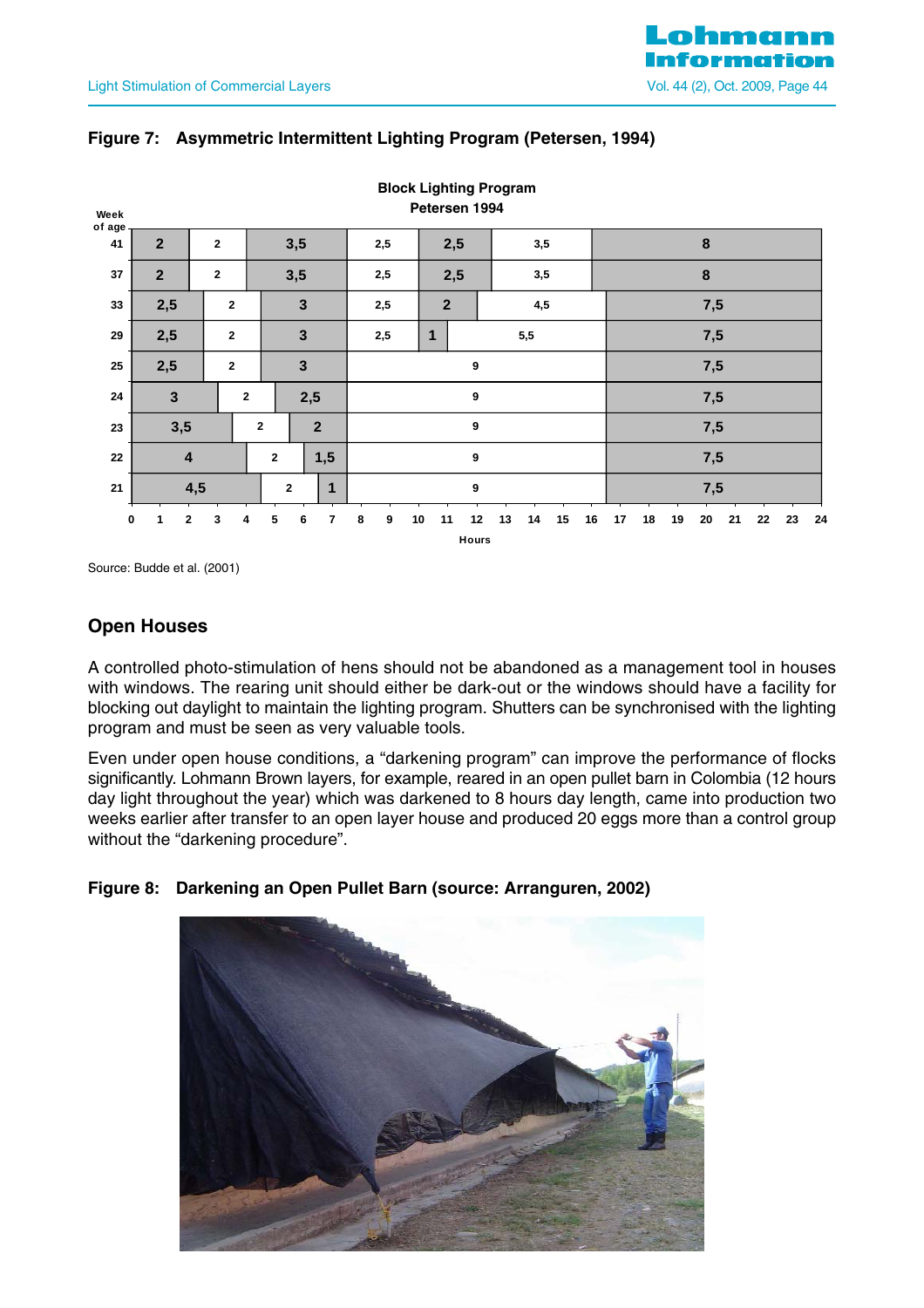| Week<br>of age |                  |              |                         |                |                                  |              |                         |   |     |     |                  | Petersen 1994 | <b>Block Lighting Program</b> |     |          |    |     |    |    |    |    |    |    |    |
|----------------|------------------|--------------|-------------------------|----------------|----------------------------------|--------------|-------------------------|---|-----|-----|------------------|---------------|-------------------------------|-----|----------|----|-----|----|----|----|----|----|----|----|
| 41             | $\overline{2}$   |              | $\overline{2}$          |                |                                  | 3,5          |                         |   | 2,5 |     |                  | 2,5           |                               | 3,5 |          |    |     |    |    | 8  |    |    |    |    |
| 37             | $\overline{2}$   |              | $\overline{2}$          |                |                                  | 3,5          |                         |   | 2,5 | 2,5 |                  | 3,5           |                               |     | $\bf{8}$ |    |     |    |    |    |    |    |    |    |
| 33             | 2,5              |              | $\mathbf{2}$            |                |                                  | $\mathbf{3}$ |                         |   | 2,5 |     | $\boldsymbol{2}$ |               |                               | 4,5 |          |    | 7,5 |    |    |    |    |    |    |    |
| ${\bf 29}$     | 2,5              |              | $\overline{\mathbf{2}}$ |                |                                  | $\mathbf{3}$ |                         |   | 2,5 |     | 1                |               | 5,5                           |     |          |    | 7,5 |    |    |    |    |    |    |    |
| ${\bf 25}$     | 2,5              |              | $\mathbf{2}$            |                |                                  | $\mathbf{3}$ |                         |   |     |     |                  | 9             |                               |     |          |    | 7,5 |    |    |    |    |    |    |    |
| ${\bf 24}$     | $\mathbf{3}$     |              |                         | $\overline{2}$ |                                  | 2,5          |                         |   |     |     |                  | 9             |                               |     |          |    | 7,5 |    |    |    |    |    |    |    |
| 23             | 3,5              |              |                         |                | $\overline{2}$<br>$\overline{2}$ |              |                         | 9 |     |     |                  |               |                               |     | 7,5      |    |     |    |    |    |    |    |    |    |
| 22             | $\boldsymbol{4}$ |              |                         |                | 1,5<br>$\overline{2}$            |              |                         | 9 |     |     |                  |               |                               |     | 7,5      |    |     |    |    |    |    |    |    |    |
| 21             | 4,5              |              |                         |                | 1<br>$\mathbf 2$                 |              |                         | 9 |     |     |                  |               | 7,5                           |     |          |    |     |    |    |    |    |    |    |    |
| 0              | 1                | $\mathbf{2}$ | 3                       | 4              | 5                                | 6            | $\overline{\mathbf{r}}$ | 8 | 9   | 10  | 11               | 12<br>Hours   | 13                            | 14  | 15       | 16 | 17  | 18 | 19 | 20 | 21 | 22 | 23 | 24 |

## **Figure 7: Asymmetric Intermittent Lighting Program (Petersen, 1994)**

Source: Budde et al. (2001)

## **Open Houses**

A controlled photo-stimulation of hens should not be abandoned as a management tool in houses with windows. The rearing unit should either be dark-out or the windows should have a facility for blocking out daylight to maintain the lighting program. Shutters can be synchronised with the lighting program and must be seen as very valuable tools.

Even under open house conditions, a "darkening program" can improve the performance of flocks significantly. Lohmann Brown layers, for example, reared in an open pullet barn in Colombia (12 hours day light throughout the year) which was darkened to 8 hours day length, came into production two weeks earlier after transfer to an open layer house and produced 20 eggs more than a control group without the "darkening procedure".



## **Figure 8: Darkening an Open Pullet Barn (source: Arranguren, 2002)**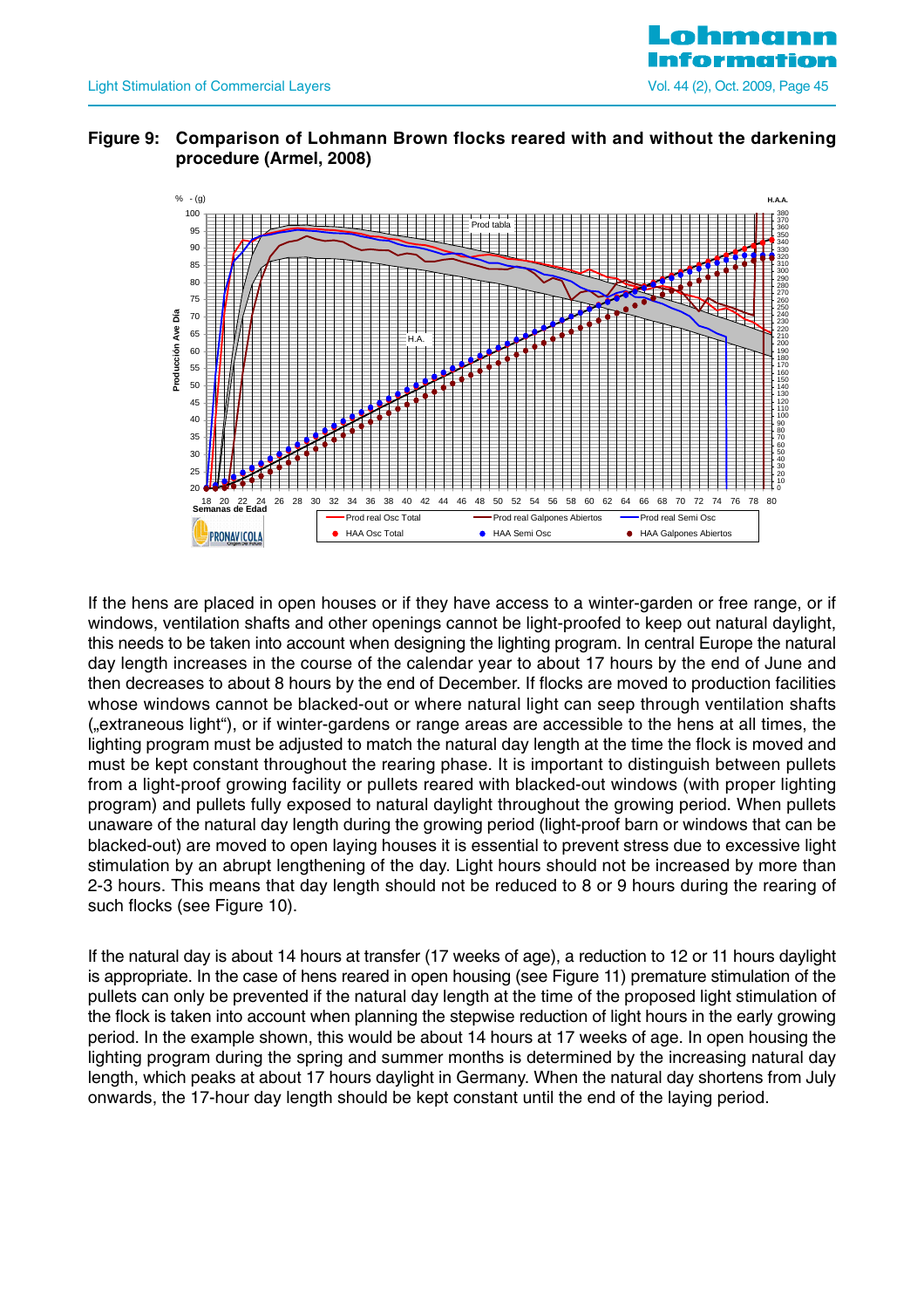

#### **Figure 9: Comparison of Lohmann Brown flocks reared with and without the darkening procedure (Armel, 2008)**



If the hens are placed in open houses or if they have access to a winter-garden or free range, or if windows, ventilation shafts and other openings cannot be light-proofed to keep out natural daylight, this needs to be taken into account when designing the lighting program. In central Europe the natural day length increases in the course of the calendar year to about 17 hours by the end of June and then decreases to about 8 hours by the end of December. If flocks are moved to production facilities whose windows cannot be blacked-out or where natural light can seep through ventilation shafts ("extraneous light"), or if winter-gardens or range areas are accessible to the hens at all times, the lighting program must be adjusted to match the natural day length at the time the flock is moved and must be kept constant throughout the rearing phase. It is important to distinguish between pullets from a light-proof growing facility or pullets reared with blacked-out windows (with proper lighting program) and pullets fully exposed to natural daylight throughout the growing period. When pullets unaware of the natural day length during the growing period (light-proof barn or windows that can be blacked-out) are moved to open laying houses it is essential to prevent stress due to excessive light stimulation by an abrupt lengthening of the day. Light hours should not be increased by more than 2-3 hours. This means that day length should not be reduced to 8 or 9 hours during the rearing of such flocks (see Figure 10).

If the natural day is about 14 hours at transfer (17 weeks of age), a reduction to 12 or 11 hours daylight is appropriate. In the case of hens reared in open housing (see Figure 11) premature stimulation of the pullets can only be prevented if the natural day length at the time of the proposed light stimulation of the flock is taken into account when planning the stepwise reduction of light hours in the early growing period. In the example shown, this would be about 14 hours at 17 weeks of age. In open housing the lighting program during the spring and summer months is determined by the increasing natural day length, which peaks at about 17 hours daylight in Germany. When the natural day shortens from July onwards, the 17-hour day length should be kept constant until the end of the laying period.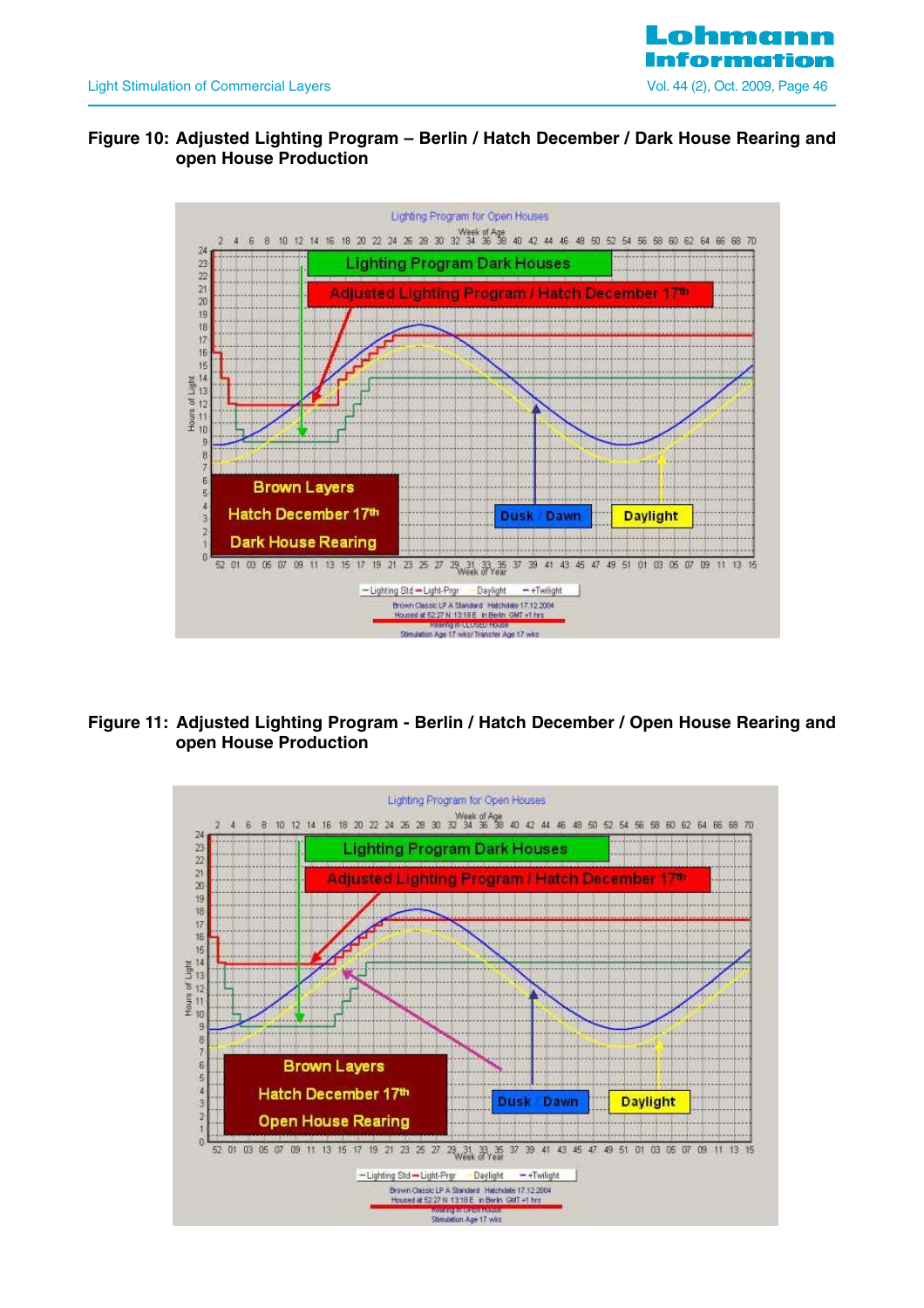

#### **Figure 10: Adjusted Lighting Program – Berlin / Hatch December / Dark House Rearing and open House Production**



## **Figure 11: Adjusted Lighting Program - Berlin / Hatch December / Open House Rearing and open House Production**

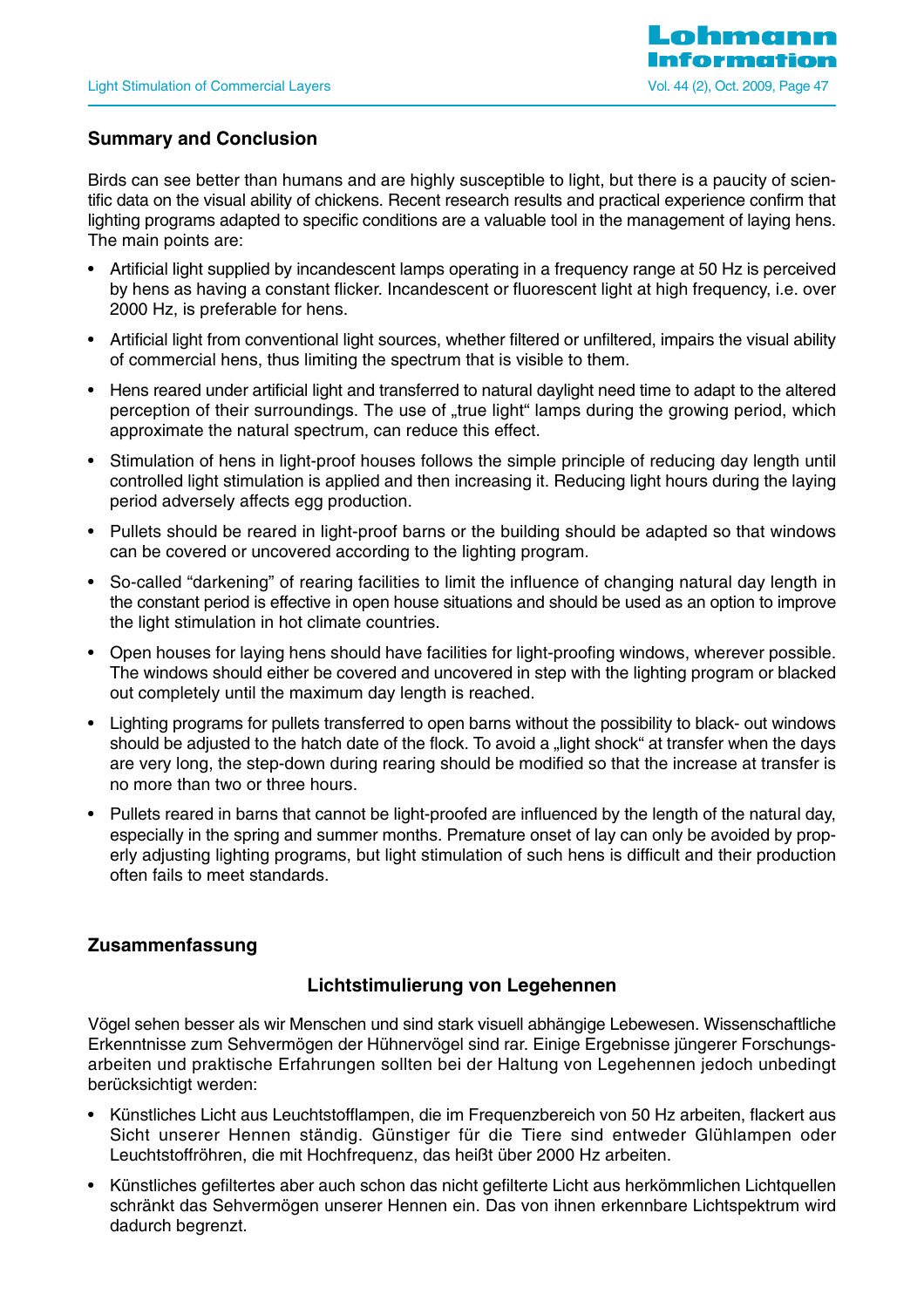## **Summary and Conclusion**

Birds can see better than humans and are highly susceptible to light, but there is a paucity of scientific data on the visual ability of chickens. Recent research results and practical experience confirm that lighting programs adapted to specific conditions are a valuable tool in the management of laying hens. The main points are:

- Artificial light supplied by incandescent lamps operating in a frequency range at 50 Hz is perceived by hens as having a constant flicker. Incandescent or fluorescent light at high frequency, i.e. over 2000 Hz, is preferable for hens.
- Artificial light from conventional light sources, whether filtered or unfiltered, impairs the visual ability of commercial hens, thus limiting the spectrum that is visible to them.
- Hens reared under artificial light and transferred to natural daylight need time to adapt to the altered perception of their surroundings. The use of "true light" lamps during the growing period, which approximate the natural spectrum, can reduce this effect.
- Stimulation of hens in light-proof houses follows the simple principle of reducing day length until controlled light stimulation is applied and then increasing it. Reducing light hours during the laying period adversely affects egg production.
- Pullets should be reared in light-proof barns or the building should be adapted so that windows can be covered or uncovered according to the lighting program.
- So-called "darkening" of rearing facilities to limit the influence of changing natural day length in the constant period is effective in open house situations and should be used as an option to improve the light stimulation in hot climate countries.
- Open houses for laying hens should have facilities for light-proofing windows, wherever possible. The windows should either be covered and uncovered in step with the lighting program or blacked out completely until the maximum day length is reached.
- Lighting programs for pullets transferred to open barns without the possibility to black- out windows should be adjusted to the hatch date of the flock. To avoid a "light shock" at transfer when the days are very long, the step-down during rearing should be modified so that the increase at transfer is no more than two or three hours.
- Pullets reared in barns that cannot be light-proofed are influenced by the length of the natural day, especially in the spring and summer months. Premature onset of lay can only be avoided by properly adjusting lighting programs, but light stimulation of such hens is difficult and their production often fails to meet standards.

## **Zusammenfassung**

## **Lichtstimulierung von Legehennen**

Vögel sehen besser als wir Menschen und sind stark visuell abhängige Lebewesen. Wissenschaftliche Erkenntnisse zum Sehvermögen der Hühnervögel sind rar. Einige Ergebnisse jüngerer Forschungsarbeiten und praktische Erfahrungen sollten bei der Haltung von Legehennen jedoch unbedingt berücksichtigt werden:

- Künstliches Licht aus Leuchtstofflampen, die im Frequenzbereich von 50 Hz arbeiten, flackert aus Sicht unserer Hennen ständig. Günstiger für die Tiere sind entweder Glühlampen oder Leuchtstoffröhren, die mit Hochfrequenz, das heißt über 2000 Hz arbeiten.
- Künstliches gefiltertes aber auch schon das nicht gefilterte Licht aus herkömmlichen Lichtquellen schränkt das Sehvermögen unserer Hennen ein. Das von ihnen erkennbare Lichtspektrum wird dadurch begrenzt.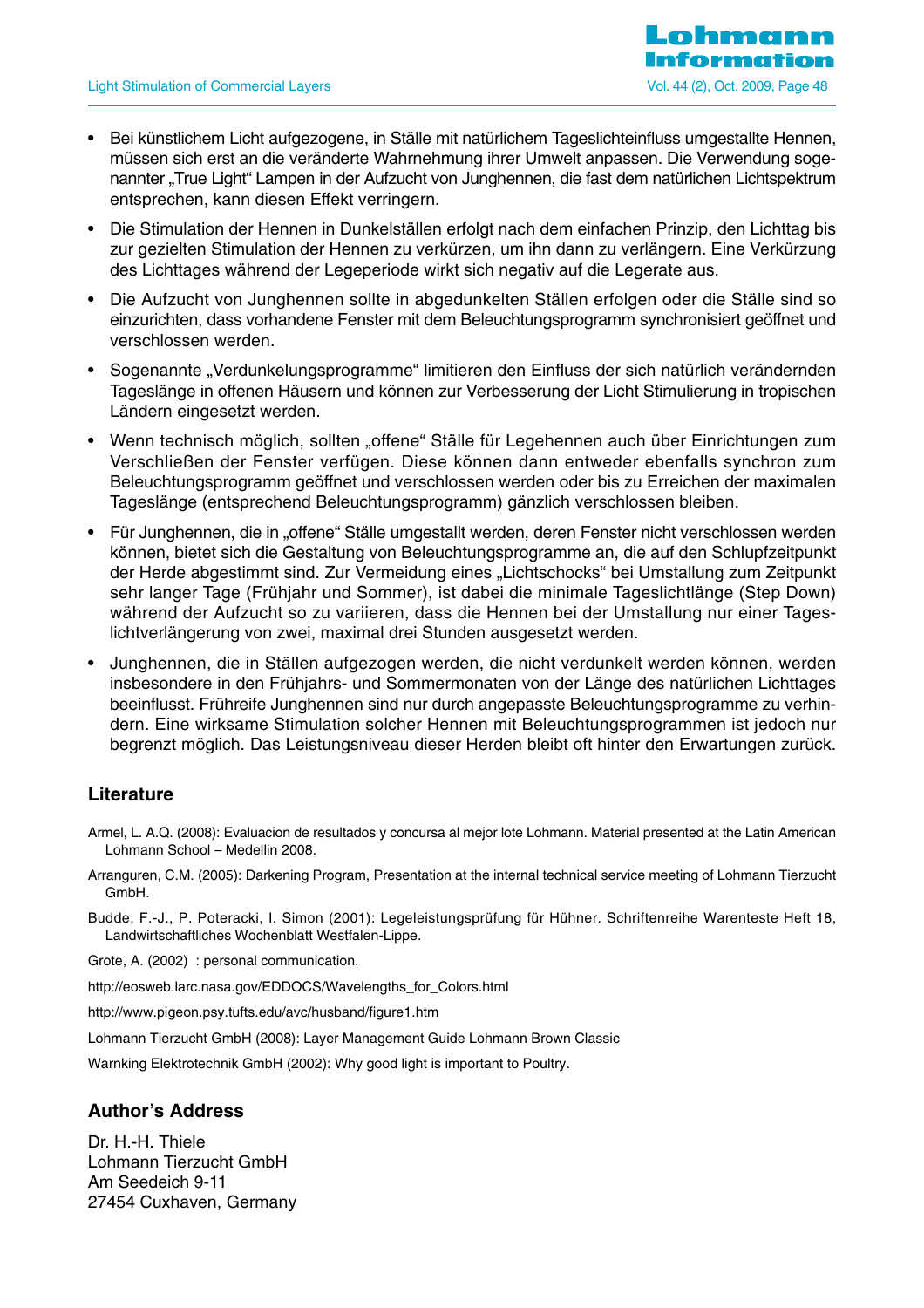- Bei künstlichem Licht aufgezogene, in Ställe mit natürlichem Tageslichteinfluss umgestallte Hennen, müssen sich erst an die veränderte Wahrnehmung ihrer Umwelt anpassen. Die Verwendung sogenannter "True Light" Lampen in der Aufzucht von Junghennen, die fast dem natürlichen Lichtspektrum entsprechen, kann diesen Effekt verringern.
- Die Stimulation der Hennen in Dunkelställen erfolgt nach dem einfachen Prinzip, den Lichttag bis zur gezielten Stimulation der Hennen zu verkürzen, um ihn dann zu verlängern. Eine Verkürzung des Lichttages während der Legeperiode wirkt sich negativ auf die Legerate aus.
- Die Aufzucht von Junghennen sollte in abgedunkelten Ställen erfolgen oder die Ställe sind so einzurichten, dass vorhandene Fenster mit dem Beleuchtungsprogramm synchronisiert geöffnet und verschlossen werden.
- Sogenannte "Verdunkelungsprogramme" limitieren den Einfluss der sich natürlich verändernden Tageslänge in offenen Häusern und können zur Verbesserung der Licht Stimulierung in tropischen Ländern eingesetzt werden.
- Wenn technisch möglich, sollten "offene" Ställe für Legehennen auch über Einrichtungen zum Verschließen der Fenster verfügen. Diese können dann entweder ebenfalls synchron zum Beleuchtungsprogramm geöffnet und verschlossen werden oder bis zu Erreichen der maximalen Tageslänge (entsprechend Beleuchtungsprogramm) gänzlich verschlossen bleiben.
- Für Junghennen, die in "offene" Ställe umgestallt werden, deren Fenster nicht verschlossen werden können, bietet sich die Gestaltung von Beleuchtungsprogramme an, die auf den Schlupfzeitpunkt der Herde abgestimmt sind. Zur Vermeidung eines "Lichtschocks" bei Umstallung zum Zeitpunkt sehr langer Tage (Frühjahr und Sommer), ist dabei die minimale Tageslichtlänge (Step Down) während der Aufzucht so zu variieren, dass die Hennen bei der Umstallung nur einer Tageslichtverlängerung von zwei, maximal drei Stunden ausgesetzt werden.
- Junghennen, die in Ställen aufgezogen werden, die nicht verdunkelt werden können, werden insbesondere in den Frühjahrs- und Sommermonaten von der Länge des natürlichen Lichttages beeinflusst. Frühreife Junghennen sind nur durch angepasste Beleuchtungsprogramme zu verhindern. Eine wirksame Stimulation solcher Hennen mit Beleuchtungsprogrammen ist jedoch nur begrenzt möglich. Das Leistungsniveau dieser Herden bleibt oft hinter den Erwartungen zurück.

#### **Literature**

- Armel, L. A.Q. (2008): Evaluacion de resultados y concursa al mejor lote Lohmann. Material presented at the Latin American Lohmann School – Medellin 2008.
- Arranguren, C.M. (2005): Darkening Program, Presentation at the internal technical service meeting of Lohmann Tierzucht GmbH.
- Budde, F.-J., P. Poteracki, I. Simon (2001): Legeleistungsprüfung für Hühner. Schriftenreihe Warenteste Heft 18, Landwirtschaftliches Wochenblatt Westfalen-Lippe.
- Grote, A. (2002) : personal communication.
- http://eosweb.larc.nasa.gov/EDDOCS/Wavelengths\_for\_Colors.html
- http://www.pigeon.psy.tufts.edu/avc/husband/figure1.htm
- Lohmann Tierzucht GmbH (2008): Layer Management Guide Lohmann Brown Classic

Warnking Elektrotechnik GmbH (2002): Why good light is important to Poultry.

#### **Author's Address**

Dr. H.-H. Thiele Lohmann Tierzucht GmbH Am Seedeich 9-11 27454 Cuxhaven, Germany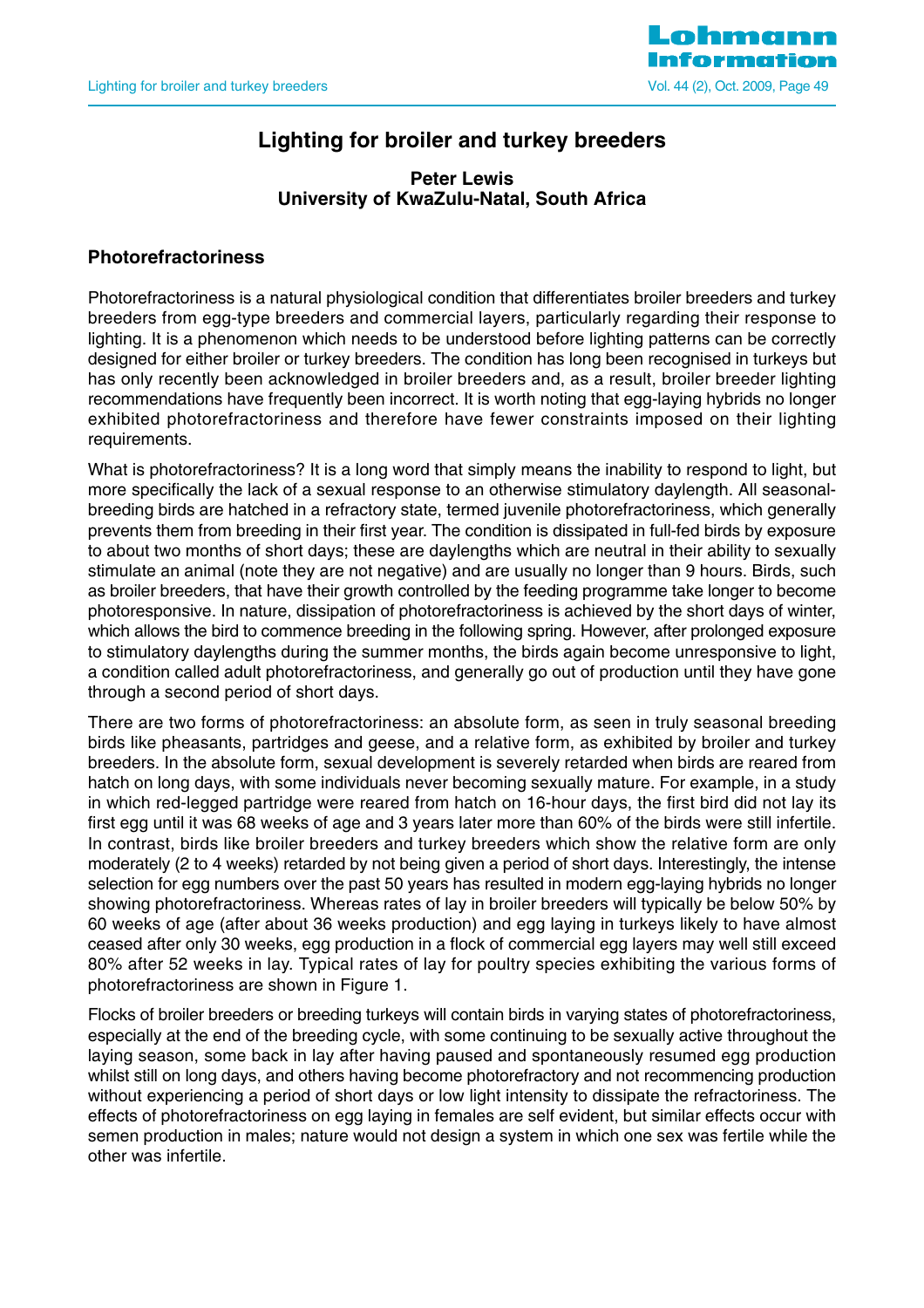

## **Lighting for broiler and turkey breeders**

#### **Peter Lewis University of KwaZulu-Natal, South Africa**

## **Photorefractoriness**

Photorefractoriness is a natural physiological condition that differentiates broiler breeders and turkey breeders from egg-type breeders and commercial layers, particularly regarding their response to lighting. It is a phenomenon which needs to be understood before lighting patterns can be correctly designed for either broiler or turkey breeders. The condition has long been recognised in turkeys but has only recently been acknowledged in broiler breeders and, as a result, broiler breeder lighting recommendations have frequently been incorrect. It is worth noting that egg-laying hybrids no longer exhibited photorefractoriness and therefore have fewer constraints imposed on their lighting requirements.

What is photorefractoriness? It is a long word that simply means the inability to respond to light, but more specifically the lack of a sexual response to an otherwise stimulatory daylength. All seasonalbreeding birds are hatched in a refractory state, termed juvenile photorefractoriness, which generally prevents them from breeding in their first year. The condition is dissipated in full-fed birds by exposure to about two months of short days; these are daylengths which are neutral in their ability to sexually stimulate an animal (note they are not negative) and are usually no longer than 9 hours. Birds, such as broiler breeders, that have their growth controlled by the feeding programme take longer to become photoresponsive. In nature, dissipation of photorefractoriness is achieved by the short days of winter, which allows the bird to commence breeding in the following spring. However, after prolonged exposure to stimulatory daylengths during the summer months, the birds again become unresponsive to light, a condition called adult photorefractoriness, and generally go out of production until they have gone through a second period of short days.

There are two forms of photorefractoriness: an absolute form, as seen in truly seasonal breeding birds like pheasants, partridges and geese, and a relative form, as exhibited by broiler and turkey breeders. In the absolute form, sexual development is severely retarded when birds are reared from hatch on long days, with some individuals never becoming sexually mature. For example, in a study in which red-legged partridge were reared from hatch on 16-hour days, the first bird did not lay its first egg until it was 68 weeks of age and 3 years later more than 60% of the birds were still infertile. In contrast, birds like broiler breeders and turkey breeders which show the relative form are only moderately (2 to 4 weeks) retarded by not being given a period of short days. Interestingly, the intense selection for egg numbers over the past 50 years has resulted in modern egg-laying hybrids no longer showing photorefractoriness. Whereas rates of lay in broiler breeders will typically be below 50% by 60 weeks of age (after about 36 weeks production) and egg laying in turkeys likely to have almost ceased after only 30 weeks, egg production in a flock of commercial egg layers may well still exceed 80% after 52 weeks in lay. Typical rates of lay for poultry species exhibiting the various forms of photorefractoriness are shown in Figure 1.

Flocks of broiler breeders or breeding turkeys will contain birds in varying states of photorefractoriness, especially at the end of the breeding cycle, with some continuing to be sexually active throughout the laying season, some back in lay after having paused and spontaneously resumed egg production whilst still on long days, and others having become photorefractory and not recommencing production without experiencing a period of short days or low light intensity to dissipate the refractoriness. The effects of photorefractoriness on egg laying in females are self evident, but similar effects occur with semen production in males; nature would not design a system in which one sex was fertile while the other was infertile.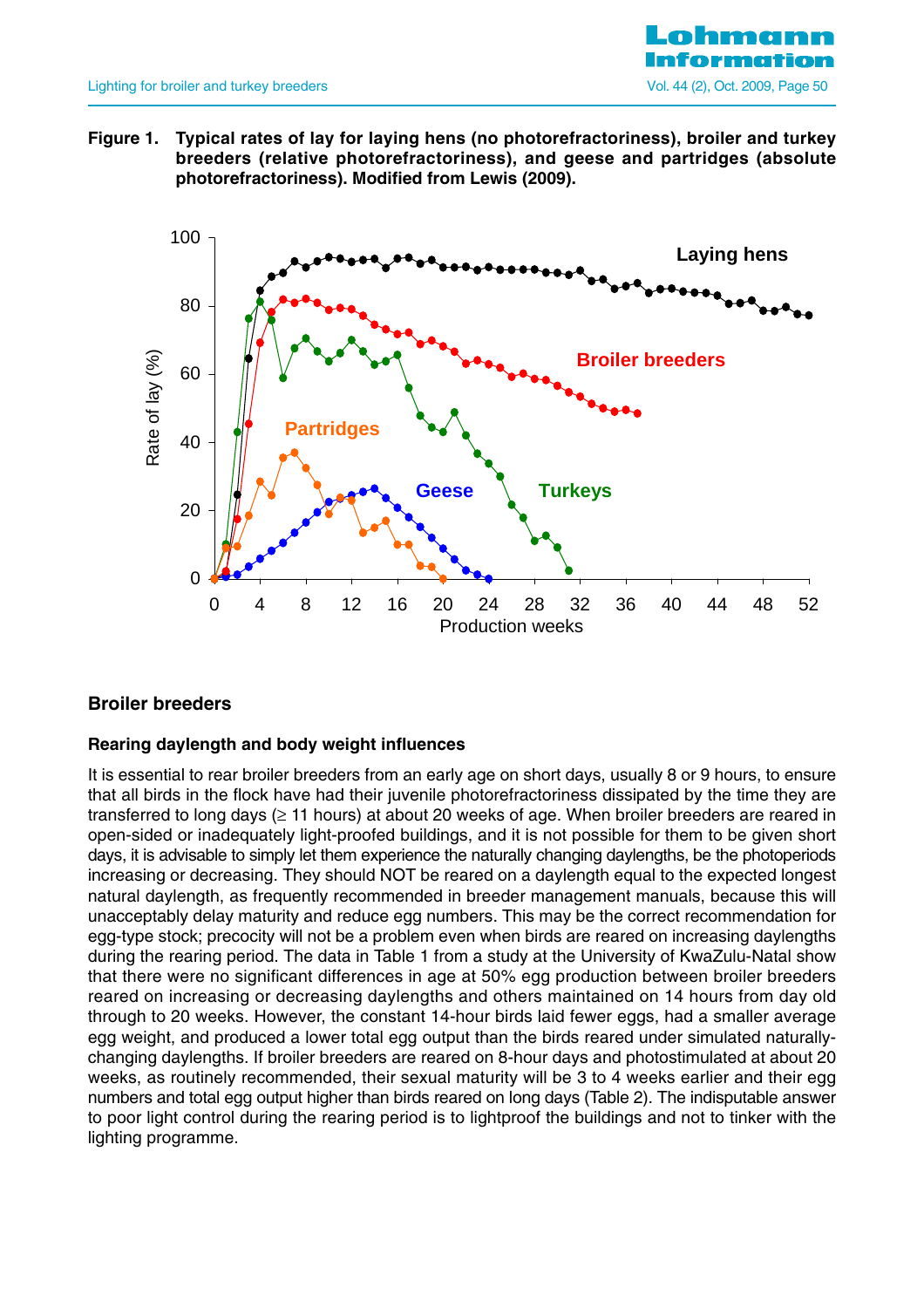

**Figure 1. Typical rates of lay for laying hens (no photorefractoriness), broiler and turkey breeders (relative photorefractoriness), and geese and partridges (absolute photorefractoriness). Modified from Lewis (2009).** 



## **Broiler breeders**

#### **Rearing daylength and body weight influences**

It is essential to rear broiler breeders from an early age on short days, usually 8 or 9 hours, to ensure that all birds in the flock have had their juvenile photorefractoriness dissipated by the time they are transferred to long days (≥ 11 hours) at about 20 weeks of age. When broiler breeders are reared in open-sided or inadequately light-proofed buildings, and it is not possible for them to be given short days, it is advisable to simply let them experience the naturally changing daylengths, be the photoperiods increasing or decreasing. They should NOT be reared on a daylength equal to the expected longest natural daylength, as frequently recommended in breeder management manuals, because this will unacceptably delay maturity and reduce egg numbers. This may be the correct recommendation for egg-type stock; precocity will not be a problem even when birds are reared on increasing daylengths during the rearing period. The data in Table 1 from a study at the University of KwaZulu-Natal show that there were no significant differences in age at 50% egg production between broiler breeders reared on increasing or decreasing daylengths and others maintained on 14 hours from day old through to 20 weeks. However, the constant 14-hour birds laid fewer eggs, had a smaller average egg weight, and produced a lower total egg output than the birds reared under simulated naturallychanging daylengths. If broiler breeders are reared on 8-hour days and photostimulated at about 20 weeks, as routinely recommended, their sexual maturity will be 3 to 4 weeks earlier and their egg numbers and total egg output higher than birds reared on long days (Table 2). The indisputable answer to poor light control during the rearing period is to lightproof the buildings and not to tinker with the lighting programme.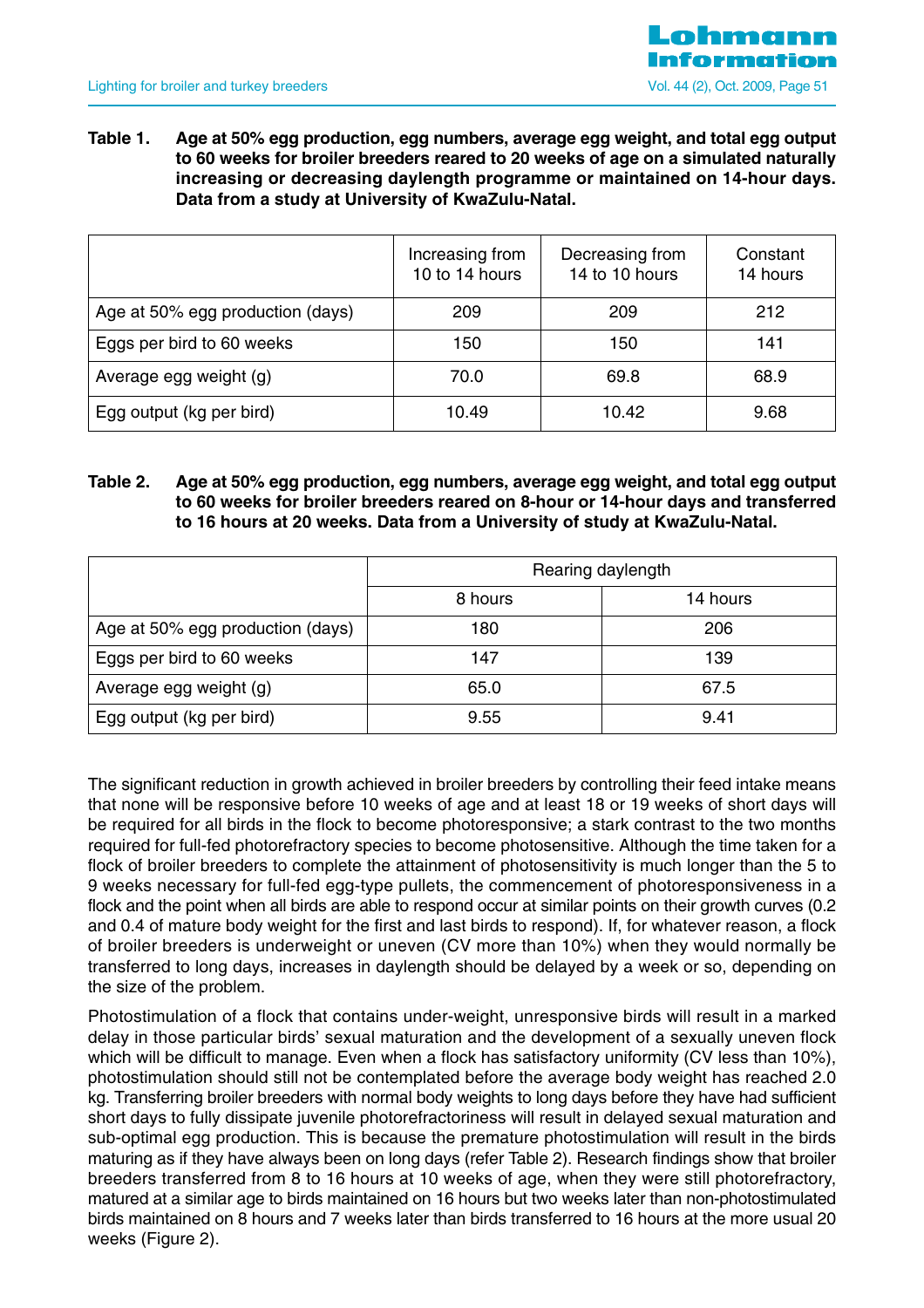

**Table 1. Age at 50% egg production, egg numbers, average egg weight, and total egg output to 60 weeks for broiler breeders reared to 20 weeks of age on a simulated naturally increasing or decreasing daylength programme or maintained on 14-hour days. Data from a study at University of KwaZulu-Natal.**

|                                  | Increasing from<br>10 to 14 hours | Decreasing from<br>14 to 10 hours | Constant<br>14 hours |
|----------------------------------|-----------------------------------|-----------------------------------|----------------------|
| Age at 50% egg production (days) | 209                               | 209                               | 212                  |
| Eggs per bird to 60 weeks        | 150                               | 150                               | 141                  |
| Average egg weight (g)           | 70.0                              | 69.8                              | 68.9                 |
| Egg output (kg per bird)         | 10.49                             | 10.42                             | 9.68                 |

#### **Table 2. Age at 50% egg production, egg numbers, average egg weight, and total egg output to 60 weeks for broiler breeders reared on 8-hour or 14-hour days and transferred to 16 hours at 20 weeks. Data from a University of study at KwaZulu-Natal.**

|                                  | Rearing daylength |          |  |  |  |  |  |
|----------------------------------|-------------------|----------|--|--|--|--|--|
|                                  | 8 hours           | 14 hours |  |  |  |  |  |
| Age at 50% egg production (days) | 180               | 206      |  |  |  |  |  |
| Eggs per bird to 60 weeks        | 147               | 139      |  |  |  |  |  |
| Average egg weight (g)           | 65.0              | 67.5     |  |  |  |  |  |
| Egg output (kg per bird)         | 9.55              | 9.41     |  |  |  |  |  |

The significant reduction in growth achieved in broiler breeders by controlling their feed intake means that none will be responsive before 10 weeks of age and at least 18 or 19 weeks of short days will be required for all birds in the flock to become photoresponsive; a stark contrast to the two months required for full-fed photorefractory species to become photosensitive. Although the time taken for a flock of broiler breeders to complete the attainment of photosensitivity is much longer than the 5 to 9 weeks necessary for full-fed egg-type pullets, the commencement of photoresponsiveness in a flock and the point when all birds are able to respond occur at similar points on their growth curves (0.2 and 0.4 of mature body weight for the first and last birds to respond). If, for whatever reason, a flock of broiler breeders is underweight or uneven (CV more than 10%) when they would normally be transferred to long days, increases in daylength should be delayed by a week or so, depending on the size of the problem.

Photostimulation of a flock that contains under-weight, unresponsive birds will result in a marked delay in those particular birds' sexual maturation and the development of a sexually uneven flock which will be difficult to manage. Even when a flock has satisfactory uniformity (CV less than 10%), photostimulation should still not be contemplated before the average body weight has reached 2.0 kg. Transferring broiler breeders with normal body weights to long days before they have had sufficient short days to fully dissipate juvenile photorefractoriness will result in delayed sexual maturation and sub-optimal egg production. This is because the premature photostimulation will result in the birds maturing as if they have always been on long days (refer Table 2). Research findings show that broiler breeders transferred from 8 to 16 hours at 10 weeks of age, when they were still photorefractory, matured at a similar age to birds maintained on 16 hours but two weeks later than non-photostimulated birds maintained on 8 hours and 7 weeks later than birds transferred to 16 hours at the more usual 20 weeks (Figure 2).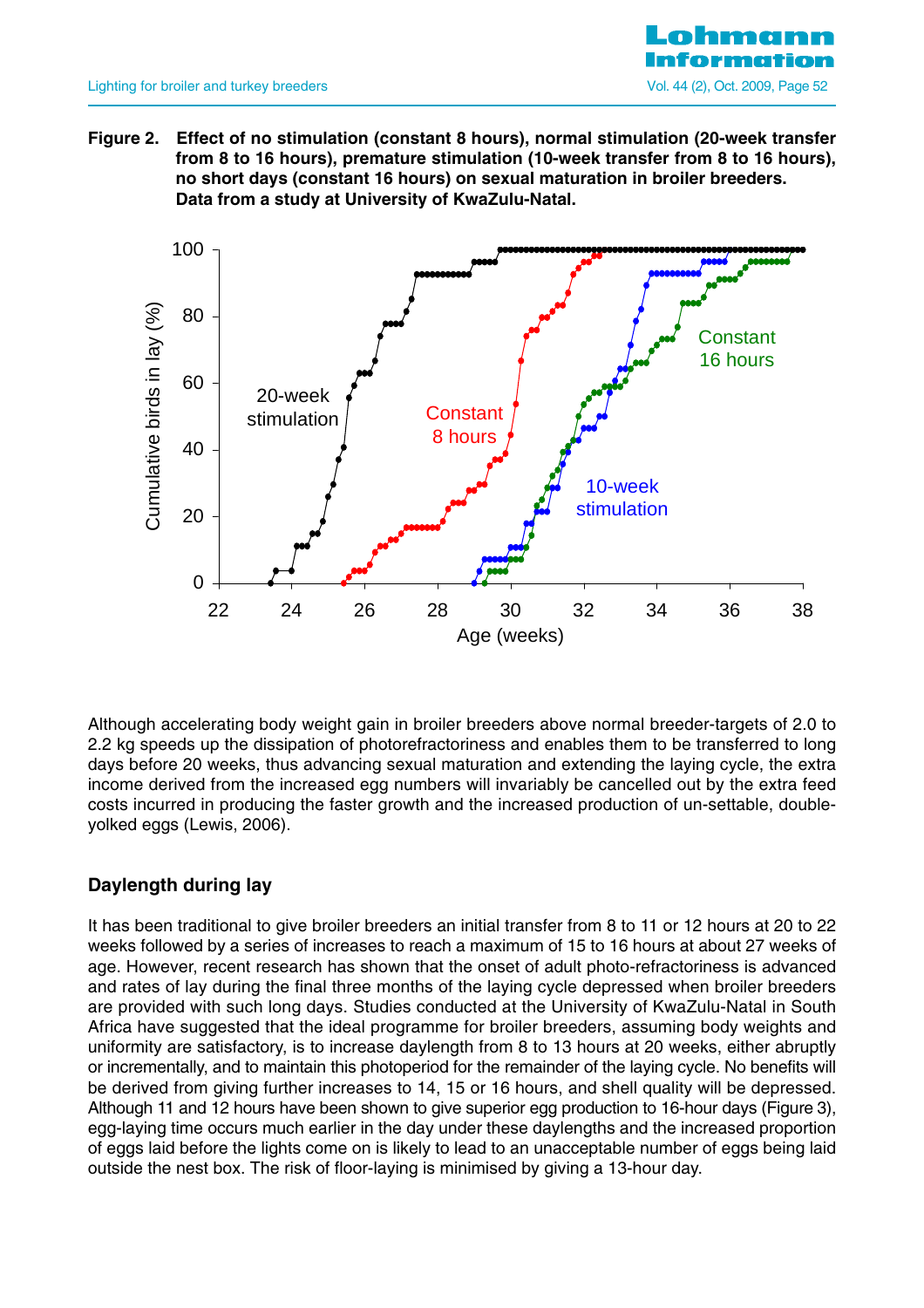

**Figure 2. Effect of no stimulation (constant 8 hours), normal stimulation (20-week transfer from 8 to 16 hours), premature stimulation (10-week transfer from 8 to 16 hours), no short days (constant 16 hours) on sexual maturation in broiler breeders. Data from a study at University of KwaZulu-Natal.** 



Although accelerating body weight gain in broiler breeders above normal breeder-targets of 2.0 to 2.2 kg speeds up the dissipation of photorefractoriness and enables them to be transferred to long days before 20 weeks, thus advancing sexual maturation and extending the laying cycle, the extra income derived from the increased egg numbers will invariably be cancelled out by the extra feed costs incurred in producing the faster growth and the increased production of un-settable, doubleyolked eggs (Lewis, 2006).

## **Daylength during lay**

It has been traditional to give broiler breeders an initial transfer from 8 to 11 or 12 hours at 20 to 22 weeks followed by a series of increases to reach a maximum of 15 to 16 hours at about 27 weeks of age. However, recent research has shown that the onset of adult photo-refractoriness is advanced and rates of lay during the final three months of the laying cycle depressed when broiler breeders are provided with such long days. Studies conducted at the University of KwaZulu-Natal in South Africa have suggested that the ideal programme for broiler breeders, assuming body weights and uniformity are satisfactory, is to increase daylength from 8 to 13 hours at 20 weeks, either abruptly or incrementally, and to maintain this photoperiod for the remainder of the laying cycle. No benefits will be derived from giving further increases to 14, 15 or 16 hours, and shell quality will be depressed. Although 11 and 12 hours have been shown to give superior egg production to 16-hour days (Figure 3), egg-laying time occurs much earlier in the day under these daylengths and the increased proportion of eggs laid before the lights come on is likely to lead to an unacceptable number of eggs being laid outside the nest box. The risk of floor-laying is minimised by giving a 13-hour day.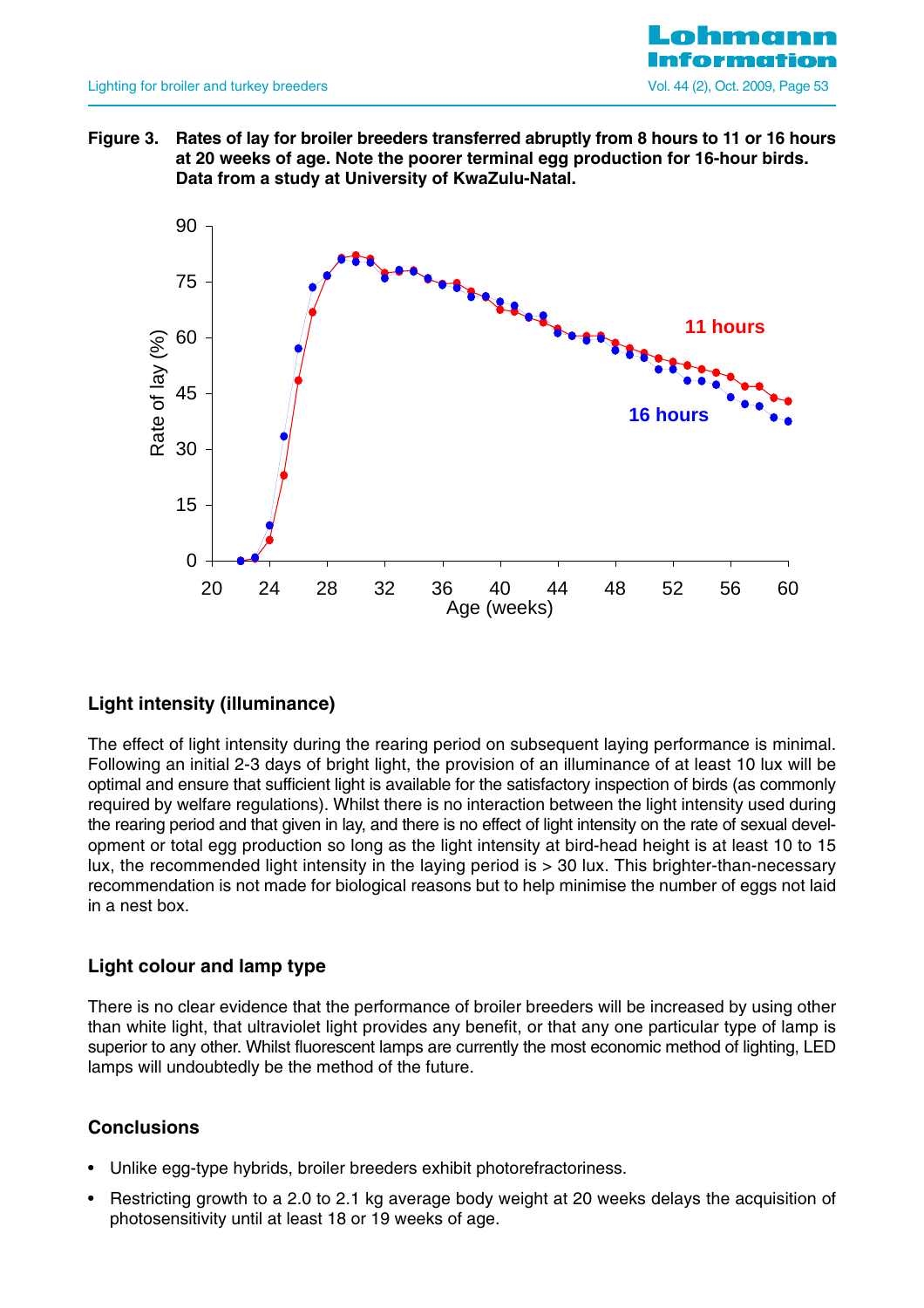

**Figure 3. Rates of lay for broiler breeders transferred abruptly from 8 hours to 11 or 16 hours at 20 weeks of age. Note the poorer terminal egg production for 16-hour birds. Data from a study at University of KwaZulu-Natal.**



## **Light intensity (illuminance)**

The effect of light intensity during the rearing period on subsequent laying performance is minimal. Following an initial 2-3 days of bright light, the provision of an illuminance of at least 10 lux will be optimal and ensure that sufficient light is available for the satisfactory inspection of birds (as commonly required by welfare regulations). Whilst there is no interaction between the light intensity used during the rearing period and that given in lay, and there is no effect of light intensity on the rate of sexual development or total egg production so long as the light intensity at bird-head height is at least 10 to 15 lux, the recommended light intensity in the laying period is > 30 lux. This brighter-than-necessary recommendation is not made for biological reasons but to help minimise the number of eggs not laid in a nest box.

## **Light colour and lamp type**

There is no clear evidence that the performance of broiler breeders will be increased by using other than white light, that ultraviolet light provides any benefit, or that any one particular type of lamp is superior to any other. Whilst fluorescent lamps are currently the most economic method of lighting, LED lamps will undoubtedly be the method of the future.

## **Conclusions**

- Unlike egg-type hybrids, broiler breeders exhibit photorefractoriness.
- Restricting growth to a 2.0 to 2.1 kg average body weight at 20 weeks delays the acquisition of photosensitivity until at least 18 or 19 weeks of age.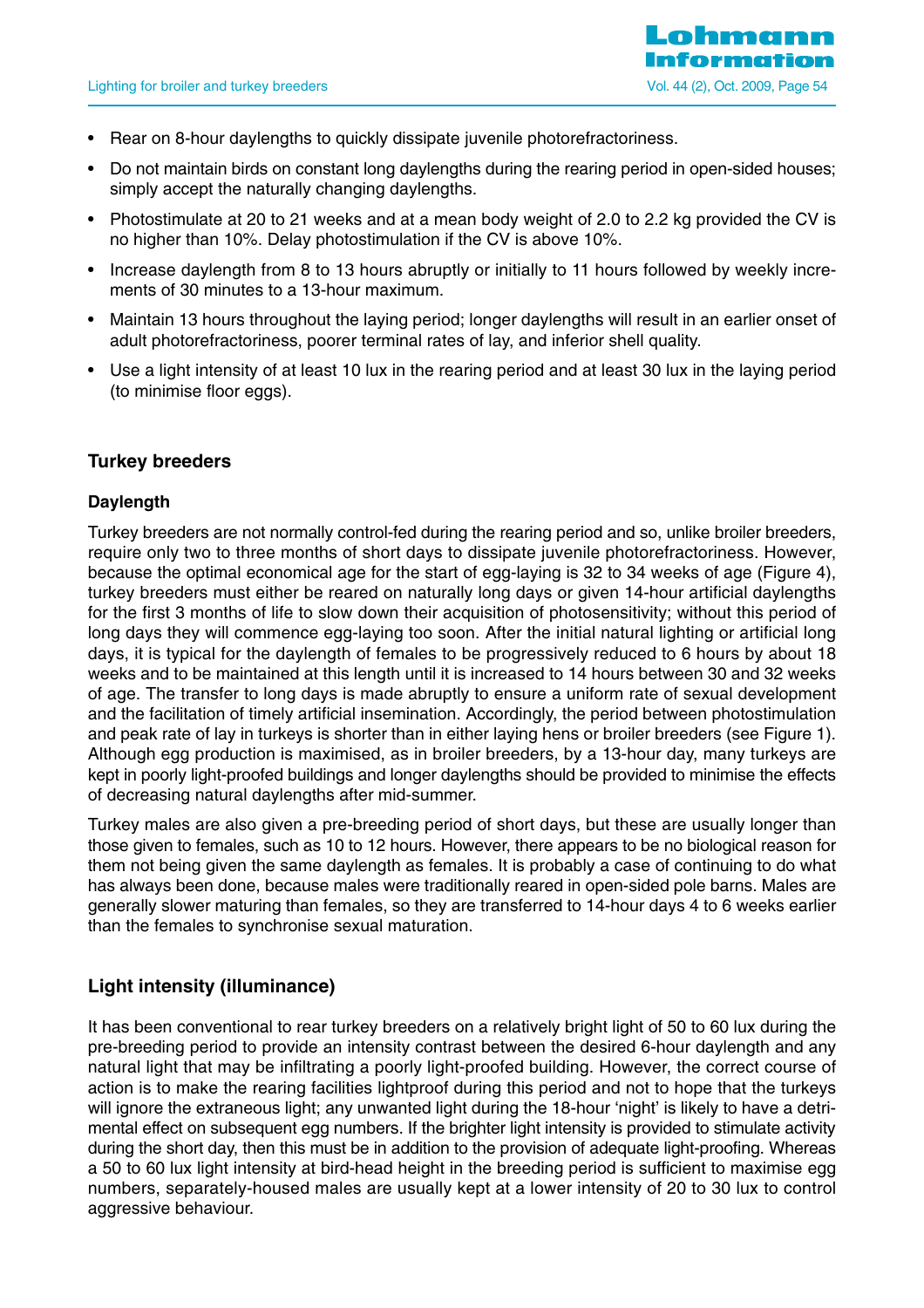

- Rear on 8-hour daylengths to quickly dissipate juvenile photorefractoriness.
- Do not maintain birds on constant long daylengths during the rearing period in open-sided houses; simply accept the naturally changing daylengths.
- Photostimulate at 20 to 21 weeks and at a mean body weight of 2.0 to 2.2 kg provided the CV is no higher than 10%. Delay photostimulation if the CV is above 10%.
- Increase daylength from 8 to 13 hours abruptly or initially to 11 hours followed by weekly increments of 30 minutes to a 13-hour maximum.
- Maintain 13 hours throughout the laying period; longer daylengths will result in an earlier onset of adult photorefractoriness, poorer terminal rates of lay, and inferior shell quality.
- Use a light intensity of at least 10 lux in the rearing period and at least 30 lux in the laying period (to minimise floor eggs).

## **Turkey breeders**

#### **Daylength**

Turkey breeders are not normally control-fed during the rearing period and so, unlike broiler breeders, require only two to three months of short days to dissipate juvenile photorefractoriness. However, because the optimal economical age for the start of egg-laying is 32 to 34 weeks of age (Figure 4), turkey breeders must either be reared on naturally long days or given 14-hour artificial daylengths for the first 3 months of life to slow down their acquisition of photosensitivity; without this period of long days they will commence egg-laying too soon. After the initial natural lighting or artificial long days, it is typical for the daylength of females to be progressively reduced to 6 hours by about 18 weeks and to be maintained at this length until it is increased to 14 hours between 30 and 32 weeks of age. The transfer to long days is made abruptly to ensure a uniform rate of sexual development and the facilitation of timely artificial insemination. Accordingly, the period between photostimulation and peak rate of lay in turkeys is shorter than in either laying hens or broiler breeders (see Figure 1). Although egg production is maximised, as in broiler breeders, by a 13-hour day, many turkeys are kept in poorly light-proofed buildings and longer daylengths should be provided to minimise the effects of decreasing natural daylengths after mid-summer.

Turkey males are also given a pre-breeding period of short days, but these are usually longer than those given to females, such as 10 to 12 hours. However, there appears to be no biological reason for them not being given the same daylength as females. It is probably a case of continuing to do what has always been done, because males were traditionally reared in open-sided pole barns. Males are generally slower maturing than females, so they are transferred to 14-hour days 4 to 6 weeks earlier than the females to synchronise sexual maturation.

## **Light intensity (illuminance)**

It has been conventional to rear turkey breeders on a relatively bright light of 50 to 60 lux during the pre-breeding period to provide an intensity contrast between the desired 6-hour daylength and any natural light that may be infiltrating a poorly light-proofed building. However, the correct course of action is to make the rearing facilities lightproof during this period and not to hope that the turkeys will ignore the extraneous light; any unwanted light during the 18-hour 'night' is likely to have a detrimental effect on subsequent egg numbers. If the brighter light intensity is provided to stimulate activity during the short day, then this must be in addition to the provision of adequate light-proofing. Whereas a 50 to 60 lux light intensity at bird-head height in the breeding period is sufficient to maximise egg numbers, separately-housed males are usually kept at a lower intensity of 20 to 30 lux to control aggressive behaviour.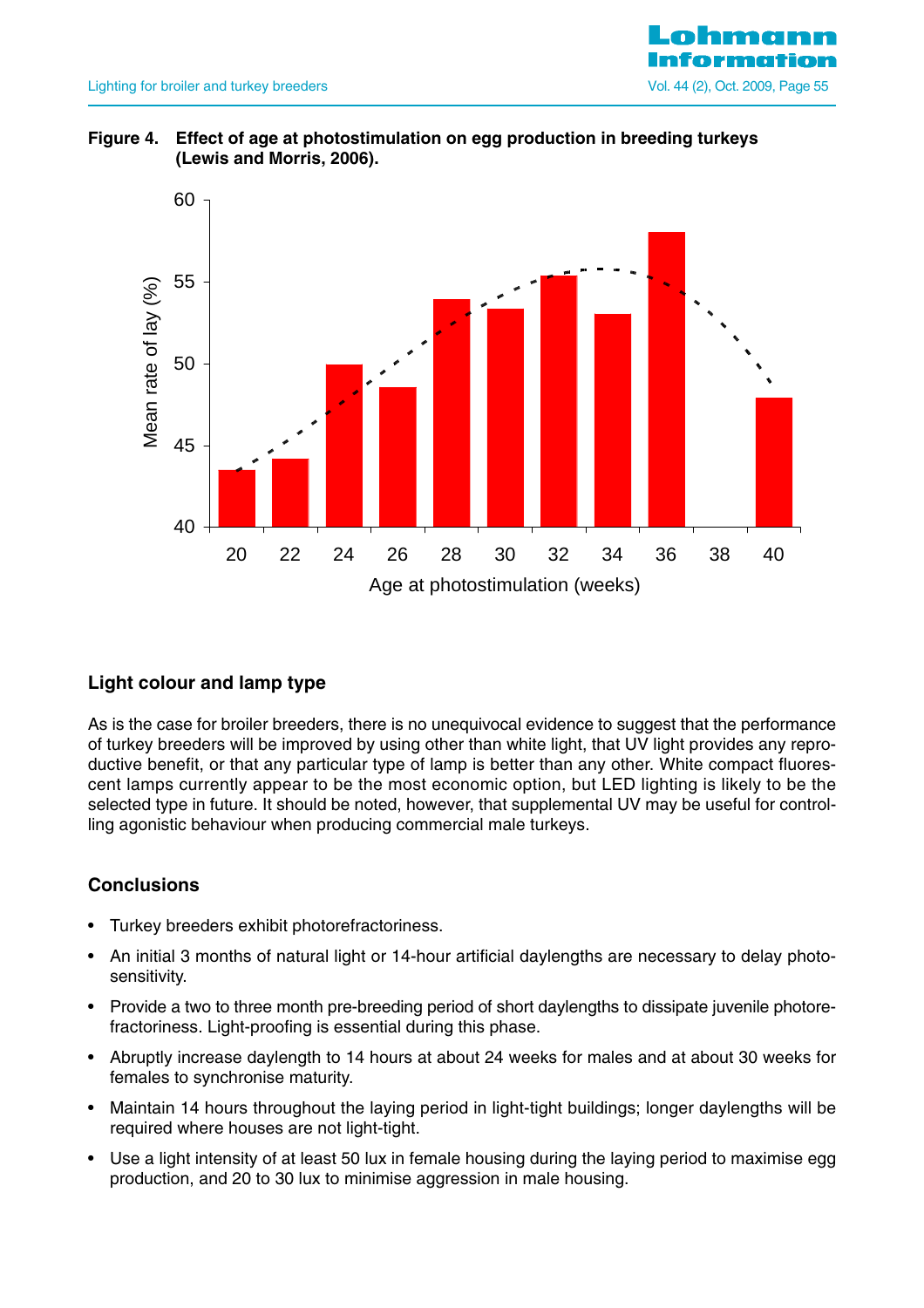





## **Light colour and lamp type**

As is the case for broiler breeders, there is no unequivocal evidence to suggest that the performance of turkey breeders will be improved by using other than white light, that UV light provides any reproductive benefit, or that any particular type of lamp is better than any other. White compact fluorescent lamps currently appear to be the most economic option, but LED lighting is likely to be the selected type in future. It should be noted, however, that supplemental UV may be useful for controlling agonistic behaviour when producing commercial male turkeys.

#### **Conclusions**

- Turkey breeders exhibit photorefractoriness.
- An initial 3 months of natural light or 14-hour artificial daylengths are necessary to delay photosensitivity.
- Provide a two to three month pre-breeding period of short daylengths to dissipate juvenile photorefractoriness. Light-proofing is essential during this phase.
- Abruptly increase daylength to 14 hours at about 24 weeks for males and at about 30 weeks for females to synchronise maturity.
- Maintain 14 hours throughout the laying period in light-tight buildings; longer daylengths will be required where houses are not light-tight.
- Use a light intensity of at least 50 lux in female housing during the laying period to maximise egg production, and 20 to 30 lux to minimise aggression in male housing.